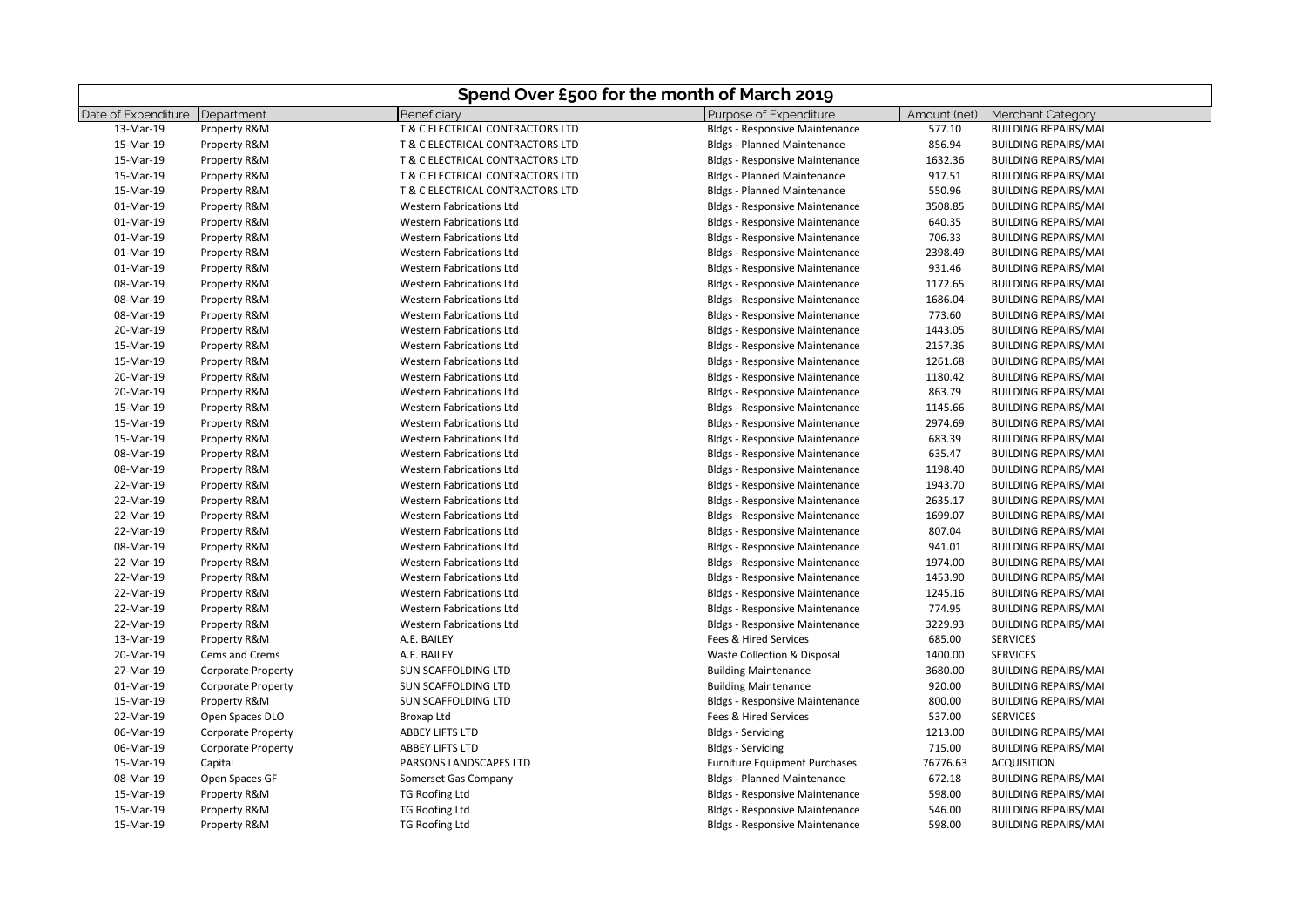|                     | Spend Over £500 for the month of March 2019 |                                  |                                       |              |                             |
|---------------------|---------------------------------------------|----------------------------------|---------------------------------------|--------------|-----------------------------|
| Date of Expenditure | Department                                  | Beneficiary                      | Purpose of Expenditure                | Amount (net) | <b>Merchant Category</b>    |
| 13-Mar-19           | Property R&M                                | T & C ELECTRICAL CONTRACTORS LTD | <b>Bldgs - Responsive Maintenance</b> | 577.10       | <b>BUILDING REPAIRS/MAI</b> |
| 15-Mar-19           | Property R&M                                | T & C ELECTRICAL CONTRACTORS LTD | <b>Bldgs - Planned Maintenance</b>    | 856.94       | <b>BUILDING REPAIRS/MAI</b> |
| 15-Mar-19           | Property R&M                                | T & C ELECTRICAL CONTRACTORS LTD | <b>Bldgs - Responsive Maintenance</b> | 1632.36      | <b>BUILDING REPAIRS/MAI</b> |
| 15-Mar-19           | Property R&M                                | T & C ELECTRICAL CONTRACTORS LTD | <b>Bldgs - Planned Maintenance</b>    | 917.51       | <b>BUILDING REPAIRS/MAI</b> |
| 15-Mar-19           | Property R&M                                | T & C ELECTRICAL CONTRACTORS LTD | <b>Bldgs - Planned Maintenance</b>    | 550.96       | <b>BUILDING REPAIRS/MAI</b> |
| 01-Mar-19           | Property R&M                                | <b>Western Fabrications Ltd</b>  | <b>Bldgs - Responsive Maintenance</b> | 3508.85      | <b>BUILDING REPAIRS/MAI</b> |
| 01-Mar-19           | Property R&M                                | <b>Western Fabrications Ltd</b>  | <b>Bldgs - Responsive Maintenance</b> | 640.35       | <b>BUILDING REPAIRS/MAI</b> |
| 01-Mar-19           | Property R&M                                | <b>Western Fabrications Ltd</b>  | <b>Bldgs - Responsive Maintenance</b> | 706.33       | <b>BUILDING REPAIRS/MAI</b> |
| 01-Mar-19           | Property R&M                                | <b>Western Fabrications Ltd</b>  | <b>Bldgs - Responsive Maintenance</b> | 2398.49      | <b>BUILDING REPAIRS/MAI</b> |
| 01-Mar-19           | Property R&M                                | <b>Western Fabrications Ltd</b>  | <b>Bldgs - Responsive Maintenance</b> | 931.46       | <b>BUILDING REPAIRS/MAI</b> |
| 08-Mar-19           | Property R&M                                | <b>Western Fabrications Ltd</b>  | <b>Bldgs - Responsive Maintenance</b> | 1172.65      | <b>BUILDING REPAIRS/MAI</b> |
| 08-Mar-19           | Property R&M                                | <b>Western Fabrications Ltd</b>  | <b>Bldgs - Responsive Maintenance</b> | 1686.04      | <b>BUILDING REPAIRS/MAI</b> |
| 08-Mar-19           | Property R&M                                | <b>Western Fabrications Ltd</b>  | <b>Bldgs - Responsive Maintenance</b> | 773.60       | <b>BUILDING REPAIRS/MAI</b> |
| 20-Mar-19           | Property R&M                                | <b>Western Fabrications Ltd</b>  | <b>Bldgs - Responsive Maintenance</b> | 1443.05      | <b>BUILDING REPAIRS/MAI</b> |
| 15-Mar-19           | Property R&M                                | <b>Western Fabrications Ltd</b>  | <b>Bldgs - Responsive Maintenance</b> | 2157.36      | <b>BUILDING REPAIRS/MAI</b> |
| 15-Mar-19           | Property R&M                                | <b>Western Fabrications Ltd</b>  | <b>Bldgs - Responsive Maintenance</b> | 1261.68      | <b>BUILDING REPAIRS/MAI</b> |
| 20-Mar-19           | Property R&M                                | <b>Western Fabrications Ltd</b>  | <b>Bldgs - Responsive Maintenance</b> | 1180.42      | <b>BUILDING REPAIRS/MAI</b> |
| 20-Mar-19           | Property R&M                                | <b>Western Fabrications Ltd</b>  | <b>Bldgs - Responsive Maintenance</b> | 863.79       | <b>BUILDING REPAIRS/MAI</b> |
| 15-Mar-19           | Property R&M                                | <b>Western Fabrications Ltd</b>  | <b>Bldgs - Responsive Maintenance</b> | 1145.66      | <b>BUILDING REPAIRS/MAI</b> |
| 15-Mar-19           | Property R&M                                | <b>Western Fabrications Ltd</b>  | <b>Bldgs - Responsive Maintenance</b> | 2974.69      | <b>BUILDING REPAIRS/MAI</b> |
| 15-Mar-19           | Property R&M                                | <b>Western Fabrications Ltd</b>  | <b>Bldgs - Responsive Maintenance</b> | 683.39       | <b>BUILDING REPAIRS/MAI</b> |
| 08-Mar-19           | Property R&M                                | <b>Western Fabrications Ltd</b>  | <b>Bldgs - Responsive Maintenance</b> | 635.47       | <b>BUILDING REPAIRS/MAI</b> |
| 08-Mar-19           | Property R&M                                | <b>Western Fabrications Ltd</b>  | <b>Bldgs - Responsive Maintenance</b> | 1198.40      | <b>BUILDING REPAIRS/MAI</b> |
| 22-Mar-19           | Property R&M                                | <b>Western Fabrications Ltd</b>  | <b>Bldgs - Responsive Maintenance</b> | 1943.70      | <b>BUILDING REPAIRS/MAI</b> |
| 22-Mar-19           | Property R&M                                | Western Fabrications Ltd         | <b>Bldgs - Responsive Maintenance</b> | 2635.17      | <b>BUILDING REPAIRS/MAI</b> |
| 22-Mar-19           | Property R&M                                | <b>Western Fabrications Ltd</b>  | <b>Bldgs - Responsive Maintenance</b> | 1699.07      | <b>BUILDING REPAIRS/MAI</b> |
| 22-Mar-19           | Property R&M                                | <b>Western Fabrications Ltd</b>  | <b>Bldgs - Responsive Maintenance</b> | 807.04       | <b>BUILDING REPAIRS/MAI</b> |
| 08-Mar-19           | Property R&M                                | <b>Western Fabrications Ltd</b>  | <b>Bldgs - Responsive Maintenance</b> | 941.01       | <b>BUILDING REPAIRS/MAI</b> |
| 22-Mar-19           | Property R&M                                | <b>Western Fabrications Ltd</b>  | <b>Bldgs - Responsive Maintenance</b> | 1974.00      | <b>BUILDING REPAIRS/MAI</b> |
| 22-Mar-19           | Property R&M                                | <b>Western Fabrications Ltd</b>  | <b>Bldgs - Responsive Maintenance</b> | 1453.90      | <b>BUILDING REPAIRS/MAI</b> |
| 22-Mar-19           | Property R&M                                | <b>Western Fabrications Ltd</b>  | <b>Bldgs - Responsive Maintenance</b> | 1245.16      | <b>BUILDING REPAIRS/MAI</b> |
| 22-Mar-19           | Property R&M                                | <b>Western Fabrications Ltd</b>  | <b>Bldgs - Responsive Maintenance</b> | 774.95       | <b>BUILDING REPAIRS/MAI</b> |
| 22-Mar-19           | Property R&M                                | <b>Western Fabrications Ltd</b>  | <b>Bldgs - Responsive Maintenance</b> | 3229.93      | <b>BUILDING REPAIRS/MAI</b> |
| 13-Mar-19           | Property R&M                                | A.E. BAILEY                      | Fees & Hired Services                 | 685.00       | <b>SERVICES</b>             |
| 20-Mar-19           | Cems and Crems                              | A.E. BAILEY                      | Waste Collection & Disposal           | 1400.00      | <b>SERVICES</b>             |
| 27-Mar-19           | <b>Corporate Property</b>                   | SUN SCAFFOLDING LTD              | <b>Building Maintenance</b>           | 3680.00      | <b>BUILDING REPAIRS/MAI</b> |
| 01-Mar-19           | <b>Corporate Property</b>                   | <b>SUN SCAFFOLDING LTD</b>       | <b>Building Maintenance</b>           | 920.00       | <b>BUILDING REPAIRS/MAI</b> |
| 15-Mar-19           | Property R&M                                | <b>SUN SCAFFOLDING LTD</b>       | <b>Bldgs - Responsive Maintenance</b> | 800.00       | <b>BUILDING REPAIRS/MAI</b> |
| 22-Mar-19           | Open Spaces DLO                             | Broxap Ltd                       | Fees & Hired Services                 | 537.00       | <b>SERVICES</b>             |
| 06-Mar-19           | <b>Corporate Property</b>                   | ABBEY LIFTS LTD                  | <b>Bldgs - Servicing</b>              | 1213.00      | <b>BUILDING REPAIRS/MAI</b> |
| 06-Mar-19           | <b>Corporate Property</b>                   | <b>ABBEY LIFTS LTD</b>           | <b>Bldgs - Servicing</b>              | 715.00       | <b>BUILDING REPAIRS/MAI</b> |
| 15-Mar-19           | Capital                                     | PARSONS LANDSCAPES LTD           | <b>Furniture Equipment Purchases</b>  | 76776.63     | <b>ACQUISITION</b>          |
| 08-Mar-19           | Open Spaces GF                              | Somerset Gas Company             | <b>Bldgs - Planned Maintenance</b>    | 672.18       | <b>BUILDING REPAIRS/MAI</b> |
| 15-Mar-19           | Property R&M                                | <b>TG Roofing Ltd</b>            | <b>Bldgs - Responsive Maintenance</b> | 598.00       | <b>BUILDING REPAIRS/MAI</b> |
| 15-Mar-19           | Property R&M                                | <b>TG Roofing Ltd</b>            | <b>Bldgs - Responsive Maintenance</b> | 546.00       | <b>BUILDING REPAIRS/MAI</b> |
| 15-Mar-19           | Property R&M                                | <b>TG Roofing Ltd</b>            | <b>Bldgs - Responsive Maintenance</b> | 598.00       | <b>BUILDING REPAIRS/MAI</b> |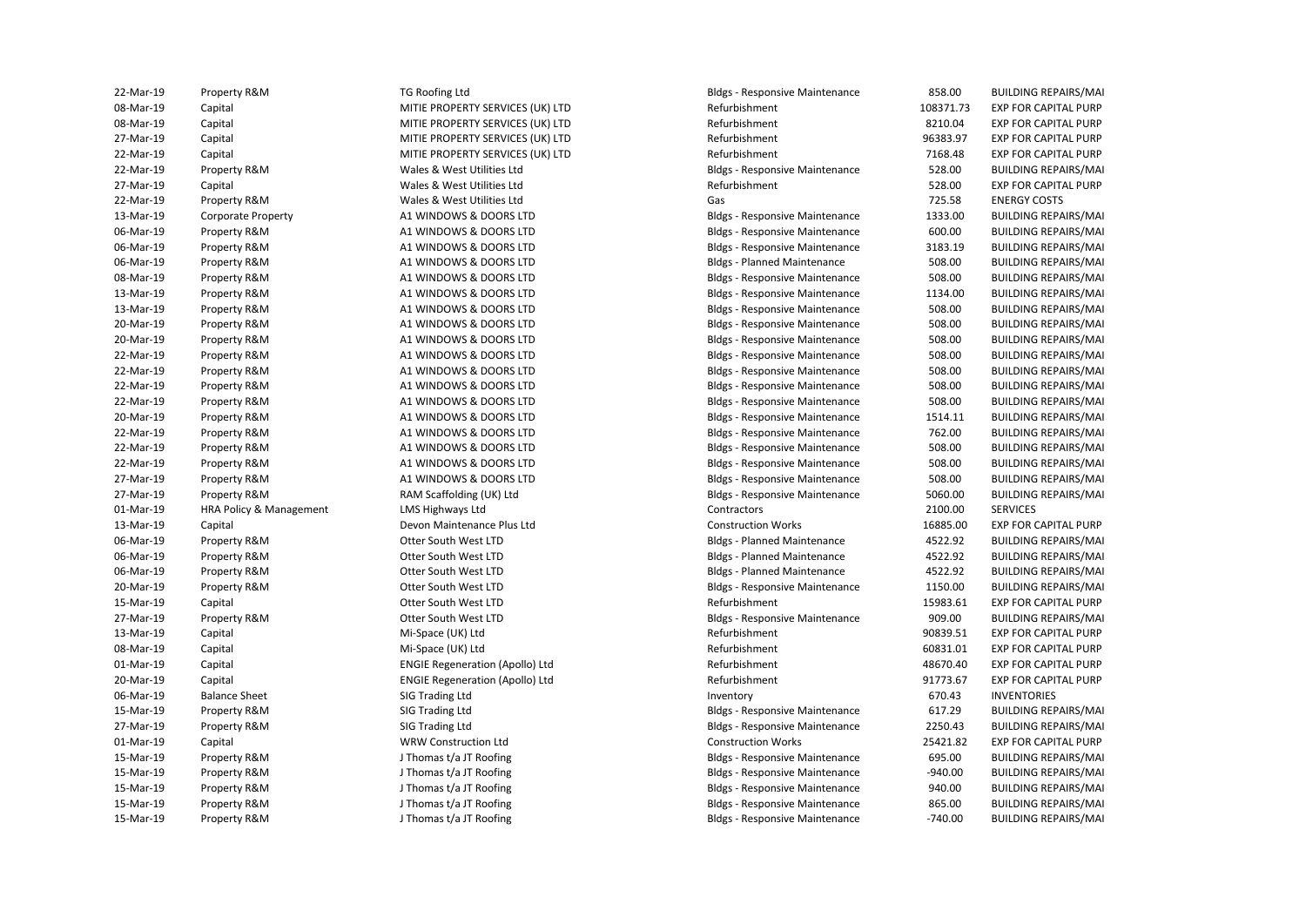| 22-Mar-19 | Property R&M            | TG Roofing Ltd                         | <b>Bldgs - Responsive Maintenance</b> | 858.00    | <b>BUILDING REPAIRS/MAI</b> |
|-----------|-------------------------|----------------------------------------|---------------------------------------|-----------|-----------------------------|
| 08-Mar-19 | Capital                 | MITIE PROPERTY SERVICES (UK) LTD       | Refurbishment                         | 108371.73 | <b>EXP FOR CAPITAL PURP</b> |
| 08-Mar-19 | Capital                 | MITIE PROPERTY SERVICES (UK) LTD       | Refurbishment                         | 8210.04   | EXP FOR CAPITAL PURP        |
| 27-Mar-19 | Capital                 | MITIE PROPERTY SERVICES (UK) LTD       | Refurbishment                         | 96383.97  | <b>EXP FOR CAPITAL PURP</b> |
| 22-Mar-19 | Capital                 | MITIE PROPERTY SERVICES (UK) LTD       | Refurbishment                         | 7168.48   | <b>EXP FOR CAPITAL PURP</b> |
| 22-Mar-19 | Property R&M            | Wales & West Utilities Ltd             | <b>Bldgs - Responsive Maintenance</b> | 528.00    | <b>BUILDING REPAIRS/MAI</b> |
| 27-Mar-19 | Capital                 | Wales & West Utilities Ltd             | Refurbishment                         | 528.00    | <b>EXP FOR CAPITAL PURP</b> |
| 22-Mar-19 | Property R&M            | Wales & West Utilities Ltd             | Gas                                   | 725.58    | <b>ENERGY COSTS</b>         |
| 13-Mar-19 | Corporate Property      | A1 WINDOWS & DOORS LTD                 | <b>Bldgs - Responsive Maintenance</b> | 1333.00   | <b>BUILDING REPAIRS/MAI</b> |
| 06-Mar-19 | Property R&M            | A1 WINDOWS & DOORS LTD                 | <b>Bldgs - Responsive Maintenance</b> | 600.00    | <b>BUILDING REPAIRS/MAI</b> |
| 06-Mar-19 | Property R&M            | A1 WINDOWS & DOORS LTD                 | <b>Bldgs - Responsive Maintenance</b> | 3183.19   | <b>BUILDING REPAIRS/MAI</b> |
| 06-Mar-19 | Property R&M            | A1 WINDOWS & DOORS LTD                 | <b>Bldgs - Planned Maintenance</b>    | 508.00    | <b>BUILDING REPAIRS/MAI</b> |
| 08-Mar-19 | Property R&M            | A1 WINDOWS & DOORS LTD                 | <b>Bldgs - Responsive Maintenance</b> | 508.00    | <b>BUILDING REPAIRS/MAI</b> |
| 13-Mar-19 | Property R&M            | A1 WINDOWS & DOORS LTD                 | <b>Bldgs - Responsive Maintenance</b> | 1134.00   | <b>BUILDING REPAIRS/MAI</b> |
| 13-Mar-19 | Property R&M            | A1 WINDOWS & DOORS LTD                 | <b>Bldgs - Responsive Maintenance</b> | 508.00    | <b>BUILDING REPAIRS/MAI</b> |
| 20-Mar-19 | Property R&M            | A1 WINDOWS & DOORS LTD                 | <b>Bldgs - Responsive Maintenance</b> | 508.00    | <b>BUILDING REPAIRS/MAI</b> |
| 20-Mar-19 | Property R&M            | A1 WINDOWS & DOORS LTD                 | <b>Bldgs - Responsive Maintenance</b> | 508.00    | <b>BUILDING REPAIRS/MAI</b> |
| 22-Mar-19 | Property R&M            | A1 WINDOWS & DOORS LTD                 | <b>Bldgs - Responsive Maintenance</b> | 508.00    | <b>BUILDING REPAIRS/MAI</b> |
| 22-Mar-19 | Property R&M            | A1 WINDOWS & DOORS LTD                 | <b>Bldgs - Responsive Maintenance</b> | 508.00    | <b>BUILDING REPAIRS/MAI</b> |
| 22-Mar-19 | Property R&M            | A1 WINDOWS & DOORS LTD                 |                                       | 508.00    | <b>BUILDING REPAIRS/MAI</b> |
|           |                         |                                        | <b>Bldgs - Responsive Maintenance</b> |           |                             |
| 22-Mar-19 | Property R&M            | A1 WINDOWS & DOORS LTD                 | <b>Bldgs - Responsive Maintenance</b> | 508.00    | <b>BUILDING REPAIRS/MAI</b> |
| 20-Mar-19 | Property R&M            | A1 WINDOWS & DOORS LTD                 | <b>Bldgs - Responsive Maintenance</b> | 1514.11   | <b>BUILDING REPAIRS/MAI</b> |
| 22-Mar-19 | Property R&M            | A1 WINDOWS & DOORS LTD                 | <b>Bldgs - Responsive Maintenance</b> | 762.00    | <b>BUILDING REPAIRS/MAI</b> |
| 22-Mar-19 | Property R&M            | A1 WINDOWS & DOORS LTD                 | <b>Bldgs - Responsive Maintenance</b> | 508.00    | <b>BUILDING REPAIRS/MAI</b> |
| 22-Mar-19 | Property R&M            | A1 WINDOWS & DOORS LTD                 | <b>Bldgs - Responsive Maintenance</b> | 508.00    | <b>BUILDING REPAIRS/MAI</b> |
| 27-Mar-19 | Property R&M            | A1 WINDOWS & DOORS LTD                 | <b>Bldgs - Responsive Maintenance</b> | 508.00    | <b>BUILDING REPAIRS/MAI</b> |
| 27-Mar-19 | Property R&M            | RAM Scaffolding (UK) Ltd               | <b>Bldgs - Responsive Maintenance</b> | 5060.00   | <b>BUILDING REPAIRS/MAI</b> |
| 01-Mar-19 | HRA Policy & Management | LMS Highways Ltd                       | Contractors                           | 2100.00   | <b>SERVICES</b>             |
| 13-Mar-19 | Capital                 | Devon Maintenance Plus Ltd             | <b>Construction Works</b>             | 16885.00  | <b>EXP FOR CAPITAL PURP</b> |
| 06-Mar-19 | Property R&M            | Otter South West LTD                   | <b>Bldgs - Planned Maintenance</b>    | 4522.92   | <b>BUILDING REPAIRS/MAI</b> |
| 06-Mar-19 | Property R&M            | Otter South West LTD                   | <b>Bldgs - Planned Maintenance</b>    | 4522.92   | <b>BUILDING REPAIRS/MAI</b> |
| 06-Mar-19 | Property R&M            | Otter South West LTD                   | <b>Bldgs - Planned Maintenance</b>    | 4522.92   | <b>BUILDING REPAIRS/MAI</b> |
| 20-Mar-19 | Property R&M            | Otter South West LTD                   | <b>Bldgs - Responsive Maintenance</b> | 1150.00   | <b>BUILDING REPAIRS/MAI</b> |
| 15-Mar-19 | Capital                 | Otter South West LTD                   | Refurbishment                         | 15983.61  | <b>EXP FOR CAPITAL PURP</b> |
| 27-Mar-19 | Property R&M            | Otter South West LTD                   | <b>Bldgs - Responsive Maintenance</b> | 909.00    | <b>BUILDING REPAIRS/MAI</b> |
| 13-Mar-19 | Capital                 | Mi-Space (UK) Ltd                      | Refurbishment                         | 90839.51  | <b>EXP FOR CAPITAL PURP</b> |
| 08-Mar-19 | Capital                 | Mi-Space (UK) Ltd                      | Refurbishment                         | 60831.01  | <b>EXP FOR CAPITAL PURP</b> |
| 01-Mar-19 | Capital                 | <b>ENGIE Regeneration (Apollo) Ltd</b> | Refurbishment                         | 48670.40  | <b>EXP FOR CAPITAL PURP</b> |
| 20-Mar-19 | Capital                 | <b>ENGIE Regeneration (Apollo) Ltd</b> | Refurbishment                         | 91773.67  | <b>EXP FOR CAPITAL PURP</b> |
| 06-Mar-19 | <b>Balance Sheet</b>    | SIG Trading Ltd                        | Inventory                             | 670.43    | <b>INVENTORIES</b>          |
| 15-Mar-19 | Property R&M            | SIG Trading Ltd                        | <b>Bldgs - Responsive Maintenance</b> | 617.29    | <b>BUILDING REPAIRS/MAI</b> |
| 27-Mar-19 | Property R&M            | SIG Trading Ltd                        | <b>Bldgs - Responsive Maintenance</b> | 2250.43   | <b>BUILDING REPAIRS/MAI</b> |
| 01-Mar-19 | Capital                 | WRW Construction Ltd                   | <b>Construction Works</b>             | 25421.82  | <b>EXP FOR CAPITAL PURP</b> |
| 15-Mar-19 | Property R&M            | J Thomas t/a JT Roofing                | <b>Bldgs - Responsive Maintenance</b> | 695.00    | <b>BUILDING REPAIRS/MAI</b> |
| 15-Mar-19 | Property R&M            | J Thomas t/a JT Roofing                | <b>Bldgs - Responsive Maintenance</b> | $-940.00$ | <b>BUILDING REPAIRS/MAI</b> |
| 15-Mar-19 | Property R&M            | J Thomas t/a JT Roofing                | <b>Bldgs - Responsive Maintenance</b> | 940.00    | <b>BUILDING REPAIRS/MAI</b> |
| 15-Mar-19 | Property R&M            | J Thomas t/a JT Roofing                | <b>Bldgs - Responsive Maintenance</b> | 865.00    | <b>BUILDING REPAIRS/MAI</b> |
| 15-Mar-19 | Property R&M            | J Thomas t/a JT Roofing                | <b>Bldgs - Responsive Maintenance</b> | $-740.00$ | <b>BUILDING REPAIRS/MAI</b> |
|           |                         |                                        |                                       |           |                             |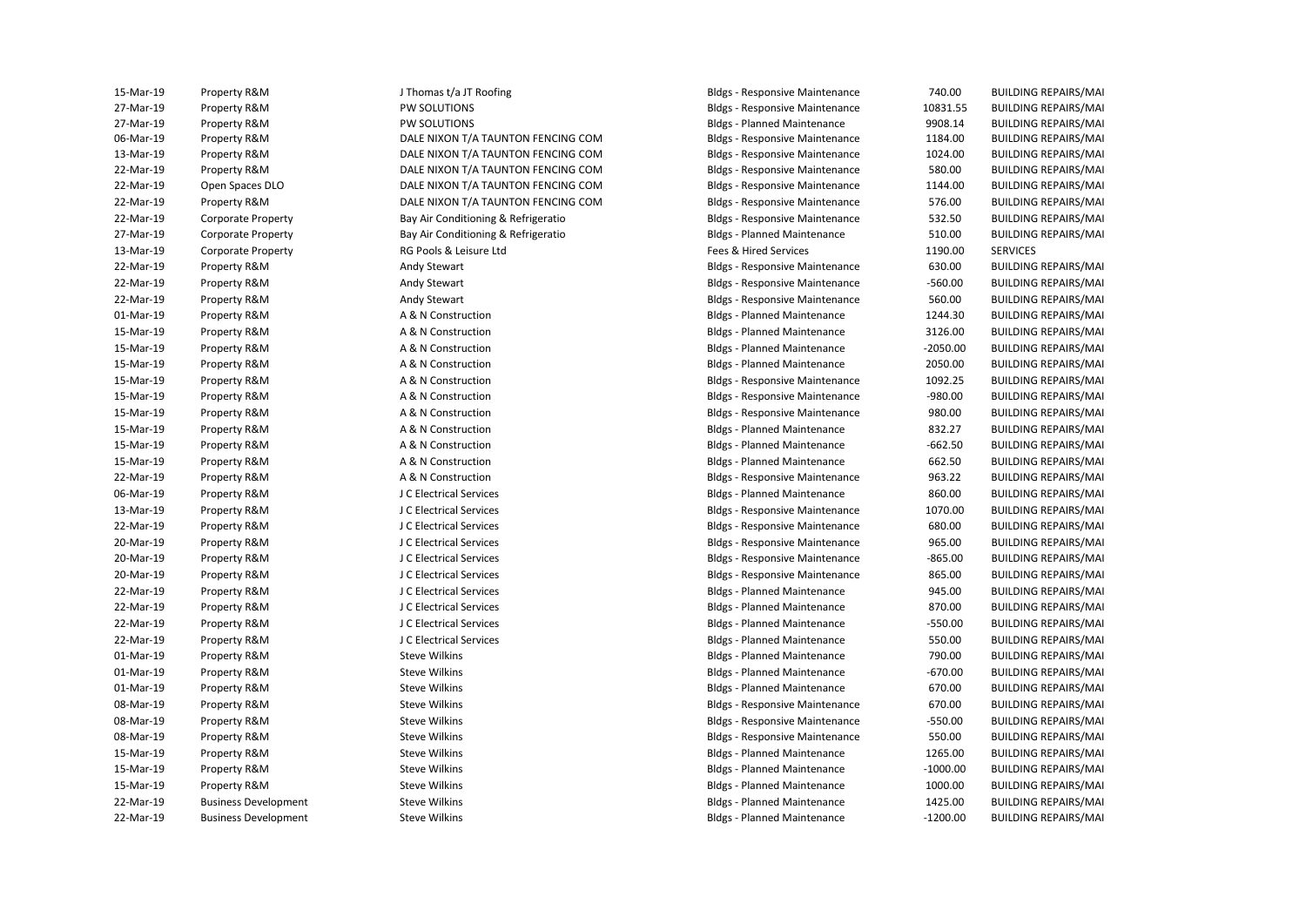| 15-Mar-19 | Property R&M                | J Thomas t/a JT Roofing             | <b>Bldgs - Responsive Maintenance</b> | 740.00     | <b>BUILDING REPAIRS/MAI</b> |
|-----------|-----------------------------|-------------------------------------|---------------------------------------|------------|-----------------------------|
| 27-Mar-19 | Property R&M                | PW SOLUTIONS                        | <b>Bldgs - Responsive Maintenance</b> | 10831.55   | <b>BUILDING REPAIRS/MAI</b> |
| 27-Mar-19 | Property R&M                | PW SOLUTIONS                        | <b>Bldgs - Planned Maintenance</b>    | 9908.14    | <b>BUILDING REPAIRS/MAI</b> |
| 06-Mar-19 | Property R&M                | DALE NIXON T/A TAUNTON FENCING COM  | <b>Bldgs - Responsive Maintenance</b> | 1184.00    | <b>BUILDING REPAIRS/MAI</b> |
| 13-Mar-19 | Property R&M                | DALE NIXON T/A TAUNTON FENCING COM  | <b>Bldgs - Responsive Maintenance</b> | 1024.00    | <b>BUILDING REPAIRS/MAI</b> |
| 22-Mar-19 | Property R&M                | DALE NIXON T/A TAUNTON FENCING COM  | <b>Bldgs - Responsive Maintenance</b> | 580.00     | <b>BUILDING REPAIRS/MAI</b> |
| 22-Mar-19 | Open Spaces DLO             | DALE NIXON T/A TAUNTON FENCING COM  | <b>Bldgs - Responsive Maintenance</b> | 1144.00    | <b>BUILDING REPAIRS/MAI</b> |
| 22-Mar-19 | Property R&M                | DALE NIXON T/A TAUNTON FENCING COM  | <b>Bldgs - Responsive Maintenance</b> | 576.00     | <b>BUILDING REPAIRS/MAI</b> |
| 22-Mar-19 | Corporate Property          | Bay Air Conditioning & Refrigeratio | <b>Bldgs - Responsive Maintenance</b> | 532.50     | <b>BUILDING REPAIRS/MAI</b> |
| 27-Mar-19 | <b>Corporate Property</b>   | Bay Air Conditioning & Refrigeratio | <b>Bldgs - Planned Maintenance</b>    | 510.00     | <b>BUILDING REPAIRS/MAI</b> |
| 13-Mar-19 | <b>Corporate Property</b>   | RG Pools & Leisure Ltd              | Fees & Hired Services                 | 1190.00    | <b>SERVICES</b>             |
| 22-Mar-19 | Property R&M                | Andy Stewart                        | <b>Bldgs - Responsive Maintenance</b> | 630.00     | <b>BUILDING REPAIRS/MAI</b> |
| 22-Mar-19 | Property R&M                | Andy Stewart                        | <b>Bldgs - Responsive Maintenance</b> | $-560.00$  | <b>BUILDING REPAIRS/MAI</b> |
| 22-Mar-19 | Property R&M                | Andy Stewart                        | <b>Bldgs - Responsive Maintenance</b> | 560.00     | <b>BUILDING REPAIRS/MAI</b> |
| 01-Mar-19 | Property R&M                | A & N Construction                  | <b>Bldgs - Planned Maintenance</b>    | 1244.30    | <b>BUILDING REPAIRS/MAI</b> |
| 15-Mar-19 | Property R&M                | A & N Construction                  | <b>Bldgs - Planned Maintenance</b>    | 3126.00    | <b>BUILDING REPAIRS/MAI</b> |
| 15-Mar-19 | Property R&M                | A & N Construction                  | <b>Bldgs - Planned Maintenance</b>    | $-2050.00$ | <b>BUILDING REPAIRS/MAI</b> |
| 15-Mar-19 | Property R&M                | A & N Construction                  | <b>Bldgs - Planned Maintenance</b>    | 2050.00    | <b>BUILDING REPAIRS/MAI</b> |
| 15-Mar-19 | Property R&M                | A & N Construction                  | <b>Bldgs - Responsive Maintenance</b> | 1092.25    | <b>BUILDING REPAIRS/MAI</b> |
| 15-Mar-19 | Property R&M                | A & N Construction                  | <b>Bldgs - Responsive Maintenance</b> | $-980.00$  | <b>BUILDING REPAIRS/MAI</b> |
| 15-Mar-19 | Property R&M                | A & N Construction                  | <b>Bldgs - Responsive Maintenance</b> | 980.00     | <b>BUILDING REPAIRS/MAI</b> |
| 15-Mar-19 | Property R&M                | A & N Construction                  | <b>Bldgs - Planned Maintenance</b>    | 832.27     | <b>BUILDING REPAIRS/MAI</b> |
| 15-Mar-19 | Property R&M                | A & N Construction                  | <b>Bldgs - Planned Maintenance</b>    | $-662.50$  | <b>BUILDING REPAIRS/MAI</b> |
| 15-Mar-19 | Property R&M                | A & N Construction                  | <b>Bldgs - Planned Maintenance</b>    | 662.50     | <b>BUILDING REPAIRS/MAI</b> |
| 22-Mar-19 | Property R&M                | A & N Construction                  | <b>Bldgs - Responsive Maintenance</b> | 963.22     | <b>BUILDING REPAIRS/MAI</b> |
| 06-Mar-19 | Property R&M                | J C Electrical Services             | <b>Bldgs - Planned Maintenance</b>    | 860.00     | <b>BUILDING REPAIRS/MAI</b> |
| 13-Mar-19 | Property R&M                | J C Electrical Services             | <b>Bldgs - Responsive Maintenance</b> | 1070.00    | <b>BUILDING REPAIRS/MAI</b> |
| 22-Mar-19 | Property R&M                | J C Electrical Services             | <b>Bldgs - Responsive Maintenance</b> | 680.00     | <b>BUILDING REPAIRS/MAI</b> |
| 20-Mar-19 | Property R&M                | J C Electrical Services             | <b>Bldgs - Responsive Maintenance</b> | 965.00     | <b>BUILDING REPAIRS/MAI</b> |
| 20-Mar-19 | Property R&M                | J C Electrical Services             | <b>Bldgs - Responsive Maintenance</b> | $-865.00$  | <b>BUILDING REPAIRS/MAI</b> |
| 20-Mar-19 | Property R&M                | J C Electrical Services             | <b>Bldgs - Responsive Maintenance</b> | 865.00     | <b>BUILDING REPAIRS/MAI</b> |
| 22-Mar-19 | Property R&M                | J C Electrical Services             | <b>Bldgs - Planned Maintenance</b>    | 945.00     | <b>BUILDING REPAIRS/MAI</b> |
| 22-Mar-19 | Property R&M                | J C Electrical Services             | <b>Bldgs - Planned Maintenance</b>    | 870.00     | <b>BUILDING REPAIRS/MAI</b> |
| 22-Mar-19 | Property R&M                | J C Electrical Services             | <b>Bldgs - Planned Maintenance</b>    | $-550.00$  | <b>BUILDING REPAIRS/MAI</b> |
| 22-Mar-19 | Property R&M                | J C Electrical Services             | <b>Bldgs - Planned Maintenance</b>    | 550.00     | <b>BUILDING REPAIRS/MAI</b> |
| 01-Mar-19 | Property R&M                | <b>Steve Wilkins</b>                | <b>Bldgs - Planned Maintenance</b>    | 790.00     | <b>BUILDING REPAIRS/MAI</b> |
| 01-Mar-19 | Property R&M                | <b>Steve Wilkins</b>                | <b>Bldgs - Planned Maintenance</b>    | $-670.00$  | <b>BUILDING REPAIRS/MAI</b> |
| 01-Mar-19 | Property R&M                | <b>Steve Wilkins</b>                | <b>Bldgs - Planned Maintenance</b>    | 670.00     | <b>BUILDING REPAIRS/MAI</b> |
| 08-Mar-19 | Property R&M                | <b>Steve Wilkins</b>                | <b>Bldgs - Responsive Maintenance</b> | 670.00     | <b>BUILDING REPAIRS/MAI</b> |
| 08-Mar-19 | Property R&M                | <b>Steve Wilkins</b>                | <b>Bldgs - Responsive Maintenance</b> | $-550.00$  | <b>BUILDING REPAIRS/MAI</b> |
| 08-Mar-19 | Property R&M                | <b>Steve Wilkins</b>                | <b>Bldgs - Responsive Maintenance</b> | 550.00     | <b>BUILDING REPAIRS/MAI</b> |
| 15-Mar-19 | Property R&M                | <b>Steve Wilkins</b>                | <b>Bldgs - Planned Maintenance</b>    | 1265.00    | <b>BUILDING REPAIRS/MAI</b> |
| 15-Mar-19 | Property R&M                | <b>Steve Wilkins</b>                | <b>Bldgs - Planned Maintenance</b>    | $-1000.00$ | <b>BUILDING REPAIRS/MAI</b> |
| 15-Mar-19 | Property R&M                | <b>Steve Wilkins</b>                | <b>Bldgs - Planned Maintenance</b>    | 1000.00    | <b>BUILDING REPAIRS/MAI</b> |
| 22-Mar-19 | <b>Business Development</b> | <b>Steve Wilkins</b>                | <b>Bldgs - Planned Maintenance</b>    | 1425.00    | <b>BUILDING REPAIRS/MAI</b> |
| 22-Mar-19 | <b>Business Development</b> | <b>Steve Wilkins</b>                | <b>Bldgs - Planned Maintenance</b>    | $-1200.00$ | <b>BUILDING REPAIRS/MAI</b> |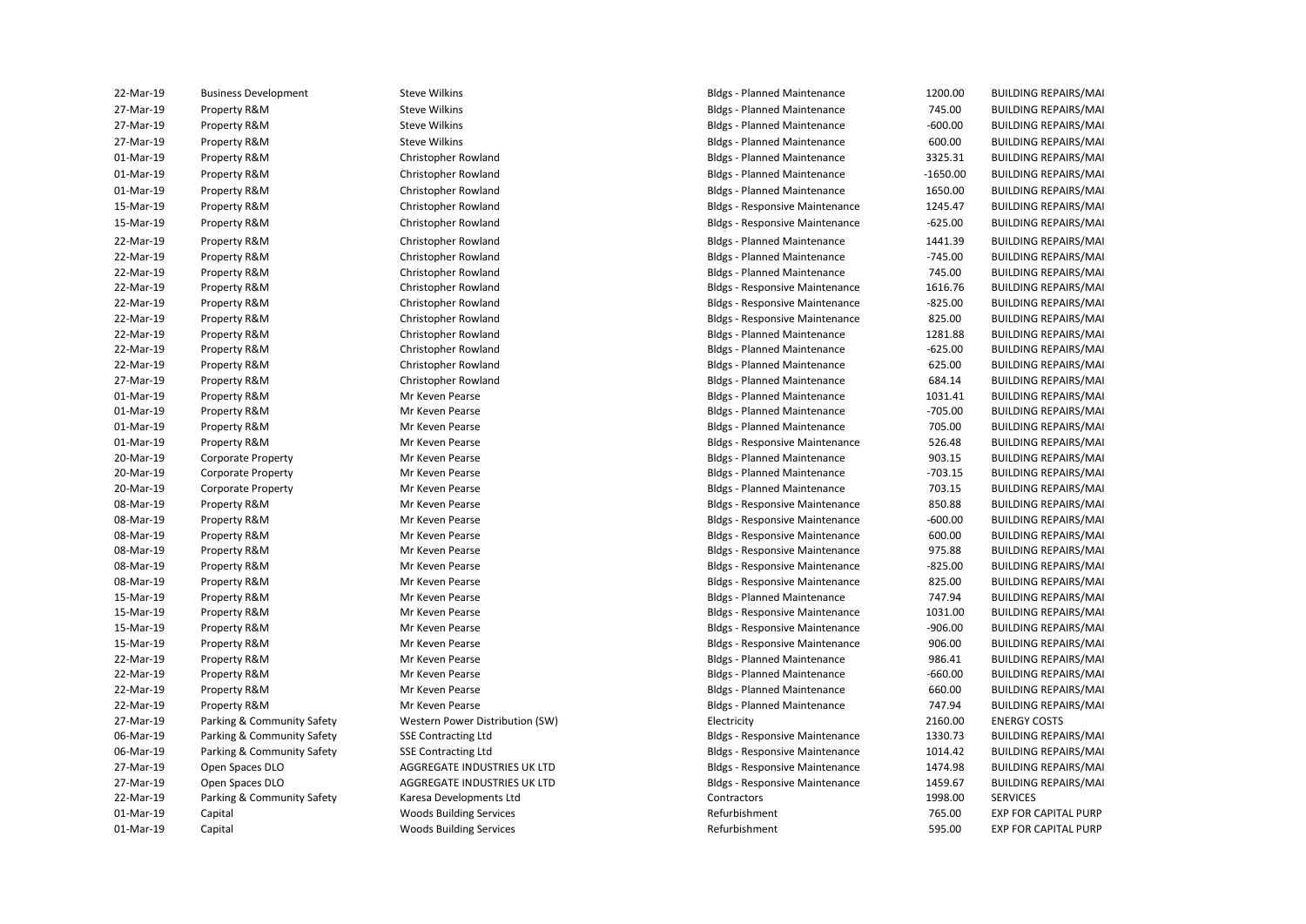| 22-Mar-19 | <b>Business Development</b> | <b>Steve Wilkins</b>            | <b>Bldgs - Planned Maintenance</b>    | 1200.00    | <b>BUILDING REPAIRS/MAI</b> |
|-----------|-----------------------------|---------------------------------|---------------------------------------|------------|-----------------------------|
| 27-Mar-19 | Property R&M                | <b>Steve Wilkins</b>            | <b>Bldgs - Planned Maintenance</b>    | 745.00     | <b>BUILDING REPAIRS/MAI</b> |
| 27-Mar-19 | Property R&M                | <b>Steve Wilkins</b>            | <b>Bldgs - Planned Maintenance</b>    | $-600.00$  | <b>BUILDING REPAIRS/MAI</b> |
| 27-Mar-19 | Property R&M                | <b>Steve Wilkins</b>            | <b>Bldgs - Planned Maintenance</b>    | 600.00     | <b>BUILDING REPAIRS/MAI</b> |
| 01-Mar-19 | Property R&M                | Christopher Rowland             | <b>Bldgs - Planned Maintenance</b>    | 3325.31    | <b>BUILDING REPAIRS/MAI</b> |
| 01-Mar-19 | Property R&M                | Christopher Rowland             | <b>Bldgs - Planned Maintenance</b>    | $-1650.00$ | <b>BUILDING REPAIRS/MAI</b> |
| 01-Mar-19 | Property R&M                | Christopher Rowland             | <b>Bldgs - Planned Maintenance</b>    | 1650.00    | <b>BUILDING REPAIRS/MAI</b> |
| 15-Mar-19 | Property R&M                | Christopher Rowland             | <b>Bldgs - Responsive Maintenance</b> | 1245.47    | <b>BUILDING REPAIRS/MAI</b> |
| 15-Mar-19 | Property R&M                | Christopher Rowland             | <b>Bldgs - Responsive Maintenance</b> | $-625.00$  | <b>BUILDING REPAIRS/MAI</b> |
| 22-Mar-19 | Property R&M                | Christopher Rowland             | <b>Bldgs - Planned Maintenance</b>    | 1441.39    | <b>BUILDING REPAIRS/MAI</b> |
| 22-Mar-19 | Property R&M                | Christopher Rowland             | <b>Bldgs - Planned Maintenance</b>    | $-745.00$  | <b>BUILDING REPAIRS/MAI</b> |
| 22-Mar-19 | Property R&M                | Christopher Rowland             | <b>Bldgs - Planned Maintenance</b>    | 745.00     | <b>BUILDING REPAIRS/MAI</b> |
| 22-Mar-19 | Property R&M                | Christopher Rowland             | <b>Bldgs - Responsive Maintenance</b> | 1616.76    | <b>BUILDING REPAIRS/MAI</b> |
| 22-Mar-19 | Property R&M                | Christopher Rowland             | <b>Bldgs - Responsive Maintenance</b> | $-825.00$  | <b>BUILDING REPAIRS/MAI</b> |
| 22-Mar-19 | Property R&M                | Christopher Rowland             | <b>Bldgs - Responsive Maintenance</b> | 825.00     | <b>BUILDING REPAIRS/MAI</b> |
| 22-Mar-19 | Property R&M                | Christopher Rowland             | <b>Bldgs - Planned Maintenance</b>    | 1281.88    | <b>BUILDING REPAIRS/MAI</b> |
| 22-Mar-19 | Property R&M                | Christopher Rowland             | <b>Bldgs - Planned Maintenance</b>    | $-625.00$  | <b>BUILDING REPAIRS/MAI</b> |
| 22-Mar-19 | Property R&M                | Christopher Rowland             | <b>Bldgs - Planned Maintenance</b>    | 625.00     | <b>BUILDING REPAIRS/MAI</b> |
| 27-Mar-19 | Property R&M                | Christopher Rowland             | <b>Bldgs - Planned Maintenance</b>    | 684.14     | <b>BUILDING REPAIRS/MAI</b> |
| 01-Mar-19 | Property R&M                | Mr Keven Pearse                 | <b>Bldgs - Planned Maintenance</b>    | 1031.41    | <b>BUILDING REPAIRS/MAI</b> |
| 01-Mar-19 | Property R&M                | Mr Keven Pearse                 | <b>Bldgs - Planned Maintenance</b>    | $-705.00$  | <b>BUILDING REPAIRS/MAI</b> |
| 01-Mar-19 | Property R&M                | Mr Keven Pearse                 | <b>Bldgs - Planned Maintenance</b>    | 705.00     | <b>BUILDING REPAIRS/MAI</b> |
| 01-Mar-19 | Property R&M                | Mr Keven Pearse                 | <b>Bldgs - Responsive Maintenance</b> | 526.48     | <b>BUILDING REPAIRS/MAI</b> |
| 20-Mar-19 | <b>Corporate Property</b>   | Mr Keven Pearse                 | <b>Bldgs - Planned Maintenance</b>    | 903.15     | <b>BUILDING REPAIRS/MAI</b> |
| 20-Mar-19 | <b>Corporate Property</b>   | Mr Keven Pearse                 | <b>Bldgs - Planned Maintenance</b>    | $-703.15$  | <b>BUILDING REPAIRS/MAI</b> |
| 20-Mar-19 | <b>Corporate Property</b>   | Mr Keven Pearse                 | <b>Bldgs - Planned Maintenance</b>    | 703.15     | <b>BUILDING REPAIRS/MAI</b> |
| 08-Mar-19 | Property R&M                | Mr Keven Pearse                 | <b>Bldgs - Responsive Maintenance</b> | 850.88     | <b>BUILDING REPAIRS/MAI</b> |
| 08-Mar-19 | Property R&M                | Mr Keven Pearse                 | <b>Bldgs - Responsive Maintenance</b> | $-600.00$  | <b>BUILDING REPAIRS/MAI</b> |
| 08-Mar-19 | Property R&M                | Mr Keven Pearse                 | <b>Bldgs - Responsive Maintenance</b> | 600.00     | <b>BUILDING REPAIRS/MAI</b> |
| 08-Mar-19 | Property R&M                | Mr Keven Pearse                 | <b>Bldgs - Responsive Maintenance</b> | 975.88     | <b>BUILDING REPAIRS/MAI</b> |
| 08-Mar-19 | Property R&M                | Mr Keven Pearse                 | <b>Bldgs - Responsive Maintenance</b> | $-825.00$  | <b>BUILDING REPAIRS/MAI</b> |
| 08-Mar-19 | Property R&M                | Mr Keven Pearse                 | <b>Bldgs - Responsive Maintenance</b> | 825.00     | <b>BUILDING REPAIRS/MAI</b> |
| 15-Mar-19 | Property R&M                | Mr Keven Pearse                 | <b>Bldgs - Planned Maintenance</b>    | 747.94     | <b>BUILDING REPAIRS/MAI</b> |
| 15-Mar-19 | Property R&M                | Mr Keven Pearse                 | <b>Bldgs - Responsive Maintenance</b> | 1031.00    | <b>BUILDING REPAIRS/MAI</b> |
| 15-Mar-19 | Property R&M                | Mr Keven Pearse                 | <b>Bldgs - Responsive Maintenance</b> | $-906.00$  | <b>BUILDING REPAIRS/MAI</b> |
| 15-Mar-19 | Property R&M                | Mr Keven Pearse                 | <b>Bldgs - Responsive Maintenance</b> | 906.00     | <b>BUILDING REPAIRS/MAI</b> |
| 22-Mar-19 | Property R&M                | Mr Keven Pearse                 | <b>Bldgs - Planned Maintenance</b>    | 986.41     | <b>BUILDING REPAIRS/MAI</b> |
| 22-Mar-19 | Property R&M                | Mr Keven Pearse                 | <b>Bldgs - Planned Maintenance</b>    | $-660.00$  | <b>BUILDING REPAIRS/MAI</b> |
| 22-Mar-19 | Property R&M                | Mr Keven Pearse                 | <b>Bldgs - Planned Maintenance</b>    | 660.00     | <b>BUILDING REPAIRS/MAI</b> |
| 22-Mar-19 | Property R&M                | Mr Keven Pearse                 | <b>Bldgs - Planned Maintenance</b>    | 747.94     | <b>BUILDING REPAIRS/MAI</b> |
| 27-Mar-19 | Parking & Community Safety  | Western Power Distribution (SW) | Electricity                           | 2160.00    | <b>ENERGY COSTS</b>         |
| 06-Mar-19 | Parking & Community Safety  | <b>SSE Contracting Ltd</b>      | <b>Bldgs - Responsive Maintenance</b> | 1330.73    | <b>BUILDING REPAIRS/MAI</b> |
| 06-Mar-19 | Parking & Community Safety  | <b>SSE Contracting Ltd</b>      | <b>Bldgs - Responsive Maintenance</b> | 1014.42    | <b>BUILDING REPAIRS/MAI</b> |
| 27-Mar-19 | Open Spaces DLO             | AGGREGATE INDUSTRIES UK LTD     | <b>Bldgs - Responsive Maintenance</b> | 1474.98    | <b>BUILDING REPAIRS/MAI</b> |
| 27-Mar-19 | Open Spaces DLO             | AGGREGATE INDUSTRIES UK LTD     | <b>Bldgs - Responsive Maintenance</b> | 1459.67    | <b>BUILDING REPAIRS/MAI</b> |
| 22-Mar-19 | Parking & Community Safety  | Karesa Developments Ltd         | Contractors                           | 1998.00    | <b>SERVICES</b>             |
| 01-Mar-19 | Capital                     | <b>Woods Building Services</b>  | Refurbishment                         | 765.00     | <b>EXP FOR CAPITAL PURP</b> |
| 01-Mar-19 | Capital                     | <b>Woods Building Services</b>  | Refurbishment                         | 595.00     | <b>EXP FOR CAPITAL PURP</b> |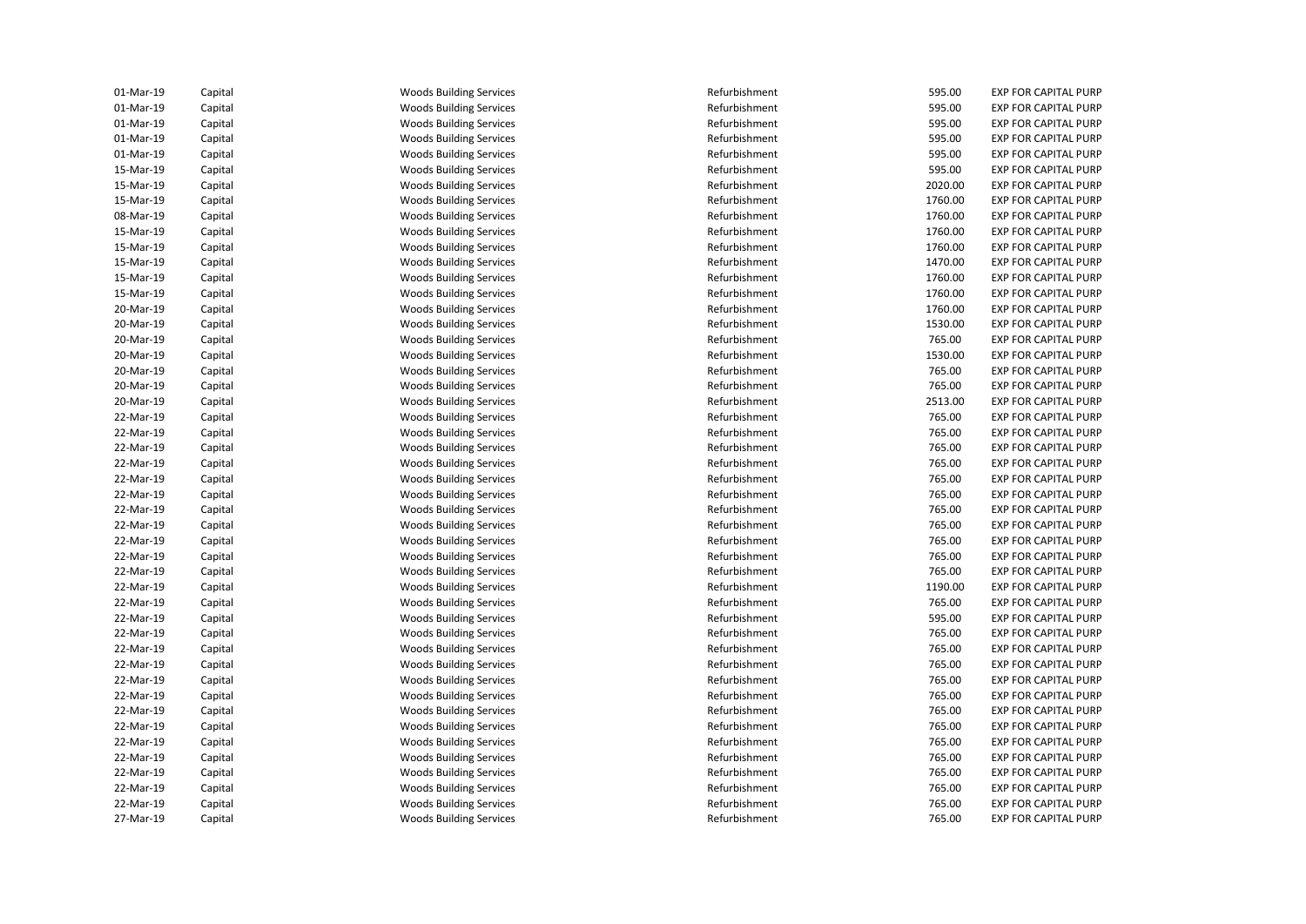| 01-Mar-19              | Capital | <b>Woods Building Services</b> | Refurbishment | 595.00           | <b>EXP FOR CAPITAL PURP</b> |
|------------------------|---------|--------------------------------|---------------|------------------|-----------------------------|
| 01-Mar-19              | Capital | <b>Woods Building Services</b> | Refurbishment | 595.00           | <b>EXP FOR CAPITAL PURP</b> |
| 01-Mar-19              | Capital | <b>Woods Building Services</b> | Refurbishment | 595.00           | <b>EXP FOR CAPITAL PURP</b> |
| 01-Mar-19              | Capital | <b>Woods Building Services</b> | Refurbishment | 595.00           | <b>EXP FOR CAPITAL PURP</b> |
| 01-Mar-19              | Capital | <b>Woods Building Services</b> | Refurbishment | 595.00           | <b>EXP FOR CAPITAL PURP</b> |
| 15-Mar-19              | Capital | <b>Woods Building Services</b> | Refurbishment | 595.00           | <b>EXP FOR CAPITAL PURP</b> |
| 15-Mar-19              | Capital | <b>Woods Building Services</b> | Refurbishment | 2020.00          | <b>EXP FOR CAPITAL PURP</b> |
| 15-Mar-19              | Capital | <b>Woods Building Services</b> | Refurbishment | 1760.00          | <b>EXP FOR CAPITAL PURP</b> |
| 08-Mar-19              | Capital | <b>Woods Building Services</b> | Refurbishment | 1760.00          | <b>EXP FOR CAPITAL PURP</b> |
| 15-Mar-19              | Capital | <b>Woods Building Services</b> | Refurbishment | 1760.00          | <b>EXP FOR CAPITAL PURP</b> |
| 15-Mar-19              | Capital | <b>Woods Building Services</b> | Refurbishment | 1760.00          | <b>EXP FOR CAPITAL PURP</b> |
| 15-Mar-19              | Capital | <b>Woods Building Services</b> | Refurbishment | 1470.00          | <b>EXP FOR CAPITAL PURP</b> |
| 15-Mar-19              | Capital | <b>Woods Building Services</b> | Refurbishment | 1760.00          | <b>EXP FOR CAPITAL PURP</b> |
| 15-Mar-19              | Capital | <b>Woods Building Services</b> | Refurbishment | 1760.00          | <b>EXP FOR CAPITAL PURP</b> |
| 20-Mar-19              | Capital | <b>Woods Building Services</b> | Refurbishment | 1760.00          | <b>EXP FOR CAPITAL PURP</b> |
| 20-Mar-19              | Capital | <b>Woods Building Services</b> | Refurbishment | 1530.00          | <b>EXP FOR CAPITAL PURP</b> |
| 20-Mar-19              | Capital | <b>Woods Building Services</b> | Refurbishment | 765.00           | <b>EXP FOR CAPITAL PURP</b> |
| 20-Mar-19              | Capital | <b>Woods Building Services</b> | Refurbishment | 1530.00          | <b>EXP FOR CAPITAL PURP</b> |
| 20-Mar-19              | Capital | <b>Woods Building Services</b> | Refurbishment | 765.00           | <b>EXP FOR CAPITAL PURP</b> |
| 20-Mar-19              | Capital | <b>Woods Building Services</b> | Refurbishment | 765.00           | <b>EXP FOR CAPITAL PURP</b> |
| 20-Mar-19              | Capital | <b>Woods Building Services</b> | Refurbishment | 2513.00          | <b>EXP FOR CAPITAL PURP</b> |
| 22-Mar-19              | Capital | <b>Woods Building Services</b> | Refurbishment | 765.00           | <b>EXP FOR CAPITAL PURP</b> |
| 22-Mar-19              |         | <b>Woods Building Services</b> | Refurbishment | 765.00           | <b>EXP FOR CAPITAL PURP</b> |
| 22-Mar-19              | Capital |                                | Refurbishment | 765.00           | <b>EXP FOR CAPITAL PURP</b> |
|                        | Capital | <b>Woods Building Services</b> | Refurbishment |                  |                             |
| 22-Mar-19<br>22-Mar-19 | Capital | <b>Woods Building Services</b> | Refurbishment | 765.00<br>765.00 | <b>EXP FOR CAPITAL PURP</b> |
|                        | Capital | <b>Woods Building Services</b> |               |                  | <b>EXP FOR CAPITAL PURP</b> |
| 22-Mar-19              | Capital | <b>Woods Building Services</b> | Refurbishment | 765.00           | <b>EXP FOR CAPITAL PURP</b> |
| 22-Mar-19              | Capital | <b>Woods Building Services</b> | Refurbishment | 765.00           | <b>EXP FOR CAPITAL PURP</b> |
| 22-Mar-19              | Capital | <b>Woods Building Services</b> | Refurbishment | 765.00           | <b>EXP FOR CAPITAL PURP</b> |
| 22-Mar-19              | Capital | <b>Woods Building Services</b> | Refurbishment | 765.00           | <b>EXP FOR CAPITAL PURP</b> |
| 22-Mar-19              | Capital | <b>Woods Building Services</b> | Refurbishment | 765.00           | <b>EXP FOR CAPITAL PURP</b> |
| 22-Mar-19              | Capital | <b>Woods Building Services</b> | Refurbishment | 765.00           | <b>EXP FOR CAPITAL PURP</b> |
| 22-Mar-19              | Capital | <b>Woods Building Services</b> | Refurbishment | 1190.00          | <b>EXP FOR CAPITAL PURP</b> |
| 22-Mar-19              | Capital | <b>Woods Building Services</b> | Refurbishment | 765.00           | <b>EXP FOR CAPITAL PURP</b> |
| 22-Mar-19              | Capital | <b>Woods Building Services</b> | Refurbishment | 595.00           | <b>EXP FOR CAPITAL PURP</b> |
| 22-Mar-19              | Capital | <b>Woods Building Services</b> | Refurbishment | 765.00           | <b>EXP FOR CAPITAL PURP</b> |
| 22-Mar-19              | Capital | <b>Woods Building Services</b> | Refurbishment | 765.00           | <b>EXP FOR CAPITAL PURP</b> |
| 22-Mar-19              | Capital | <b>Woods Building Services</b> | Refurbishment | 765.00           | <b>EXP FOR CAPITAL PURP</b> |
| 22-Mar-19              | Capital | <b>Woods Building Services</b> | Refurbishment | 765.00           | <b>EXP FOR CAPITAL PURP</b> |
| 22-Mar-19              | Capital | <b>Woods Building Services</b> | Refurbishment | 765.00           | <b>EXP FOR CAPITAL PURP</b> |
| 22-Mar-19              | Capital | <b>Woods Building Services</b> | Refurbishment | 765.00           | <b>EXP FOR CAPITAL PURP</b> |
| 22-Mar-19              | Capital | <b>Woods Building Services</b> | Refurbishment | 765.00           | <b>EXP FOR CAPITAL PURP</b> |
| 22-Mar-19              | Capital | <b>Woods Building Services</b> | Refurbishment | 765.00           | <b>EXP FOR CAPITAL PURP</b> |
| 22-Mar-19              | Capital | <b>Woods Building Services</b> | Refurbishment | 765.00           | <b>EXP FOR CAPITAL PURP</b> |
| 22-Mar-19              | Capital | <b>Woods Building Services</b> | Refurbishment | 765.00           | <b>EXP FOR CAPITAL PURP</b> |
| 22-Mar-19              | Capital | <b>Woods Building Services</b> | Refurbishment | 765.00           | <b>EXP FOR CAPITAL PURP</b> |
| 22-Mar-19              | Capital | <b>Woods Building Services</b> | Refurbishment | 765.00           | <b>EXP FOR CAPITAL PURP</b> |
| 27-Mar-19              | Capital | <b>Woods Building Services</b> | Refurbishment | 765.00           | <b>EXP FOR CAPITAL PURP</b> |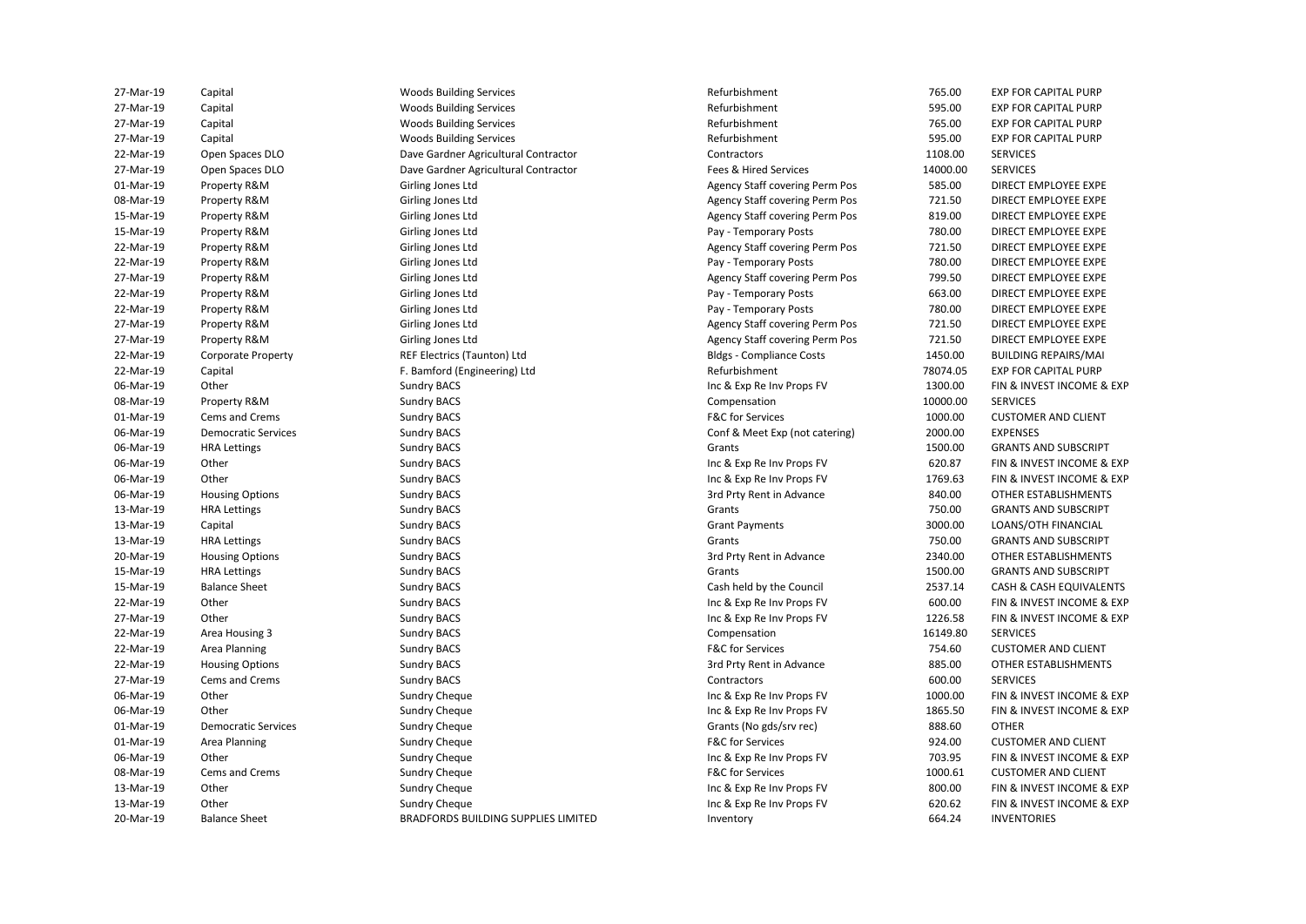| 27-Mar-19 | Capital                    | <b>Woods Building Services</b>             | Refurbishment                         | 765.00   | <b>EXP FOR CAPITAL PURP</b>        |
|-----------|----------------------------|--------------------------------------------|---------------------------------------|----------|------------------------------------|
| 27-Mar-19 | Capital                    | Woods Building Services                    | Refurbishment                         | 595.00   | <b>EXP FOR CAPITAL PURP</b>        |
| 27-Mar-19 | Capital                    | <b>Woods Building Services</b>             | Refurbishment                         | 765.00   | <b>EXP FOR CAPITAL PURP</b>        |
| 27-Mar-19 | Capital                    | <b>Woods Building Services</b>             | Refurbishment                         | 595.00   | <b>EXP FOR CAPITAL PURP</b>        |
| 22-Mar-19 | Open Spaces DLO            | Dave Gardner Agricultural Contractor       | Contractors                           | 1108.00  | <b>SERVICES</b>                    |
| 27-Mar-19 | Open Spaces DLO            | Dave Gardner Agricultural Contractor       | Fees & Hired Services                 | 14000.00 | <b>SERVICES</b>                    |
| 01-Mar-19 | Property R&M               | Girling Jones Ltd                          | Agency Staff covering Perm Pos        | 585.00   | DIRECT EMPLOYEE EXPE               |
| 08-Mar-19 | Property R&M               | Girling Jones Ltd                          | Agency Staff covering Perm Pos        | 721.50   | DIRECT EMPLOYEE EXPE               |
| 15-Mar-19 | Property R&M               | Girling Jones Ltd                          | Agency Staff covering Perm Pos        | 819.00   | DIRECT EMPLOYEE EXPE               |
| 15-Mar-19 | Property R&M               | Girling Jones Ltd                          | Pay - Temporary Posts                 | 780.00   | DIRECT EMPLOYEE EXPE               |
| 22-Mar-19 | Property R&M               | Girling Jones Ltd                          | Agency Staff covering Perm Pos        | 721.50   | DIRECT EMPLOYEE EXPE               |
| 22-Mar-19 | Property R&M               | Girling Jones Ltd                          | Pay - Temporary Posts                 | 780.00   | DIRECT EMPLOYEE EXPE               |
| 27-Mar-19 | Property R&M               | Girling Jones Ltd                          | Agency Staff covering Perm Pos        | 799.50   | DIRECT EMPLOYEE EXPE               |
| 22-Mar-19 | Property R&M               | Girling Jones Ltd                          | Pay - Temporary Posts                 | 663.00   | DIRECT EMPLOYEE EXPE               |
| 22-Mar-19 | Property R&M               | Girling Jones Ltd                          | Pay - Temporary Posts                 | 780.00   | DIRECT EMPLOYEE EXPE               |
| 27-Mar-19 | Property R&M               | Girling Jones Ltd                          | Agency Staff covering Perm Pos        | 721.50   | DIRECT EMPLOYEE EXPE               |
| 27-Mar-19 | Property R&M               | Girling Jones Ltd                          | <b>Agency Staff covering Perm Pos</b> | 721.50   | DIRECT EMPLOYEE EXPE               |
| 22-Mar-19 | <b>Corporate Property</b>  | REF Electrics (Taunton) Ltd                | <b>Bldgs - Compliance Costs</b>       | 1450.00  | <b>BUILDING REPAIRS/MAI</b>        |
| 22-Mar-19 | Capital                    | F. Bamford (Engineering) Ltd               | Refurbishment                         | 78074.05 | <b>EXP FOR CAPITAL PURP</b>        |
| 06-Mar-19 | Other                      | Sundry BACS                                | Inc & Exp Re Inv Props FV             | 1300.00  | FIN & INVEST INCOME & EXP          |
| 08-Mar-19 | Property R&M               | <b>Sundry BACS</b>                         | Compensation                          | 10000.00 | <b>SERVICES</b>                    |
| 01-Mar-19 | Cems and Crems             | Sundry BACS                                | <b>F&amp;C</b> for Services           | 1000.00  | <b>CUSTOMER AND CLIENT</b>         |
| 06-Mar-19 | <b>Democratic Services</b> | <b>Sundry BACS</b>                         | Conf & Meet Exp (not catering)        | 2000.00  | <b>EXPENSES</b>                    |
| 06-Mar-19 | <b>HRA Lettings</b>        | <b>Sundry BACS</b>                         | Grants                                | 1500.00  | <b>GRANTS AND SUBSCRIPT</b>        |
| 06-Mar-19 | Other                      | <b>Sundry BACS</b>                         | Inc & Exp Re Inv Props FV             | 620.87   | FIN & INVEST INCOME & EXP          |
| 06-Mar-19 | Other                      | <b>Sundry BACS</b>                         | Inc & Exp Re Inv Props FV             | 1769.63  | FIN & INVEST INCOME & EXP          |
| 06-Mar-19 | <b>Housing Options</b>     | <b>Sundry BACS</b>                         | 3rd Prty Rent in Advance              | 840.00   | OTHER ESTABLISHMENTS               |
| 13-Mar-19 | <b>HRA Lettings</b>        | <b>Sundry BACS</b>                         | Grants                                | 750.00   | <b>GRANTS AND SUBSCRIPT</b>        |
| 13-Mar-19 | Capital                    | <b>Sundry BACS</b>                         | <b>Grant Payments</b>                 | 3000.00  | LOANS/OTH FINANCIAL                |
| 13-Mar-19 | <b>HRA Lettings</b>        | <b>Sundry BACS</b>                         | Grants                                | 750.00   | <b>GRANTS AND SUBSCRIPT</b>        |
| 20-Mar-19 | <b>Housing Options</b>     | <b>Sundry BACS</b>                         | 3rd Prty Rent in Advance              | 2340.00  | OTHER ESTABLISHMENTS               |
| 15-Mar-19 | <b>HRA Lettings</b>        | <b>Sundry BACS</b>                         | Grants                                | 1500.00  | <b>GRANTS AND SUBSCRIPT</b>        |
| 15-Mar-19 | <b>Balance Sheet</b>       | <b>Sundry BACS</b>                         | Cash held by the Council              | 2537.14  | <b>CASH &amp; CASH EQUIVALENTS</b> |
| 22-Mar-19 | Other                      | <b>Sundry BACS</b>                         | Inc & Exp Re Inv Props FV             | 600.00   | FIN & INVEST INCOME & EXP          |
| 27-Mar-19 | Other                      | <b>Sundry BACS</b>                         | Inc & Exp Re Inv Props FV             | 1226.58  | FIN & INVEST INCOME & EXP          |
| 22-Mar-19 | Area Housing 3             | Sundry BACS                                | Compensation                          | 16149.80 | <b>SERVICES</b>                    |
| 22-Mar-19 | Area Planning              | <b>Sundry BACS</b>                         | <b>F&amp;C for Services</b>           | 754.60   | <b>CUSTOMER AND CLIENT</b>         |
| 22-Mar-19 | <b>Housing Options</b>     | <b>Sundry BACS</b>                         | 3rd Prty Rent in Advance              | 885.00   | OTHER ESTABLISHMENTS               |
| 27-Mar-19 | Cems and Crems             | <b>Sundry BACS</b>                         | Contractors                           | 600.00   | <b>SERVICES</b>                    |
| 06-Mar-19 | Other                      | <b>Sundry Cheque</b>                       | Inc & Exp Re Inv Props FV             | 1000.00  | FIN & INVEST INCOME & EXP          |
| 06-Mar-19 | Other                      | <b>Sundry Cheque</b>                       | Inc & Exp Re Inv Props FV             | 1865.50  | FIN & INVEST INCOME & EXP          |
| 01-Mar-19 | <b>Democratic Services</b> | <b>Sundry Cheque</b>                       | Grants (No gds/srv rec)               | 888.60   | <b>OTHER</b>                       |
| 01-Mar-19 | Area Planning              | Sundry Cheque                              | <b>F&amp;C for Services</b>           | 924.00   | <b>CUSTOMER AND CLIENT</b>         |
| 06-Mar-19 | Other                      | <b>Sundry Cheque</b>                       | Inc & Exp Re Inv Props FV             | 703.95   | FIN & INVEST INCOME & EXP          |
| 08-Mar-19 | Cems and Crems             |                                            | <b>F&amp;C for Services</b>           | 1000.61  | <b>CUSTOMER AND CLIENT</b>         |
| 13-Mar-19 | Other                      | <b>Sundry Cheque</b>                       |                                       | 800.00   | FIN & INVEST INCOME & EXP          |
| 13-Mar-19 | Other                      | <b>Sundry Cheque</b><br>Sundry Cheque      | Inc & Exp Re Inv Props FV             | 620.62   | FIN & INVEST INCOME & EXP          |
|           |                            |                                            | Inc & Exp Re Inv Props FV             | 664.24   |                                    |
| 20-Mar-19 | <b>Balance Sheet</b>       | <b>BRADFORDS BUILDING SUPPLIES LIMITED</b> | Inventory                             |          | <b>INVENTORIES</b>                 |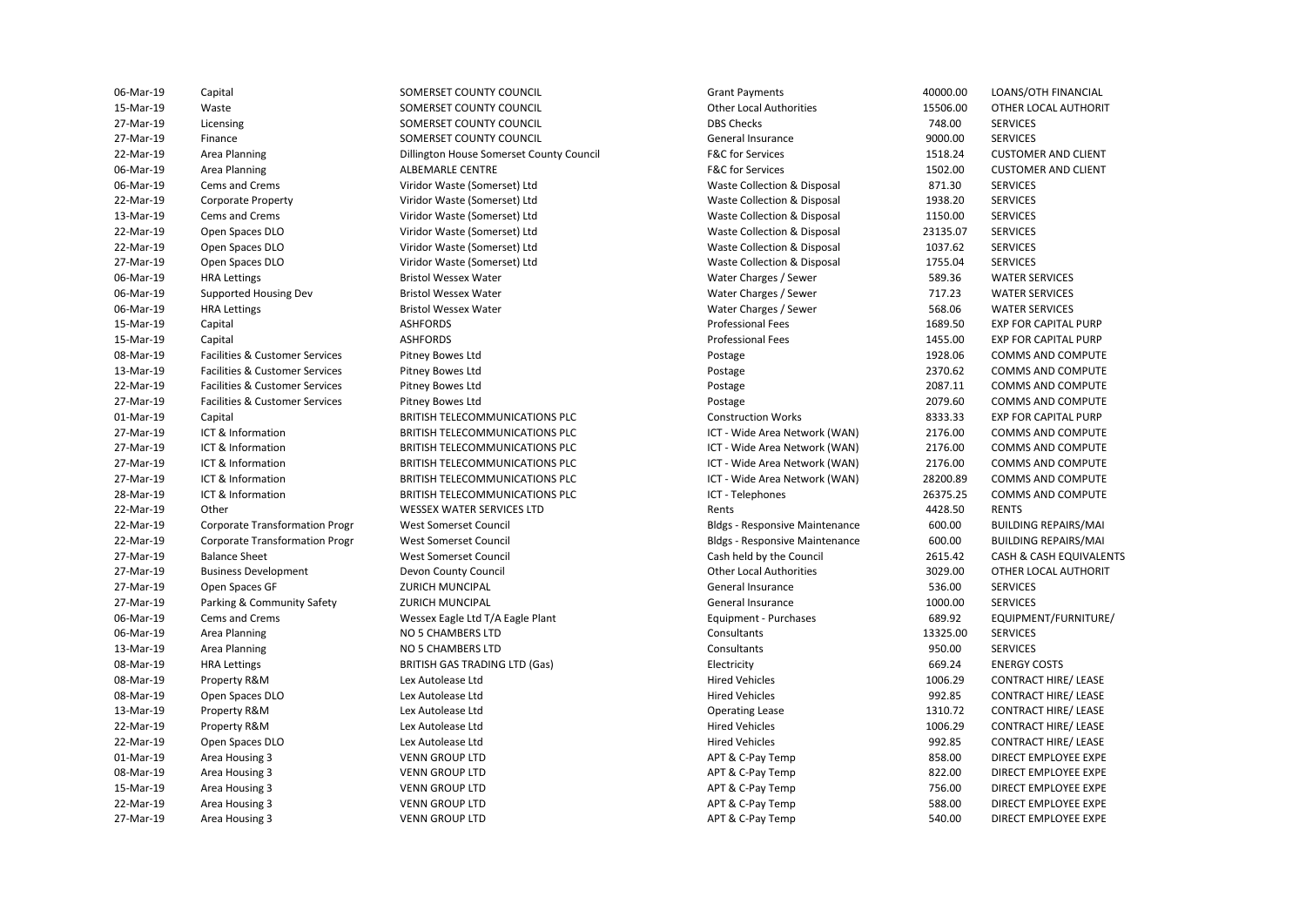27-Mar-19 Finance SOMERSET COUNTY COUNCIL General Insurance 9000.00 SERVICES 06-Mar-19 Cems and Crems Viridor Waste (Somerset) Ltd Waste Collection & Disposal 871.30 SERVICES 13-Mar-19 Cems and Crems **Marting Community Constant Constant Constant** Waste Collection & Disposal 1150.00 SERVICES 22-Mar-19 Open Spaces DLO Viridor Waste (Somerset) Ltd Waste Collection & Disposal 23135.07 SERVICES 22-Mar-19 Open Spaces DLO Viridor Waste (Somerset) Ltd Waste Collection & Disposal 1037.62 SERVICES 27-Mar-19 Open Spaces DLO Viridor Waste (Somerset) Ltd Waste Collection & Disposal 1755.04 SERVICES 27-Mar-19 ICT & Information BRITISH TELECOMMUNICATIONS PLC ICT - Wide Area Network (WAN) 2176.00 COMMS AND COMPUTE 27-Mar-19 ICT & Information BRITISH TELECOMMUNICATIONS PLC ICT - Wide Area Network (WAN) 28200.89 COMMS AND COMPUTE 22-Mar-19 Other Chern Chern WESSEX WATER SERVICES LTD Chern Rents Rents Alta A428.50 RENTS 22-Mar-19 Corporate Transformation Progr West Somerset Council Bldgs - Responsive Maintenance 600.00 BUILDING REPAIRS/MAI 22-Mar-19 Corporate Transformation Progr West Somerset Council Bldgs - Responsive Maintenance 600.00 BUILDING REPAIRS/MAI 06-Mar-19 Cems and Crems **Messex Eagle Ltd T/A Eagle Plant** Equipment - Purchases 689.92 EQUIPMENT/FURNITURE/ 08-Mar-19 HRA Lettings BRITISH GAS TRADING LTD (Gas) Electricity 669.24 ENERGY COSTS 06-Mar-19 Capital SOMERSET COUNTY COUNCIL Grant Payments 40000.00 LOANS/OTH FINANCIAL 15-Mar-19 Waste SOMERSET COUNTY COUNCIL Other Local Authorities 15506.00 OTHER LOCAL AUTHORIT 27-Mar-19 Licensing Comerset COUNTY COUNTY COUNCIL DBS Checks DBS Checks 748.00 SERVICES 22-Mar-19 Area Planning Computer of Dillington House Somerset County Council F&C for Services 1518.24 Customer And Client 06-Mar-19 Area Planning **ALBEMARLE CENTRE ALBEMARLE CENTRE** F&C for Services **1502.00** CUSTOMER AND CLIENT 22-Mar-19 Corporate Property Viridor Waste (Somerset) Ltd Waste Collection & Disposal 1938.20 SERVICES 06-Mar-19 HRA Lettings Bristol Wessex Water Water Charges / Sewer 589.36 WATER SERVICES 06-Mar-19 Supported Housing Dev Bristol Wessex Water Water Charges / Sewer 717.23 WATER SERVICES 06-Mar-19 HRA Lettings Bristol Wessex Water Water Charges / Sewer 568.06 WATER SERVICES 15-Mar-19 Capital Capital ASHFORDS ASHEORDS ASHEORDS AND Professional Fees 2689.50 EXP FOR CAPITAL PURP 15-Mar-19 Capital Capital ASHFORDS ASHEORDS ASHEORDS AND Professional Fees 21455.00 EXP FOR CAPITAL PURP 08-Mar-19 Facilities & Customer Services Pitney Bowes Ltd Postage Postage Postage 1928.06 COMMS AND COMPUTE 13-Mar-19 Facilities & Customer Services Pitney Bowes Ltd Philosophy (Postage 2370.62 COMMS AND COMPUTE<br>19-Mar-19 Facilities & Customer Services Pitney Bowes Ltd Postage Postage Postage 2370.62 COMMS AND COMPUTE 22-Mar-19 Facilities & Customer Services Pitney Bowes Ltd Postage 2087.11 COMMS AND COMPUTE 27-Mar-19 Facilities & Customer Services Pitney Bowes Ltd Postage Postage Postage 2079.60 COMMS AND COMPUTE 01-Mar-19 Capital Capital BRITISH TELECOMMUNICATIONS PLC Construction Works Construction Works 8333.33 27-Mar-19 ICT & Information **ICT BRITISH TELECOMMUNICATIONS PLC** ICT - Wide Area Network (WAN) 2176.00 COMMS AND COMPUTE<br>27-Mar-19 ICT & Information BRITISH TELECOMMUNICATIONS PLC ICT - Wide Area Network (WAN) 2176.00 COMM 27-Mar-19 ICT & Information **BRITISH TELECOMMUNICATIONS PLC** ICT - Wide Area Network (WAN) 2176.00 COMMS AND COMPUTE 28-Mar-19 ICT & Information **ICT BRITISH TELECOMMUNICATIONS PLC** ICT - Telephones 26375.25 COMMS AND COMPUTE 27-Mar-19 Balance Sheet West Somerset Council Cash held by the Council 2615.42 CASH & CASH EQUIVALENTS 27-Mar-19 Business Development Devon County Council Other Local Authorities 3029.00 OTHER LOCAL AUTHORIT 27-Mar-19 Open Spaces GF North States And Allen States and Allen States and General Insurance 536.00 SERVICES 27-Mar-19 Parking & Community Safety ZURICH MUNCIPAL CHANGER CHANGER General Insurance 2000.00 SERVICES 06-Mar-19 Area Planning NO 5 CHAMBERS LTD Consultants Consultants 13325.00 SERVICES 13-Mar-19 Area Planning **NO 5 CHAMBERS LTD** Consultants Consultants 950.00 SERVICES 08-Mar-19 Property R&M Lex Autolease Ltd Hired Vehicles 1006.29 CONTRACT HIRE/ LEASE 08-Mar-19 Open Spaces DLO Lex Autolease Ltd Hired Vehicles 992.85 CONTRACT HIRE/ LEASE 13-Mar-19 Property R&M Lex Autolease Ltd Operating Lease 1310.72 CONTRACT HIRE/ LEASE 22-Mar-19 Property R&M Lex Autolease Ltd Hired Vehicles 1006.29 CONTRACT HIRE/ LEASE 22-Mar-19 Open Spaces DLO Lex Autolease Ltd Hired Vehicles 992.85 CONTRACT HIRE/ LEASE 01-Mar-19 Area Housing 3 VENN GROUP LTD APT & C-Pay Temp 858.00 DIRECT EMPLOYEE EXPE 08-Mar-19 Area Housing 3 VENN GROUP LTD APT & C-Pay Temp 822.00 DIRECT EMPLOYEE EXPE 15-Mar-19 Area Housing 3 VENN GROUP LTD APT & C-Pay Temp 756.00 DIRECT EMPLOYEE EXPE 22-Mar-19 Area Housing 3 VENN GROUP LTD APT & C-Pay Temp 588.00 DIRECT EMPLOYEE EXPE 27-Mar-19 Area Housing 3 VENN GROUP LTD APT & C-Pay Temp 540.00 DIRECT EMPLOYEE EXPE

SOMERSET COUNTY COUNCIL SOMERSET COUNTY COUNCIL SOMERSET COUNTY COUNCIL Viridor Waste (Somerset) Ltd **Bristol Wessex Water Bristol Wessex Water Bristol Wessex Water**<br>ASHEORDS Pitney Bowes Ltd Pitney Bowes Ltd Pitney Bowes Ltd Pitney Bowes Ltd Lex Autolease Ltd Lex Autolease Ltd Lex Autolease Ltd Lex Autolease Ltd Lex Autolease Ltd **VENN GROUP LTD VENN GROUP LTD VENN GROUP LTD VENN GROUP LTD VENN GROUP LTD** 

ICT - Wide Area Network (WAN) ICT - Wide Area Network (WAN) ICT - Telephones Cash held by the Council

**CUSTOMER AND CLIENT CUSTOMER AND CLIENT EXP FOR CAPITAL PURP FXP FOR CAPITAL PURP FXP FOR CAPITAL PURP** OTHER LOCAL AUTHORIT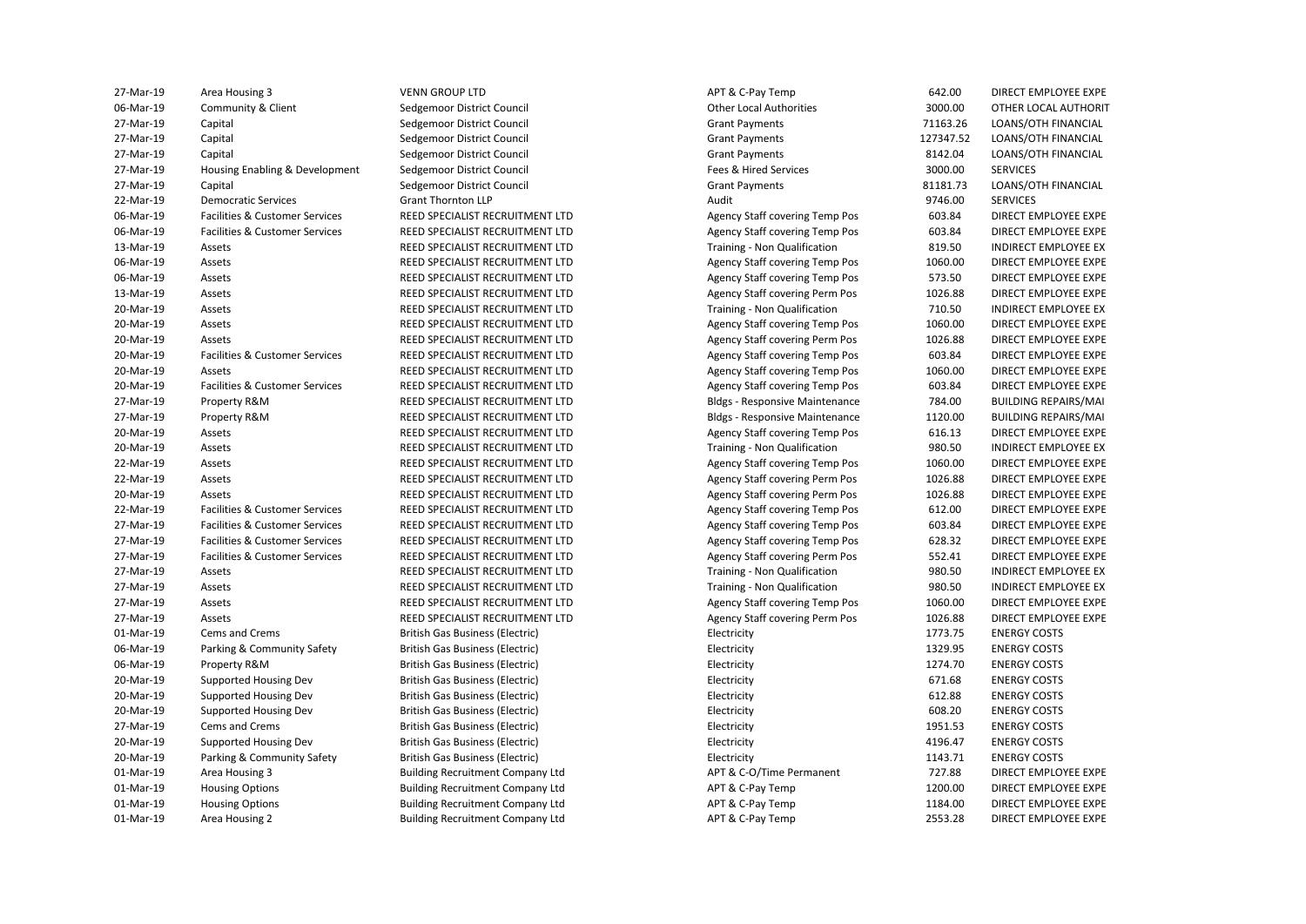| 27-Mar-19   | Area Housing 3                 | <b>VENN GROUP LTD</b>                   | APT & C-Pay Temp                      | 642.00    | DIRECT EMPLOYEE EXPE        |
|-------------|--------------------------------|-----------------------------------------|---------------------------------------|-----------|-----------------------------|
| 06-Mar-19   | Community & Client             | Sedgemoor District Council              | <b>Other Local Authorities</b>        | 3000.00   | OTHER LOCAL AUTHORIT        |
| 27-Mar-19   | Capital                        | Sedgemoor District Council              | <b>Grant Payments</b>                 | 71163.26  | LOANS/OTH FINANCIAL         |
| 27-Mar-19   | Capital                        | Sedgemoor District Council              | <b>Grant Payments</b>                 | 127347.52 | LOANS/OTH FINANCIAL         |
| 27-Mar-19   | Capital                        | Sedgemoor District Council              | <b>Grant Payments</b>                 | 8142.04   | LOANS/OTH FINANCIAL         |
| 27-Mar-19   | Housing Enabling & Development | Sedgemoor District Council              | Fees & Hired Services                 | 3000.00   | <b>SERVICES</b>             |
| 27-Mar-19   | Capital                        | Sedgemoor District Council              | <b>Grant Payments</b>                 | 81181.73  | LOANS/OTH FINANCIAL         |
| 22-Mar-19   | <b>Democratic Services</b>     | <b>Grant Thornton LLP</b>               | Audit                                 | 9746.00   | <b>SERVICES</b>             |
| 06-Mar-19   | Facilities & Customer Services | REED SPECIALIST RECRUITMENT LTD         | <b>Agency Staff covering Temp Pos</b> | 603.84    | DIRECT EMPLOYEE EXPE        |
| 06-Mar-19   | Facilities & Customer Services | REED SPECIALIST RECRUITMENT LTD         | <b>Agency Staff covering Temp Pos</b> | 603.84    | DIRECT EMPLOYEE EXPE        |
| 13-Mar-19   | Assets                         | REED SPECIALIST RECRUITMENT LTD         | Training - Non Qualification          | 819.50    | INDIRECT EMPLOYEE EX        |
| 06-Mar-19   | Assets                         | REED SPECIALIST RECRUITMENT LTD         | <b>Agency Staff covering Temp Pos</b> | 1060.00   | DIRECT EMPLOYEE EXPE        |
| 06-Mar-19   | Assets                         | REED SPECIALIST RECRUITMENT LTD         | <b>Agency Staff covering Temp Pos</b> | 573.50    | DIRECT EMPLOYEE EXPE        |
| 13-Mar-19   | Assets                         | REED SPECIALIST RECRUITMENT LTD         | <b>Agency Staff covering Perm Pos</b> | 1026.88   | DIRECT EMPLOYEE EXPE        |
| 20-Mar-19   | Assets                         | REED SPECIALIST RECRUITMENT LTD         | Training - Non Qualification          | 710.50    | <b>INDIRECT EMPLOYEE EX</b> |
| 20-Mar-19   | Assets                         | REED SPECIALIST RECRUITMENT LTD         | Agency Staff covering Temp Pos        | 1060.00   | DIRECT EMPLOYEE EXPE        |
| 20-Mar-19   | Assets                         | REED SPECIALIST RECRUITMENT LTD         | Agency Staff covering Perm Pos        | 1026.88   | DIRECT EMPLOYEE EXPE        |
| 20-Mar-19   | Facilities & Customer Services | REED SPECIALIST RECRUITMENT LTD         | <b>Agency Staff covering Temp Pos</b> | 603.84    | DIRECT EMPLOYEE EXPE        |
| 20-Mar-19   | Assets                         | REED SPECIALIST RECRUITMENT LTD         | Agency Staff covering Temp Pos        | 1060.00   | DIRECT EMPLOYEE EXPE        |
| 20-Mar-19   | Facilities & Customer Services | REED SPECIALIST RECRUITMENT LTD         | <b>Agency Staff covering Temp Pos</b> | 603.84    | DIRECT EMPLOYEE EXPE        |
| 27-Mar-19   | Property R&M                   | REED SPECIALIST RECRUITMENT LTD         | <b>Bldgs - Responsive Maintenance</b> | 784.00    | <b>BUILDING REPAIRS/MAI</b> |
| 27-Mar-19   | Property R&M                   | REED SPECIALIST RECRUITMENT LTD         | <b>Bldgs - Responsive Maintenance</b> | 1120.00   | <b>BUILDING REPAIRS/MAI</b> |
| 20-Mar-19   | Assets                         | REED SPECIALIST RECRUITMENT LTD         | <b>Agency Staff covering Temp Pos</b> | 616.13    | DIRECT EMPLOYEE EXPE        |
| 20-Mar-19   | Assets                         | REED SPECIALIST RECRUITMENT LTD         | Training - Non Qualification          | 980.50    | <b>INDIRECT EMPLOYEE EX</b> |
| 22-Mar-19   | Assets                         | REED SPECIALIST RECRUITMENT LTD         | Agency Staff covering Temp Pos        | 1060.00   | DIRECT EMPLOYEE EXPE        |
| 22-Mar-19   | Assets                         | REED SPECIALIST RECRUITMENT LTD         | Agency Staff covering Perm Pos        | 1026.88   | DIRECT EMPLOYEE EXPE        |
| 20-Mar-19   | Assets                         | REED SPECIALIST RECRUITMENT LTD         | Agency Staff covering Perm Pos        | 1026.88   | DIRECT EMPLOYEE EXPE        |
| 22-Mar-19   | Facilities & Customer Services | REED SPECIALIST RECRUITMENT LTD         | Agency Staff covering Temp Pos        | 612.00    | DIRECT EMPLOYEE EXPE        |
| 27-Mar-19   | Facilities & Customer Services | REED SPECIALIST RECRUITMENT LTD         | <b>Agency Staff covering Temp Pos</b> | 603.84    | DIRECT EMPLOYEE EXPE        |
| 27-Mar-19   | Facilities & Customer Services | REED SPECIALIST RECRUITMENT LTD         | <b>Agency Staff covering Temp Pos</b> | 628.32    | DIRECT EMPLOYEE EXPE        |
| 27-Mar-19   | Facilities & Customer Services | REED SPECIALIST RECRUITMENT LTD         | <b>Agency Staff covering Perm Pos</b> | 552.41    | DIRECT EMPLOYEE EXPE        |
| 27-Mar-19   | Assets                         | REED SPECIALIST RECRUITMENT LTD         | Training - Non Qualification          | 980.50    | INDIRECT EMPLOYEE EX        |
| 27-Mar-19   | Assets                         | REED SPECIALIST RECRUITMENT LTD         | Training - Non Qualification          | 980.50    | <b>INDIRECT EMPLOYEE EX</b> |
| 27-Mar-19   | Assets                         | REED SPECIALIST RECRUITMENT LTD         | <b>Agency Staff covering Temp Pos</b> | 1060.00   | DIRECT EMPLOYEE EXPE        |
| 27-Mar-19   | Assets                         | REED SPECIALIST RECRUITMENT LTD         | Agency Staff covering Perm Pos        | 1026.88   | DIRECT EMPLOYEE EXPE        |
| 01-Mar-19   | Cems and Crems                 | British Gas Business (Electric)         | Electricity                           | 1773.75   | <b>ENERGY COSTS</b>         |
| 06-Mar-19   | Parking & Community Safety     | British Gas Business (Electric)         | Electricity                           | 1329.95   | <b>ENERGY COSTS</b>         |
| 06-Mar-19   | Property R&M                   | British Gas Business (Electric)         | Electricity                           | 1274.70   | <b>ENERGY COSTS</b>         |
| 20-Mar-19   | Supported Housing Dev          | British Gas Business (Electric)         | Electricity                           | 671.68    | <b>ENERGY COSTS</b>         |
| 20-Mar-19   | Supported Housing Dev          | British Gas Business (Electric)         | Electricity                           | 612.88    | <b>ENERGY COSTS</b>         |
| 20-Mar-19   | Supported Housing Dev          | <b>British Gas Business (Electric)</b>  | Electricity                           | 608.20    | <b>ENERGY COSTS</b>         |
| 27-Mar-19   | Cems and Crems                 | <b>British Gas Business (Electric)</b>  | Electricity                           | 1951.53   | <b>ENERGY COSTS</b>         |
| 20-Mar-19   | Supported Housing Dev          | <b>British Gas Business (Electric)</b>  | Electricity                           | 4196.47   | <b>ENERGY COSTS</b>         |
| 20-Mar-19   | Parking & Community Safety     | British Gas Business (Electric)         | Electricity                           | 1143.71   | <b>ENERGY COSTS</b>         |
| 01-Mar-19   | Area Housing 3                 | <b>Building Recruitment Company Ltd</b> | APT & C-O/Time Permanent              | 727.88    | DIRECT EMPLOYEE EXPE        |
| 01-Mar-19   | <b>Housing Options</b>         | <b>Building Recruitment Company Ltd</b> | APT & C-Pay Temp                      | 1200.00   | DIRECT EMPLOYEE EXPE        |
| 01-Mar-19   | <b>Housing Options</b>         | <b>Building Recruitment Company Ltd</b> | APT & C-Pay Temp                      | 1184.00   | DIRECT EMPLOYEE EXPE        |
| $01-Mar-19$ | Area Housing 2                 | <b>Building Recruitment Company Ltd</b> | APT & C-Pay Temp                      | 2553.28   | DIRECT EMPLOYEE EXPE        |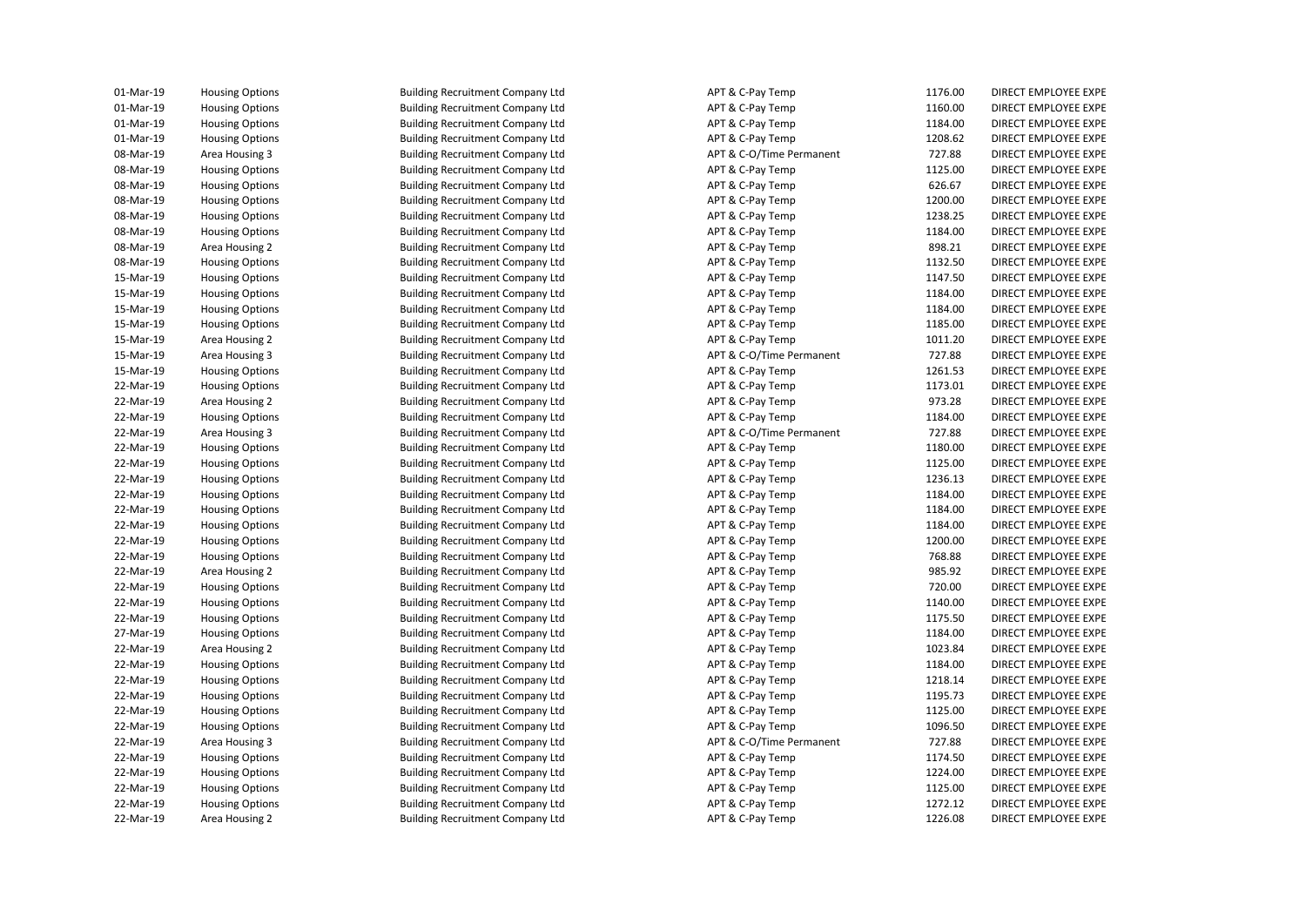| 01-Mar-19 | <b>Housing Options</b> | <b>Building Recruitment Company Ltd</b> | APT & C-Pay Temp         | 1176.00 | DIRECT EMPLOYEE EXPE |
|-----------|------------------------|-----------------------------------------|--------------------------|---------|----------------------|
| 01-Mar-19 | <b>Housing Options</b> | <b>Building Recruitment Company Ltd</b> | APT & C-Pay Temp         | 1160.00 | DIRECT EMPLOYEE EXPE |
| 01-Mar-19 | <b>Housing Options</b> | <b>Building Recruitment Company Ltd</b> | APT & C-Pay Temp         | 1184.00 | DIRECT EMPLOYEE EXPE |
| 01-Mar-19 | <b>Housing Options</b> | <b>Building Recruitment Company Ltd</b> | APT & C-Pay Temp         | 1208.62 | DIRECT EMPLOYEE EXPE |
| 08-Mar-19 | Area Housing 3         | <b>Building Recruitment Company Ltd</b> | APT & C-O/Time Permanent | 727.88  | DIRECT EMPLOYEE EXPE |
| 08-Mar-19 | <b>Housing Options</b> | <b>Building Recruitment Company Ltd</b> | APT & C-Pay Temp         | 1125.00 | DIRECT EMPLOYEE EXPE |
| 08-Mar-19 | <b>Housing Options</b> | <b>Building Recruitment Company Ltd</b> | APT & C-Pay Temp         | 626.67  | DIRECT EMPLOYEE EXPE |
| 08-Mar-19 | <b>Housing Options</b> | <b>Building Recruitment Company Ltd</b> | APT & C-Pay Temp         | 1200.00 | DIRECT EMPLOYEE EXPE |
| 08-Mar-19 | <b>Housing Options</b> | <b>Building Recruitment Company Ltd</b> | APT & C-Pay Temp         | 1238.25 | DIRECT EMPLOYEE EXPE |
| 08-Mar-19 | <b>Housing Options</b> | <b>Building Recruitment Company Ltd</b> | APT & C-Pay Temp         | 1184.00 | DIRECT EMPLOYEE EXPE |
| 08-Mar-19 | Area Housing 2         | <b>Building Recruitment Company Ltd</b> | APT & C-Pay Temp         | 898.21  | DIRECT EMPLOYEE EXPE |
| 08-Mar-19 | <b>Housing Options</b> | <b>Building Recruitment Company Ltd</b> | APT & C-Pay Temp         | 1132.50 | DIRECT EMPLOYEE EXPE |
| 15-Mar-19 | <b>Housing Options</b> | <b>Building Recruitment Company Ltd</b> | APT & C-Pay Temp         | 1147.50 | DIRECT EMPLOYEE EXPE |
| 15-Mar-19 | <b>Housing Options</b> | <b>Building Recruitment Company Ltd</b> | APT & C-Pay Temp         | 1184.00 | DIRECT EMPLOYEE EXPE |
| 15-Mar-19 | <b>Housing Options</b> | <b>Building Recruitment Company Ltd</b> | APT & C-Pay Temp         | 1184.00 | DIRECT EMPLOYEE EXPE |
| 15-Mar-19 | <b>Housing Options</b> | <b>Building Recruitment Company Ltd</b> | APT & C-Pay Temp         | 1185.00 | DIRECT EMPLOYEE EXPE |
|           |                        |                                         |                          |         |                      |
| 15-Mar-19 | Area Housing 2         | <b>Building Recruitment Company Ltd</b> | APT & C-Pay Temp         | 1011.20 | DIRECT EMPLOYEE EXPE |
| 15-Mar-19 | Area Housing 3         | <b>Building Recruitment Company Ltd</b> | APT & C-O/Time Permanent | 727.88  | DIRECT EMPLOYEE EXPE |
| 15-Mar-19 | <b>Housing Options</b> | <b>Building Recruitment Company Ltd</b> | APT & C-Pay Temp         | 1261.53 | DIRECT EMPLOYEE EXPE |
| 22-Mar-19 | <b>Housing Options</b> | <b>Building Recruitment Company Ltd</b> | APT & C-Pay Temp         | 1173.01 | DIRECT EMPLOYEE EXPE |
| 22-Mar-19 | Area Housing 2         | <b>Building Recruitment Company Ltd</b> | APT & C-Pay Temp         | 973.28  | DIRECT EMPLOYEE EXPE |
| 22-Mar-19 | <b>Housing Options</b> | <b>Building Recruitment Company Ltd</b> | APT & C-Pay Temp         | 1184.00 | DIRECT EMPLOYEE EXPE |
| 22-Mar-19 | Area Housing 3         | <b>Building Recruitment Company Ltd</b> | APT & C-O/Time Permanent | 727.88  | DIRECT EMPLOYEE EXPE |
| 22-Mar-19 | <b>Housing Options</b> | <b>Building Recruitment Company Ltd</b> | APT & C-Pay Temp         | 1180.00 | DIRECT EMPLOYEE EXPE |
| 22-Mar-19 | <b>Housing Options</b> | <b>Building Recruitment Company Ltd</b> | APT & C-Pay Temp         | 1125.00 | DIRECT EMPLOYEE EXPE |
| 22-Mar-19 | <b>Housing Options</b> | <b>Building Recruitment Company Ltd</b> | APT & C-Pay Temp         | 1236.13 | DIRECT EMPLOYEE EXPE |
| 22-Mar-19 | <b>Housing Options</b> | <b>Building Recruitment Company Ltd</b> | APT & C-Pay Temp         | 1184.00 | DIRECT EMPLOYEE EXPE |
| 22-Mar-19 | <b>Housing Options</b> | <b>Building Recruitment Company Ltd</b> | APT & C-Pay Temp         | 1184.00 | DIRECT EMPLOYEE EXPE |
| 22-Mar-19 | <b>Housing Options</b> | <b>Building Recruitment Company Ltd</b> | APT & C-Pay Temp         | 1184.00 | DIRECT EMPLOYEE EXPE |
| 22-Mar-19 | <b>Housing Options</b> | <b>Building Recruitment Company Ltd</b> | APT & C-Pay Temp         | 1200.00 | DIRECT EMPLOYEE EXPE |
| 22-Mar-19 | <b>Housing Options</b> | <b>Building Recruitment Company Ltd</b> | APT & C-Pay Temp         | 768.88  | DIRECT EMPLOYEE EXPE |
| 22-Mar-19 | Area Housing 2         | <b>Building Recruitment Company Ltd</b> | APT & C-Pay Temp         | 985.92  | DIRECT EMPLOYEE EXPE |
| 22-Mar-19 | <b>Housing Options</b> | <b>Building Recruitment Company Ltd</b> | APT & C-Pay Temp         | 720.00  | DIRECT EMPLOYEE EXPE |
| 22-Mar-19 | <b>Housing Options</b> | <b>Building Recruitment Company Ltd</b> | APT & C-Pay Temp         | 1140.00 | DIRECT EMPLOYEE EXPE |
| 22-Mar-19 | <b>Housing Options</b> | <b>Building Recruitment Company Ltd</b> | APT & C-Pay Temp         | 1175.50 | DIRECT EMPLOYEE EXPE |
| 27-Mar-19 | <b>Housing Options</b> | <b>Building Recruitment Company Ltd</b> | APT & C-Pay Temp         | 1184.00 | DIRECT EMPLOYEE EXPE |
| 22-Mar-19 | Area Housing 2         | <b>Building Recruitment Company Ltd</b> | APT & C-Pay Temp         | 1023.84 | DIRECT EMPLOYEE EXPE |
| 22-Mar-19 | <b>Housing Options</b> | <b>Building Recruitment Company Ltd</b> | APT & C-Pay Temp         | 1184.00 | DIRECT EMPLOYEE EXPE |
| 22-Mar-19 | <b>Housing Options</b> | <b>Building Recruitment Company Ltd</b> | APT & C-Pay Temp         | 1218.14 | DIRECT EMPLOYEE EXPE |
| 22-Mar-19 | <b>Housing Options</b> | <b>Building Recruitment Company Ltd</b> | APT & C-Pay Temp         | 1195.73 | DIRECT EMPLOYEE EXPE |
| 22-Mar-19 | <b>Housing Options</b> | <b>Building Recruitment Company Ltd</b> | APT & C-Pay Temp         | 1125.00 | DIRECT EMPLOYEE EXPE |
| 22-Mar-19 | <b>Housing Options</b> | <b>Building Recruitment Company Ltd</b> | APT & C-Pay Temp         | 1096.50 | DIRECT EMPLOYEE EXPE |
| 22-Mar-19 | Area Housing 3         | <b>Building Recruitment Company Ltd</b> | APT & C-O/Time Permanent | 727.88  | DIRECT EMPLOYEE EXPE |
| 22-Mar-19 | <b>Housing Options</b> | <b>Building Recruitment Company Ltd</b> | APT & C-Pay Temp         | 1174.50 | DIRECT EMPLOYEE EXPE |
| 22-Mar-19 | <b>Housing Options</b> | <b>Building Recruitment Company Ltd</b> | APT & C-Pay Temp         | 1224.00 | DIRECT EMPLOYEE EXPE |
| 22-Mar-19 | <b>Housing Options</b> | <b>Building Recruitment Company Ltd</b> | APT & C-Pay Temp         | 1125.00 | DIRECT EMPLOYEE EXPE |
| 22-Mar-19 | <b>Housing Options</b> | <b>Building Recruitment Company Ltd</b> | APT & C-Pay Temp         | 1272.12 | DIRECT EMPLOYEE EXPE |
| 22-Mar-19 | Area Housing 2         | <b>Building Recruitment Company Ltd</b> | APT & C-Pay Temp         | 1226.08 | DIRECT EMPLOYEE EXPE |
|           |                        |                                         |                          |         |                      |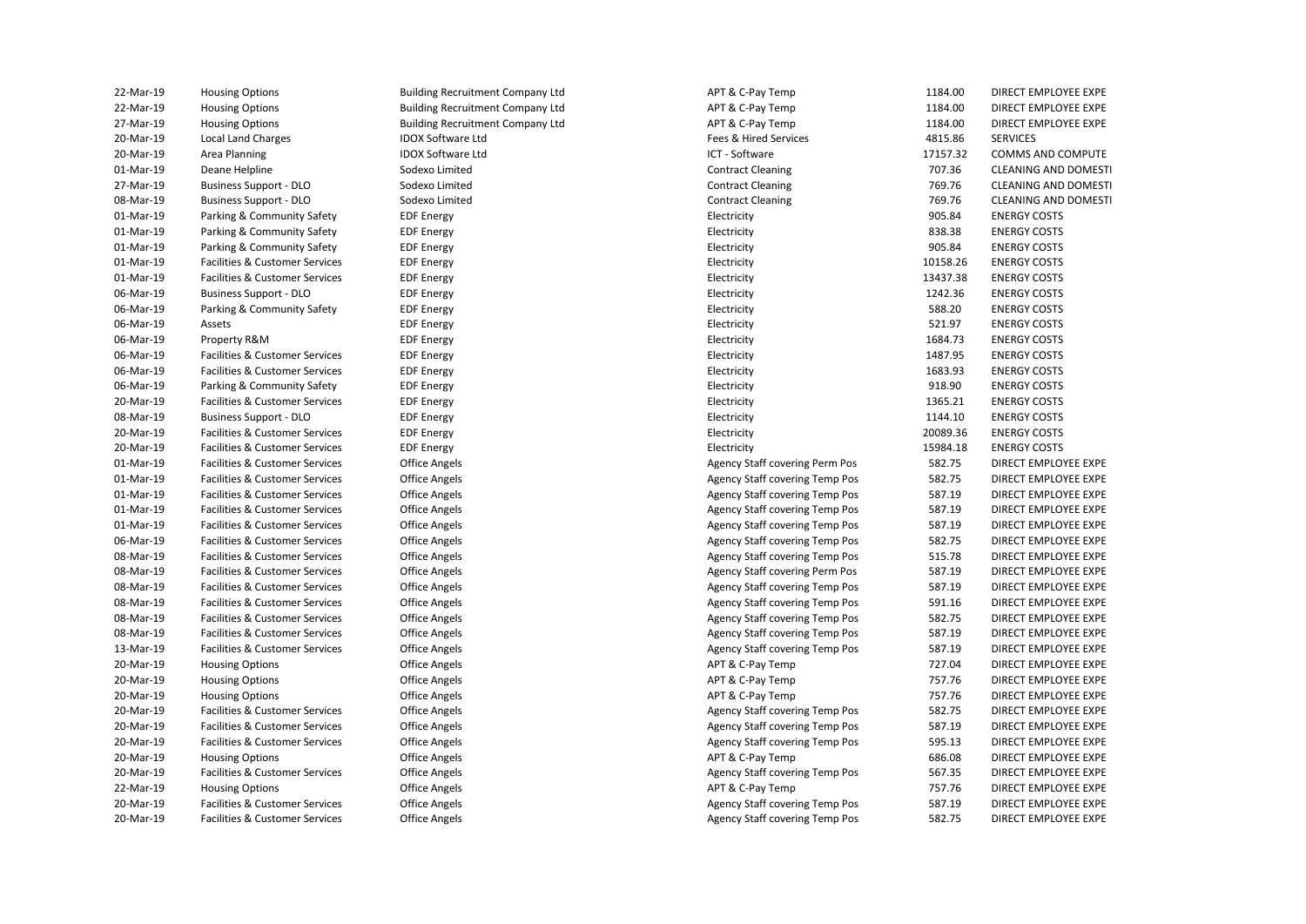| 22-Mar-19 | <b>Housing Options</b>                    | <b>Building Recruitment Company Ltd</b> | APT & C-Pay Temp                      | 1184.00  | DIRECT EMPLOYEE EXPE        |
|-----------|-------------------------------------------|-----------------------------------------|---------------------------------------|----------|-----------------------------|
| 22-Mar-19 | <b>Housing Options</b>                    | <b>Building Recruitment Company Ltd</b> | APT & C-Pay Temp                      | 1184.00  | DIRECT EMPLOYEE EXPE        |
| 27-Mar-19 | <b>Housing Options</b>                    | <b>Building Recruitment Company Ltd</b> | APT & C-Pay Temp                      | 1184.00  | DIRECT EMPLOYEE EXPE        |
| 20-Mar-19 | Local Land Charges                        | <b>IDOX Software Ltd</b>                | Fees & Hired Services                 | 4815.86  | <b>SERVICES</b>             |
| 20-Mar-19 | Area Planning                             | <b>IDOX Software Ltd</b>                | ICT - Software                        | 17157.32 | COMMS AND COMPUTE           |
| 01-Mar-19 | Deane Helpline                            | Sodexo Limited                          | <b>Contract Cleaning</b>              | 707.36   | CLEANING AND DOMESTI        |
| 27-Mar-19 | <b>Business Support - DLO</b>             | Sodexo Limited                          | <b>Contract Cleaning</b>              | 769.76   | <b>CLEANING AND DOMESTI</b> |
| 08-Mar-19 | <b>Business Support - DLO</b>             | Sodexo Limited                          | <b>Contract Cleaning</b>              | 769.76   | <b>CLEANING AND DOMESTI</b> |
| 01-Mar-19 | Parking & Community Safety                | <b>EDF Energy</b>                       | Electricity                           | 905.84   | <b>ENERGY COSTS</b>         |
| 01-Mar-19 | Parking & Community Safety                | <b>EDF Energy</b>                       | Electricity                           | 838.38   | <b>ENERGY COSTS</b>         |
| 01-Mar-19 | Parking & Community Safety                | <b>EDF Energy</b>                       | Electricity                           | 905.84   | <b>ENERGY COSTS</b>         |
| 01-Mar-19 | Facilities & Customer Services            | <b>EDF Energy</b>                       | Electricity                           | 10158.26 | <b>ENERGY COSTS</b>         |
| 01-Mar-19 | Facilities & Customer Services            | <b>EDF Energy</b>                       | Electricity                           | 13437.38 | <b>ENERGY COSTS</b>         |
| 06-Mar-19 | <b>Business Support - DLO</b>             | <b>EDF Energy</b>                       | Electricity                           | 1242.36  | <b>ENERGY COSTS</b>         |
| 06-Mar-19 | Parking & Community Safety                | <b>EDF Energy</b>                       | Electricity                           | 588.20   | <b>ENERGY COSTS</b>         |
| 06-Mar-19 | Assets                                    | <b>EDF Energy</b>                       | Electricity                           | 521.97   | <b>ENERGY COSTS</b>         |
| 06-Mar-19 | Property R&M                              | <b>EDF Energy</b>                       | Electricity                           | 1684.73  | <b>ENERGY COSTS</b>         |
| 06-Mar-19 | <b>Facilities &amp; Customer Services</b> | <b>EDF Energy</b>                       | Electricity                           | 1487.95  | <b>ENERGY COSTS</b>         |
| 06-Mar-19 | Facilities & Customer Services            | <b>EDF Energy</b>                       | Electricity                           | 1683.93  | <b>ENERGY COSTS</b>         |
| 06-Mar-19 | Parking & Community Safety                | <b>EDF Energy</b>                       | Electricity                           | 918.90   | <b>ENERGY COSTS</b>         |
| 20-Mar-19 | Facilities & Customer Services            | <b>EDF Energy</b>                       | Electricity                           | 1365.21  | <b>ENERGY COSTS</b>         |
| 08-Mar-19 | <b>Business Support - DLO</b>             | <b>EDF Energy</b>                       | Electricity                           | 1144.10  | <b>ENERGY COSTS</b>         |
| 20-Mar-19 | Facilities & Customer Services            | <b>EDF Energy</b>                       | Electricity                           | 20089.36 | <b>ENERGY COSTS</b>         |
| 20-Mar-19 | Facilities & Customer Services            | <b>EDF Energy</b>                       | Electricity                           | 15984.18 | <b>ENERGY COSTS</b>         |
| 01-Mar-19 | Facilities & Customer Services            | <b>Office Angels</b>                    | Agency Staff covering Perm Pos        | 582.75   | DIRECT EMPLOYEE EXPE        |
| 01-Mar-19 | Facilities & Customer Services            | <b>Office Angels</b>                    | <b>Agency Staff covering Temp Pos</b> | 582.75   | DIRECT EMPLOYEE EXPE        |
| 01-Mar-19 | Facilities & Customer Services            | <b>Office Angels</b>                    | Agency Staff covering Temp Pos        | 587.19   | DIRECT EMPLOYEE EXPE        |
| 01-Mar-19 | Facilities & Customer Services            | <b>Office Angels</b>                    | <b>Agency Staff covering Temp Pos</b> | 587.19   | DIRECT EMPLOYEE EXPE        |
| 01-Mar-19 | Facilities & Customer Services            | Office Angels                           | Agency Staff covering Temp Pos        | 587.19   | DIRECT EMPLOYEE EXPE        |
| 06-Mar-19 | Facilities & Customer Services            | <b>Office Angels</b>                    | <b>Agency Staff covering Temp Pos</b> | 582.75   | DIRECT EMPLOYEE EXPE        |
| 08-Mar-19 | Facilities & Customer Services            | Office Angels                           | <b>Agency Staff covering Temp Pos</b> | 515.78   | DIRECT EMPLOYEE EXPE        |
| 08-Mar-19 | Facilities & Customer Services            | <b>Office Angels</b>                    | Agency Staff covering Perm Pos        | 587.19   | DIRECT EMPLOYEE EXPE        |
| 08-Mar-19 | Facilities & Customer Services            | Office Angels                           | Agency Staff covering Temp Pos        | 587.19   | DIRECT EMPLOYEE EXPE        |
| 08-Mar-19 | Facilities & Customer Services            | <b>Office Angels</b>                    | Agency Staff covering Temp Pos        | 591.16   | DIRECT EMPLOYEE EXPE        |
| 08-Mar-19 | <b>Facilities &amp; Customer Services</b> | <b>Office Angels</b>                    | Agency Staff covering Temp Pos        | 582.75   | DIRECT EMPLOYEE EXPE        |
| 08-Mar-19 | Facilities & Customer Services            | Office Angels                           | Agency Staff covering Temp Pos        | 587.19   | DIRECT EMPLOYEE EXPE        |
| 13-Mar-19 | Facilities & Customer Services            | <b>Office Angels</b>                    | <b>Agency Staff covering Temp Pos</b> | 587.19   | DIRECT EMPLOYEE EXPE        |
| 20-Mar-19 | <b>Housing Options</b>                    | Office Angels                           | APT & C-Pay Temp                      | 727.04   | DIRECT EMPLOYEE EXPE        |
| 20-Mar-19 | <b>Housing Options</b>                    | <b>Office Angels</b>                    | APT & C-Pay Temp                      | 757.76   | DIRECT EMPLOYEE EXPE        |
| 20-Mar-19 | <b>Housing Options</b>                    | <b>Office Angels</b>                    | APT & C-Pay Temp                      | 757.76   | DIRECT EMPLOYEE EXPE        |
| 20-Mar-19 | Facilities & Customer Services            | <b>Office Angels</b>                    | Agency Staff covering Temp Pos        | 582.75   | DIRECT EMPLOYEE EXPE        |
| 20-Mar-19 | Facilities & Customer Services            | <b>Office Angels</b>                    | Agency Staff covering Temp Pos        | 587.19   | DIRECT EMPLOYEE EXPE        |
| 20-Mar-19 | Facilities & Customer Services            | <b>Office Angels</b>                    | Agency Staff covering Temp Pos        | 595.13   | DIRECT EMPLOYEE EXPE        |
| 20-Mar-19 | <b>Housing Options</b>                    | Office Angels                           | APT & C-Pay Temp                      | 686.08   | DIRECT EMPLOYEE EXPE        |
| 20-Mar-19 | Facilities & Customer Services            | Office Angels                           | Agency Staff covering Temp Pos        | 567.35   | DIRECT EMPLOYEE EXPE        |
| 22-Mar-19 | <b>Housing Options</b>                    | <b>Office Angels</b>                    | APT & C-Pay Temp                      | 757.76   | DIRECT EMPLOYEE EXPE        |
| 20-Mar-19 | Facilities & Customer Services            | <b>Office Angels</b>                    | <b>Agency Staff covering Temp Pos</b> | 587.19   | DIRECT EMPLOYEE EXPE        |
| 20-Mar-19 | Facilities & Customer Services            | <b>Office Angels</b>                    | <b>Agency Staff covering Temp Pos</b> | 582.75   | DIRECT EMPLOYEE EXPE        |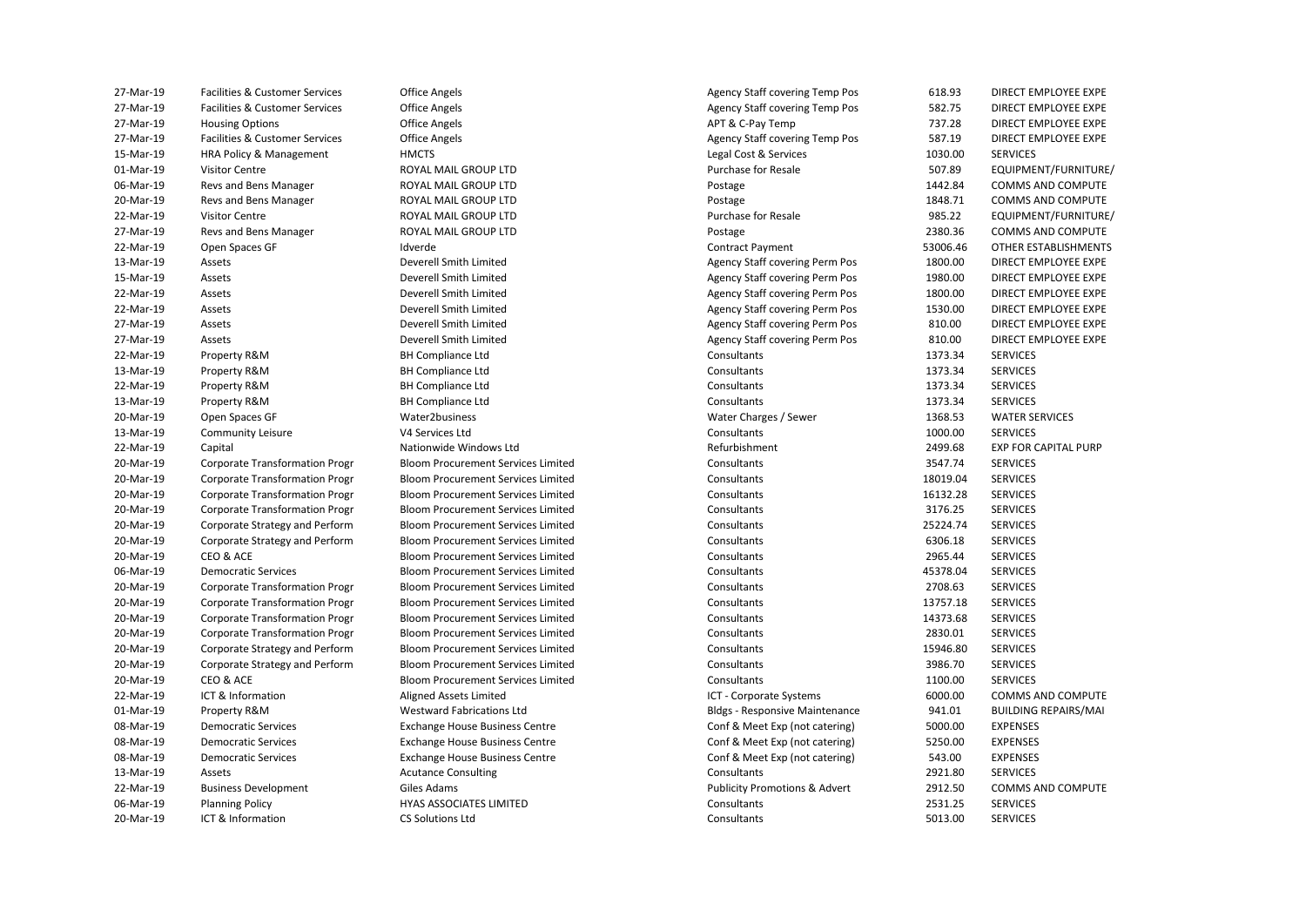| 27-Mar-19 | Facilities & Customer Services                                                 |
|-----------|--------------------------------------------------------------------------------|
| 27-Mar-19 | Facilities & Customer Services                                                 |
| 27-Mar-19 | <b>Housing Options</b>                                                         |
| 27-Mar-19 | Facilities & Customer Services                                                 |
| 15-Mar-19 | HRA Policy & Management                                                        |
| 01-Mar-19 | <b>Visitor Centre</b>                                                          |
| 06-Mar-19 | Revs and Bens Manager                                                          |
| 20-Mar-19 | Revs and Bens Manager                                                          |
| 22-Mar-19 | <b>Visitor Centre</b>                                                          |
| 27-Mar-19 | Revs and Bens Manager                                                          |
| 22-Mar-19 | Open Spaces GF                                                                 |
| 13-Mar-19 | Assets                                                                         |
| 15-Mar-19 | Assets                                                                         |
| 22-Mar-19 | Assets                                                                         |
| 22-Mar-19 | Assets                                                                         |
| 27-Mar-19 | Assets                                                                         |
| 27-Mar-19 | Assets                                                                         |
| 22-Mar-19 | Property R&M                                                                   |
| 13-Mar-19 | Property R&M                                                                   |
| 22-Mar-19 | Property R&M                                                                   |
| 13-Mar-19 | Property R&M                                                                   |
| 20-Mar-19 | Open Spaces GF                                                                 |
| 13-Mar-19 | <b>Community Leisure</b>                                                       |
| 22-Mar-19 | Capital                                                                        |
| 20-Mar-19 | Corporate Transformation Progr                                                 |
| 20-Mar-19 | <b>Corporate Transformation Progr</b>                                          |
| 20-Mar-19 | <b>Corporate Transformation Progr</b>                                          |
| 20-Mar-19 | <b>Corporate Transformation Progr</b>                                          |
| 20-Mar-19 | Corporate Strategy and Perform                                                 |
| 20-Mar-19 | Corporate Strategy and Perform                                                 |
| 20-Mar-19 | CEO & ACE                                                                      |
| 06-Mar-19 | <b>Democratic Services</b>                                                     |
| 20-Mar-19 | <b>Corporate Transformation Progr</b>                                          |
| 20-Mar-19 | <b>Corporate Transformation Progr</b>                                          |
| 20-Mar-19 |                                                                                |
| 20-Mar-19 | <b>Corporate Transformation Progr</b><br><b>Corporate Transformation Progr</b> |
| 20-Mar-19 |                                                                                |
|           | Corporate Strategy and Perform                                                 |
| 20-Mar-19 | Corporate Strategy and Perform                                                 |
| 20-Mar-19 | CEO & ACE<br>ICT & Information                                                 |
| 22-Mar-19 |                                                                                |
| 01-Mar-19 | Property R&M                                                                   |
| 08-Mar-19 | <b>Democratic Services</b>                                                     |
| 08-Mar-19 | <b>Democratic Services</b>                                                     |
| 08-Mar-19 | <b>Democratic Services</b>                                                     |
| 13-Mar-19 | Assets                                                                         |
| 22-Mar-19 | <b>Business Development</b>                                                    |
| 06-Mar-19 | <b>Planning Policy</b>                                                         |
| 20-Mar-19 | ICT & Information                                                              |

| 27-Mar-19 | Facilities & Customer Services        | <b>Office Angels</b>                      | Agency Staff covering Temp Pos           | 618.93   | DIRECT EMPLOYEE EXPE        |
|-----------|---------------------------------------|-------------------------------------------|------------------------------------------|----------|-----------------------------|
| 27-Mar-19 | Facilities & Customer Services        | <b>Office Angels</b>                      | <b>Agency Staff covering Temp Pos</b>    | 582.75   | DIRECT EMPLOYEE EXPE        |
| 27-Mar-19 | <b>Housing Options</b>                | <b>Office Angels</b>                      | APT & C-Pay Temp                         | 737.28   | DIRECT EMPLOYEE EXPE        |
| 27-Mar-19 | Facilities & Customer Services        | <b>Office Angels</b>                      | Agency Staff covering Temp Pos           | 587.19   | DIRECT EMPLOYEE EXPE        |
| 15-Mar-19 | HRA Policy & Management               | <b>HMCTS</b>                              | Legal Cost & Services                    | 1030.00  | <b>SERVICES</b>             |
| 01-Mar-19 | <b>Visitor Centre</b>                 | ROYAL MAIL GROUP LTD                      | Purchase for Resale                      | 507.89   | EQUIPMENT/FURNITURE         |
| 06-Mar-19 | Revs and Bens Manager                 | ROYAL MAIL GROUP LTD                      | Postage                                  | 1442.84  | <b>COMMS AND COMPUTE</b>    |
| 20-Mar-19 | Revs and Bens Manager                 | ROYAL MAIL GROUP LTD                      | Postage                                  | 1848.71  | COMMS AND COMPUTE           |
| 22-Mar-19 | <b>Visitor Centre</b>                 | ROYAL MAIL GROUP LTD                      | <b>Purchase for Resale</b>               | 985.22   | EQUIPMENT/FURNITURE         |
| 27-Mar-19 | Revs and Bens Manager                 | ROYAL MAIL GROUP LTD                      | Postage                                  | 2380.36  | <b>COMMS AND COMPUTE</b>    |
| 22-Mar-19 | Open Spaces GF                        | Idverde                                   | <b>Contract Payment</b>                  | 53006.46 | OTHER ESTABLISHMENTS        |
| 13-Mar-19 | Assets                                | Deverell Smith Limited                    | <b>Agency Staff covering Perm Pos</b>    | 1800.00  | DIRECT EMPLOYEE EXPE        |
| 15-Mar-19 | Assets                                | Deverell Smith Limited                    | Agency Staff covering Perm Pos           | 1980.00  | DIRECT EMPLOYEE EXPE        |
| 22-Mar-19 | Assets                                | Deverell Smith Limited                    | Agency Staff covering Perm Pos           | 1800.00  | DIRECT EMPLOYEE EXPE        |
| 22-Mar-19 | Assets                                | Deverell Smith Limited                    | Agency Staff covering Perm Pos           | 1530.00  | DIRECT EMPLOYEE EXPE        |
| 27-Mar-19 | Assets                                | Deverell Smith Limited                    | Agency Staff covering Perm Pos           | 810.00   | DIRECT EMPLOYEE EXPE        |
| 27-Mar-19 | Assets                                | Deverell Smith Limited                    | <b>Agency Staff covering Perm Pos</b>    | 810.00   | DIRECT EMPLOYEE EXPE        |
| 22-Mar-19 | Property R&M                          | <b>BH Compliance Ltd</b>                  | Consultants                              | 1373.34  | <b>SERVICES</b>             |
| 13-Mar-19 | Property R&M                          | <b>BH Compliance Ltd</b>                  | Consultants                              | 1373.34  | <b>SERVICES</b>             |
| 22-Mar-19 | Property R&M                          | <b>BH Compliance Ltd</b>                  | Consultants                              | 1373.34  | <b>SERVICES</b>             |
| 13-Mar-19 | Property R&M                          | <b>BH Compliance Ltd</b>                  | Consultants                              | 1373.34  | <b>SERVICES</b>             |
| 20-Mar-19 | Open Spaces GF                        | Water2business                            | Water Charges / Sewer                    | 1368.53  | <b>WATER SERVICES</b>       |
| 13-Mar-19 | <b>Community Leisure</b>              | V4 Services Ltd                           | Consultants                              | 1000.00  | <b>SERVICES</b>             |
| 22-Mar-19 | Capital                               | Nationwide Windows Ltd                    | Refurbishment                            | 2499.68  | <b>EXP FOR CAPITAL PURP</b> |
| 20-Mar-19 | <b>Corporate Transformation Progr</b> | <b>Bloom Procurement Services Limited</b> | Consultants                              | 3547.74  | <b>SERVICES</b>             |
| 20-Mar-19 | <b>Corporate Transformation Progr</b> | <b>Bloom Procurement Services Limited</b> | Consultants                              | 18019.04 | <b>SERVICES</b>             |
| 20-Mar-19 | <b>Corporate Transformation Progr</b> | <b>Bloom Procurement Services Limited</b> | Consultants                              | 16132.28 | <b>SERVICES</b>             |
| 20-Mar-19 | <b>Corporate Transformation Progr</b> | <b>Bloom Procurement Services Limited</b> | Consultants                              | 3176.25  | <b>SERVICES</b>             |
| 20-Mar-19 | Corporate Strategy and Perform        | <b>Bloom Procurement Services Limited</b> | Consultants                              | 25224.74 | <b>SERVICES</b>             |
| 20-Mar-19 | Corporate Strategy and Perform        | <b>Bloom Procurement Services Limited</b> | Consultants                              | 6306.18  | <b>SERVICES</b>             |
| 20-Mar-19 | CEO & ACE                             | <b>Bloom Procurement Services Limited</b> | Consultants                              | 2965.44  | <b>SERVICES</b>             |
| 06-Mar-19 | <b>Democratic Services</b>            | <b>Bloom Procurement Services Limited</b> | Consultants                              | 45378.04 | <b>SERVICES</b>             |
| 20-Mar-19 | <b>Corporate Transformation Progr</b> | <b>Bloom Procurement Services Limited</b> | Consultants                              | 2708.63  | <b>SERVICES</b>             |
| 20-Mar-19 | <b>Corporate Transformation Progr</b> | Bloom Procurement Services Limited        | Consultants                              | 13757.18 | <b>SERVICES</b>             |
| 20-Mar-19 | <b>Corporate Transformation Progr</b> | <b>Bloom Procurement Services Limited</b> | Consultants                              | 14373.68 | <b>SERVICES</b>             |
| 20-Mar-19 | <b>Corporate Transformation Progr</b> | <b>Bloom Procurement Services Limited</b> | Consultants                              | 2830.01  | <b>SERVICES</b>             |
| 20-Mar-19 | Corporate Strategy and Perform        | <b>Bloom Procurement Services Limited</b> | Consultants                              | 15946.80 | <b>SERVICES</b>             |
| 20-Mar-19 | Corporate Strategy and Perform        | <b>Bloom Procurement Services Limited</b> | Consultants                              | 3986.70  | <b>SERVICES</b>             |
| 20-Mar-19 | CEO & ACE                             | <b>Bloom Procurement Services Limited</b> | Consultants                              | 1100.00  | <b>SERVICES</b>             |
| 22-Mar-19 | ICT & Information                     | Aligned Assets Limited                    | ICT - Corporate Systems                  | 6000.00  | <b>COMMS AND COMPUTE</b>    |
| 01-Mar-19 | Property R&M                          | <b>Westward Fabrications Ltd</b>          | <b>Bldgs - Responsive Maintenance</b>    | 941.01   | <b>BUILDING REPAIRS/MAI</b> |
| 08-Mar-19 | <b>Democratic Services</b>            | Exchange House Business Centre            | Conf & Meet Exp (not catering)           | 5000.00  | <b>EXPENSES</b>             |
| 08-Mar-19 | <b>Democratic Services</b>            | <b>Exchange House Business Centre</b>     | Conf & Meet Exp (not catering)           | 5250.00  | <b>EXPENSES</b>             |
| 08-Mar-19 | <b>Democratic Services</b>            | <b>Exchange House Business Centre</b>     | Conf & Meet Exp (not catering)           | 543.00   | <b>EXPENSES</b>             |
| 13-Mar-19 | Assets                                | <b>Acutance Consulting</b>                | Consultants                              | 2921.80  | <b>SERVICES</b>             |
| 22-Mar-19 | <b>Business Development</b>           | Giles Adams                               | <b>Publicity Promotions &amp; Advert</b> | 2912.50  | COMMS AND COMPUTE           |
| 06-Mar-19 | <b>Planning Policy</b>                | HYAS ASSOCIATES LIMITED                   | Consultants                              | 2531.25  | <b>SERVICES</b>             |
| 20-Mar-19 | ICT & Information                     | <b>CS Solutions Ltd</b>                   | Consultants                              | 5013.00  | <b>SERVICES</b>             |
|           |                                       |                                           |                                          |          |                             |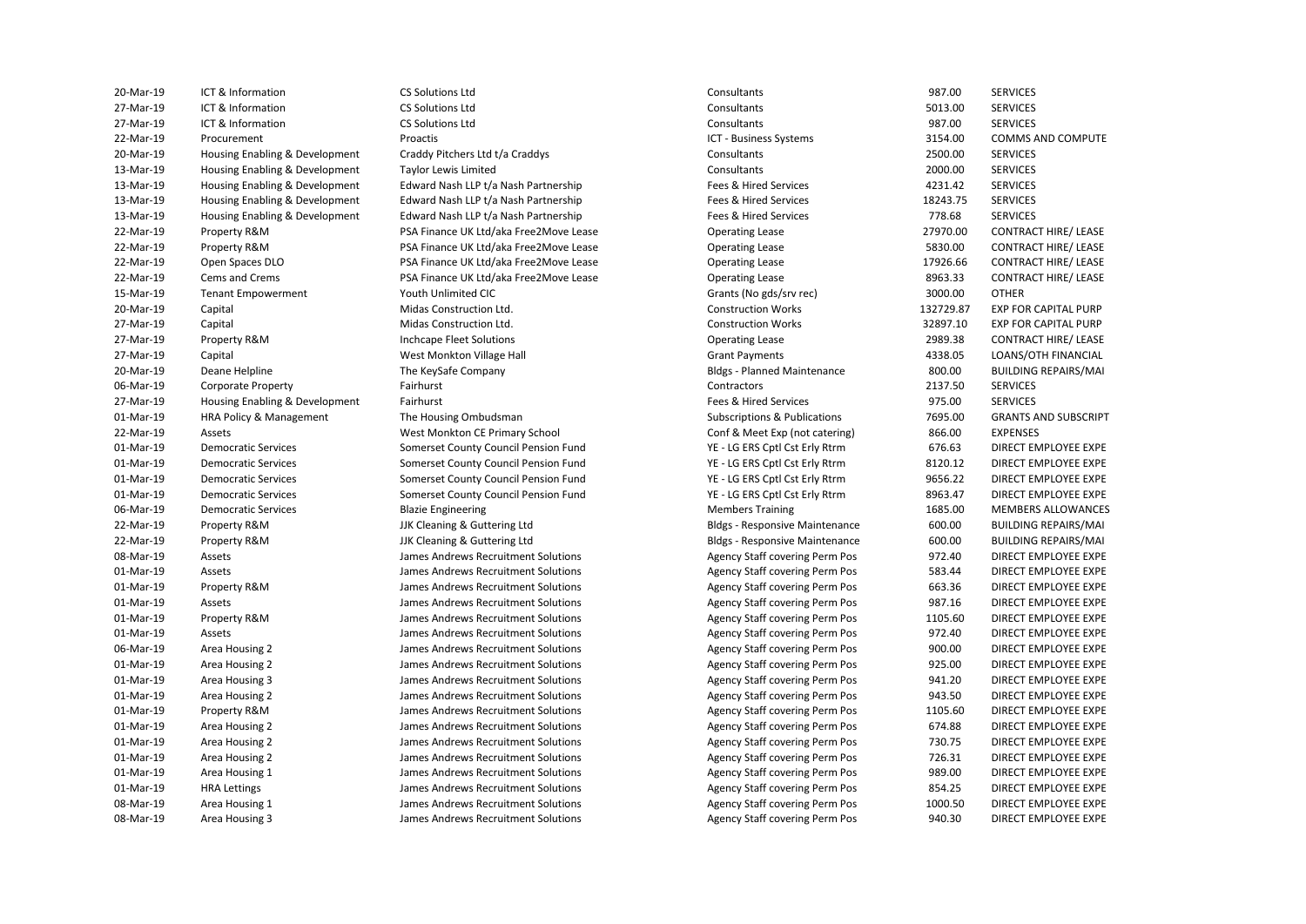20-Mar-19 Housing Enabling & Development Craddy Pitchers Ltd t/a Craddys Consultants 2500.00 SERVICES 13-Mar-19 Housing Enabling & Development Taylor Lewis Limited Consultants 2000.00 SERVICES Housing Enabling & Development 13-Mar-19 Housing Enabling & Development Edward Nash LLP t/a Nash Partnership Fees & Hired Services 18243.75 SERVICES Housing Enabling & Development 22-Mar-19 Property R&M PSA Finance UK Ltd/aka Free2Move Lease Operating Lease 27970.00 CONTRACT HIRE/ LEASE 20 22-Mar-19 Property R&M PSA Finance UK Ltd/aka Free2Move Lease Operating Lease S830.00 CONTRACT HIRE/ LEASE (PASE 22-Mar-19 Open Spaces DLO PSA Finance UK Ltd/aka Free2Move Lease Operating Lease 17926.66 CONTRACT HIRE/ LEASE 22-Mar-19 Cems and Crems **PSA Finance UK Ltd/aka Free2Move Lease** Operating Lease 8963.33 CONTRACT HIRE/ LEASE 15-Mar-19 Tenant Empowerment Youth Unlimited CIC Grants (No gds/srv rec) 3000.00 OTHER 27-Mar-19 Housing Enabling & Development Fairhurst Fees & Hired Services 975.00 SERVICES HRA Policy & Management 22-Mar-19 Assets West Monkton CE Primary School Conf & Meet Exp (not catering) 866.00 EXPENSES 01-Mar-19 Democratic Services Somerset County Council Pension Fund YE - LG ERS Cptl Cst Erly Rtrm 676.63 DIRECT EMPLOYEE EXPE 01-Mar-19 Democratic Services Somerset County Council Pension Fund YE - LG ERS Cptl Cst Erly Rtrm 8120.12 DIRECT EMPLOYEE EXPE 01-Mar-19 Democratic Services Somerset County Council Pension Fund YE - LG ERS Cptl Cst Erly Rtrm 9656.22 DIRECT EMPLOYEE EXPE 01-Mar-19 Democratic Services Somerset County Council Pension Fund YE - LG ERS Cptl Cst Erly Rtrm 8963.47 DIRECT EMPLOYEE EXPE 22-Mar-19 Property R&M JJK Cleaning & Guttering Ltd Bldgs - Responsive Maintenance 600.00 BUILDING REPAIRS/MAI 08-Mar-19 Assets https://www.martes.com/martes/detail/detail/entitypermityperm/martes/staff covering Perm Pos 972.40 DIRECT EMPLOYEE EXPE 01-Mar-19 Assets James Andrews Recruitment Solutions Agency Staff covering Perm Pos 583.44 DIRECT EMPLOYEE EXPE 01-Mar-19 Property R&M James Andrews Recruitment Solutions Agency Staff covering Perm Pos 663.36 DIRECT EMPLOYEE EXPE 01-Mar-19 Assets https://www.martic.org/staff covering Perm Pos 987.16 DIRECT EMPLOYEE EXPE 01-Mar-19 Property R&M James Andrews Recruitment Solutions Agency Staff covering Perm Pos 1105.60 DIRECT EMPLOYEE EXPE 01-Mar-19 Assets https://www.martic.org/staff covering Perm Pos 972.40 DIRECT EMPLOYEE EXPE 06-Mar-19 Area Housing 2 2 James Andrews Recruitment Solutions Agency Staff covering Perm Pos 900.00 DIRECT EMPLOYEE EXPE 01-Mar-19 Area Housing 2 Sames Andrews Recruitment Solutions Agency Staff covering Perm Pos 925.00 DIRECT EMPLOYEE EXPE 01-Mar-19 Area Housing 3 James Andrews Recruitment Solutions Agency Staff covering Perm Pos 941.20 DIRECT EMPLOYEE EXPE 01-Mar-19 Area Housing 2 Sames Andrews Recruitment Solutions Agency Staff covering Perm Pos 943.50 DIRECT EMPLOYEE EXPE 01-Mar-19 Property R&M James Andrews Recruitment Solutions Agency Staff covering Perm Pos 1105.60 DIRECT EMPLOYEE EXPE 01-Mar-19 Area Housing 2 Supercruitment Solutions Andrews Recruitment Solutions Agency Staff covering Perm Pos 674.88 DIRECT EMPLOYEE EXPE 01-Mar-19 Area Housing 2 2 James Andrews Recruitment Solutions Agency Staff covering Perm Pos 730.75 DIRECT EMPLOYEE EXPE 01-Mar-19 Area Housing 2 Subsection States Andrews Recruitment Solutions Agency Staff covering Perm Pos 726.31 DIRECT EMPLOYEE EXPE 01-Mar-19 Area Housing 1 1 James Andrews Recruitment Solutions Agency Staff covering Perm Pos 989.00 DIRECT EMPLOYEE EXPE 01-Mar-19 HRA Lettings Sames Andrews Recruitment Solutions Agency Staff covering Perm Pos 854.25 DIRECT EMPLOYEE EXPE 08-Mar-19 Area Housing 1 1 James Andrews Recruitment Solutions Agency Staff covering Perm Pos 1000.50 DIRECT EMPLOYEE EXPE 08-Mar-19 Area Housing 3 James Andrews Recruitment Solutions Agency Staff covering Perm Pos 940.30 DIRECT EMPLOYEE EXPE 20-Mar-19 ICT & Information CS Solutions Ltd Consultants 987.00 SERVICES 27-Mar-19 ICT & Information CS Solutions Ltd Consultants 5013.00 SERVICES 27-Mar-19 ICT & Information CS Solutions Ltd Consultants 987.00 SERVICES 22-Mar-19 Procurement Proactis Proactis Proactis And Broactis And Broach COMPUTE Pusiness Systems and the State of March 2015 AND COMMS AND COMPUTE 13-Mar-19 Housing Enabling & Development Edward Nash LLP t/a Nash Partnership Fees & Hired Services 4231.42 SERVICES 13-Mar-19 Housing Enabling & Development Edward Nash LLP t/a Nash Partnership Fees & Hired Services 778.68 SERVICES 20-Mar-19 Capital Midas Construction Ltd. Construction Works 132729.87 EXP FOR CAPITAL PURP 27-Mar-19 Capital Midas Construction Ltd. Construction Works 32897.10 EXP FOR CAPITAL PURP 27-Mar-19 Property R&M Inchcape Fleet Solutions Operating Lease 2989.38 CONTRACT HIRE/ LEASE 27-Mar-19 Capital Capital West Monkton Village Hall Grant Payments Grant Payments 4338.05 LOANS/OTH FINANCIAL 20-Mar-19 Deane Helpline The KeySafe Company Bldgs - Planned Maintenance 800.00 BUILDING REPAIRS/MAI 06-Mar-19 Corporate Property Fairhurst Contractors 2137.50 SERVICES 01-Mar-19 HRA Policy & Management The Housing Ombudsman Subscriptions & Publications 7695.00 GRANTS AND SUBSCRIPT 06-Mar-19 Democratic Services Blazie Engineering Members Training 1685.00 MEMBERS ALLOWANCES 22-Mar-19 Property R&M JJK Cleaning & Guttering Ltd Bldgs - Responsive Maintenance 600.00 BUILDING REPAIRS/MAI

The KeySafe Company JJK Cleaning & Guttering Ltd **ICT - Business Systems** 

**EXP FOR CAPITAL PURP FXP FOR CAPITAL PURP**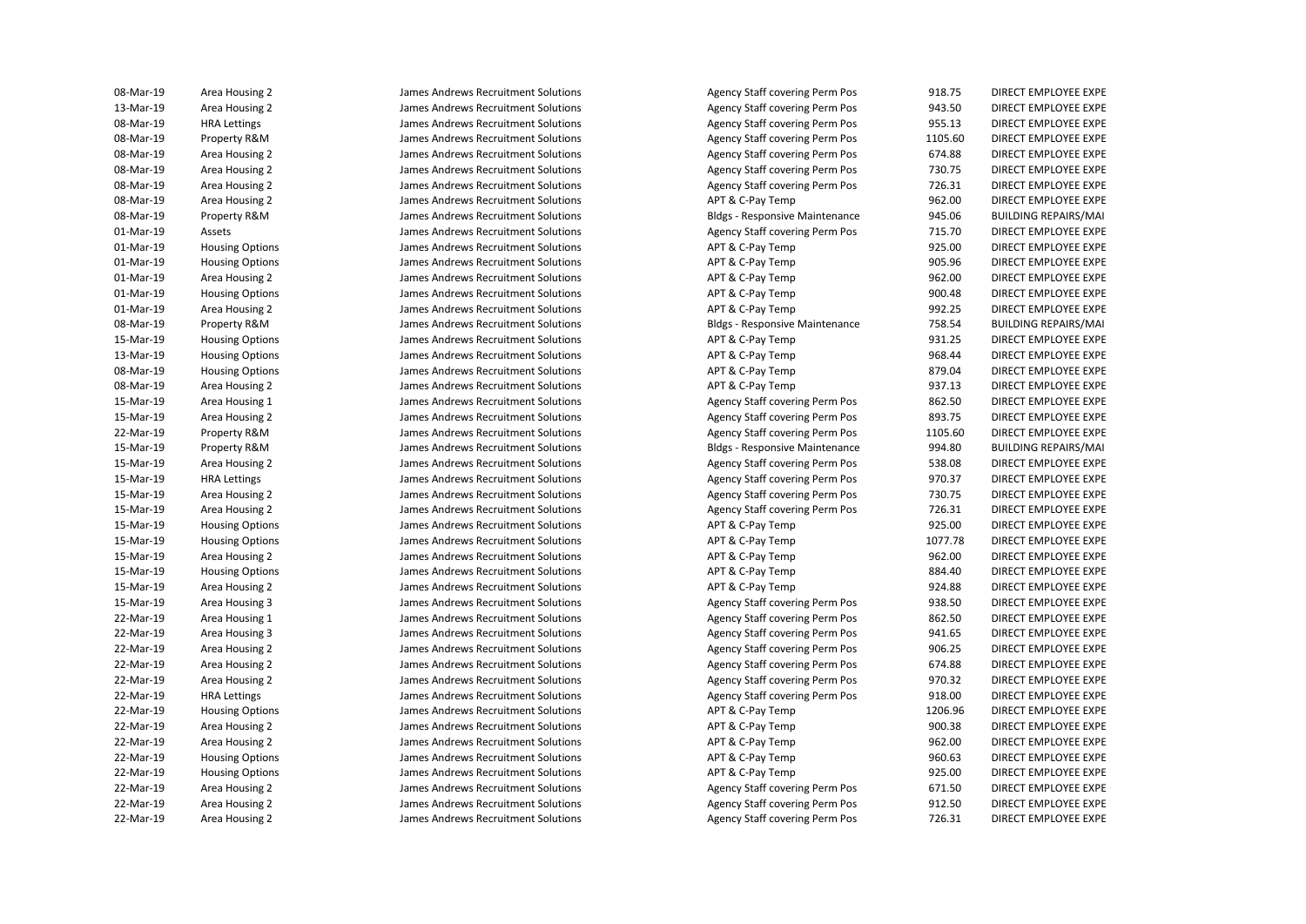| Area Housing 2         |
|------------------------|
| Area Housing 2         |
| <b>HRA Lettings</b>    |
| Property R&M           |
| Area Housing 2         |
| Area Housing 2         |
| Area Housing 2         |
| Area Housing 2         |
| Property R&M           |
| Assets                 |
| <b>Housing Options</b> |
| <b>Housing Options</b> |
| Area Housing 2         |
| <b>Housing Options</b> |
| Area Housing 2         |
| Property R&M           |
| <b>Housing Options</b> |
| <b>Housing Options</b> |
| <b>Housing Options</b> |
| Area Housing 2         |
| Area Housing 1         |
| Area Housing 2         |
| Property R&M           |
| Property R&M           |
| Area Housing 2         |
| <b>HRA Lettings</b>    |
| Area Housing 2         |
| Area Housing 2         |
| <b>Housing Options</b> |
| <b>Housing Options</b> |
| Area Housing 2         |
| <b>Housing Options</b> |
| Area Housing 2         |
| Area Housing 3         |
| Area Housing 1         |
| Area Housing 3         |
| Area Housing 2         |
| Area Housing 2         |
| Area Housing 2         |
| <b>HRA Lettings</b>    |
| <b>Housing Options</b> |
| Area Housing 2         |
| Area Housing 2         |
| <b>Housing Options</b> |
| <b>Housing Options</b> |
| Area Housing 2         |
| Area Housing 2         |
| Area Housing 2         |
|                        |

James Andrews Recruitment Solutions

08-Mar-19 Area Housing 2 James Andrews Recruitment Solutions Agency Staff covering Perm Pos 918.75 DIRECT EMPLOYEE EXPE 13-Mar-19 Area Housing 2 **Starting and Seat Andrews Recruitment Solutions** Agency Staff covering Perm Pos 943.50 DIRECT EMPLOYEE EXPE 08-Mar-19 HRA Lettings James Andrews Recruitment Solutions Agency Staff covering Perm Pos 955.13 DIRECT EMPLOYEE EXPE 08-Mar-19 Property R&M James Andrews Recruitment Solutions Agency Staff covering Perm Pos 1105.60 DIRECT EMPLOYEE EXPE 08-Mar-19 Area Housing 2 James Andrews Recruitment Solutions Agency Staff covering Perm Pos 674.88 DIRECT EMPLOYEE EXPE 08-Mar-19 Area Housing 2 James Andrews Recruitment Solutions Agency Staff covering Perm Pos 730.75 DIRECT EMPLOYEE EXPE 08-Mar-19 Area Housing 2 James Andrews Recruitment Solutions APT & C-Pay Temp 962.00 DIRECT EMPLOYEE EXPE (199 08-Mar-19 Property R&M James Andrews Recruitment Solutions Bldgs - Responsive Maintenance 945.06 BUILDING REPAIRS/MAI 01-Mar-19 Assets James Andrews Recruitment Solutions Agency Staff covering Perm Pos 715.70 DIRECT EMPLOYEE EXPE 01-Mar-19 Housing Options James Andrews Recruitment Solutions APT & C-Pay Temp 925.00 DIRECT EMPLOYEE EXPE 01-Mar-19 Housing Options James Andrews Recruitment Solutions APT & C-Pay Temp 905.96 DIRECT EMPLOYEE EXPE 01-Mar-19 Area Housing 2 James Andrews Recruitment Solutions APT & C-Pay Temp 962.00 DIRECT EMPLOYEE EXPE (962 01-Mar-19 Housing Options James Andrews Recruitment Solutions APT & C-Pay Temp 900.48 DIRECT EMPLOYEE EXPE 01-Mar-19 Area Housing 2 2 James Andrews Recruitment Solutions APT & C-Pay Temp 992.25 DIRECT EMPLOYEE EXPE 08-Mar-19 Property R&M James Andrews Recruitment Solutions Bldgs - Responsive Maintenance 758.54 BUILDING REPAIRS/MAI 15-Mar-19 Housing Options James Andrews Recruitment Solutions APT & C-Pay Temp 931.25 DIRECT EMPLOYEE EXPE 13-Mar-19 Housing Options James Andrews Recruitment Solutions APT & C-Pay Temp 968.44 DIRECT EMPLOYEE EXPE 08-Mar-19 Housing Options James Andrews Recruitment Solutions APT & C-Pay Temp 879.04 DIRECT EMPLOYEE EXPE 08-Mar-19 Area Housing 2 2 James Andrews Recruitment Solutions APT & C-Pay Temp 937.13 DIRECT EMPLOYEE EXPE 15-Mar-19 Area Housing 1 1 James Andrews Recruitment Solutions Agency Staff covering Perm Pos 862.50 DIRECT EMPLOYEE EXPE 15-Mar-19 Area Housing 2 2 James Andrews Recruitment Solutions Agency Staff covering Perm Pos 893.75 DIRECT EMPLOYEE EXPE 22-Mar-19 Property R&M James Andrews Recruitment Solutions Agency Staff covering Perm Pos 1105.60 DIRECT EMPLOYEE EXPE 15-Mar-19 Property R&M James Andrews Recruitment Solutions Bldgs - Responsive Maintenance 994.80 BUILDING REPAIRS/MAI 15-Mar-19 Area Housing 2 2 James Andrews Recruitment Solutions Agency Staff covering Perm Pos 538.08 DIRECT EMPLOYEE EXPE 15-Mar-19 HRA Lettings Sames Andrews Recruitment Solutions Agency Staff covering Perm Pos 970.37 DIRECT EMPLOYEE EXPE 15-Mar-19 Area Housing 2 2 James Andrews Recruitment Solutions Agency Staff covering Perm Pos 730.75 DIRECT EMPLOYEE EXPE 15-Mar-19 Area Housing 2 2 James Andrews Recruitment Solutions Agency Staff covering Perm Pos 726.31 DIRECT EMPLOYEE EXPE 15-Mar-19 Housing Options Same Marting Department Solutions APT & C-Pay Temp 925.00 DIRECT EMPLOYEE EXPE 15-Mar-19 Housing Options https://www.mart.com/direws.org/mart.com/direws.net/com/direct/solutions/html/mart.com/ 15-Mar-19 Area Housing 2 2 James Andrews Recruitment Solutions APT & C-Pay Temp 962.00 DIRECT EMPLOYEE EXPE 15-Mar-19 Housing Options James Andrews Recruitment Solutions APT & C-Pay Temp 884.40 DIRECT EMPLOYEE EXPE 15-Mar-19 Area Housing 2 2008 James Andrews Recruitment Solutions APT & C-Pay Temp 924.88 DIRECT EMPLOYEE EXPE 15-Mar-19 Area Housing 3 States and Housing States and Housing Perm Pos Agency Staff covering Perm Pos 938.50 DIRECT EMPLOYEE EXPE 22-Mar-19 Area Housing 1 1 James Andrews Recruitment Solutions Agency Staff covering Perm Pos 862.50 DIRECT EMPLOYEE EXPE 22-Mar-19 Area Housing 3 States and Housing States and Hermit Solutions Agency Start covering Perm Pos 341.65 DIRECT EMPLOYEE EXPE 22-Mar-19 Area Housing 2 2008 James Andrews Recruitment Solutions Agency Staff covering Perm Pos 906.25 DIRECT EMPLOYEE EXPE 22-Mar-19 Area Housing 2 2000 James Andrews Recruitment Solutions Agency Staff covering Perm Pos 674.88 DIRECT EMPLOYEE EXPE 22-Mar-19 Area Housing 2 2000 James Andrews Recruitment Solutions Agency Staff covering Perm Pos 970.32 DIRECT EMPLOYEE EXPE 22-Mar-19 HRA Lettings James Andrews Recruitment Solutions Agency Staff covering Perm Pos 918.00 DIRECT EMPLOYEE EXPE 22-Mar-19 Housing Options Sames Andrews Recruitment Solutions APT & C-Pay Temp 1206.96 DIRECT EMPLOYEE EXPE APT 22-Mar-19 Area Housing 2 2000 James Andrews Recruitment Solutions APT & C-Pay Temp 900.38 DIRECT EMPLOYEE EXPE 22-Mar-19 Area Housing 2 2000 James Andrews Recruitment Solutions APT & C-Pay Temp 962.00 DIRECT EMPLOYEE EXPE 22-Mar-19 Housing Options Sames Andrews Recruitment Solutions APT & C-Pay Temp 960.63 DIRECT EMPLOYEE EXPE APT 22-Mar-19 Housing Options Sames Andrews Recruitment Solutions APT & C-Pay Temp 925.00 DIRECT EMPLOYEE EXPE APT 22-Mar-19 Area Housing 2 2000 James Andrews Recruitment Solutions Agency Staff covering Perm Pos 671.50 DIRECT EMPLOYEE EXPE 22-Mar-19 Area Housing 2 2000 James Andrews Recruitment Solutions Agency Staff covering Perm Pos 912.50 DIRECT EMPLOYEE EXPE 22-Mar-19 Area Housing 2 2000 James Andrews Recruitment Solutions Agency Staff covering Perm Pos 726.31 DIRECT EMPLOYEE EXPE Agency Staff covering Perm Pos 726.31 DIRECT EMPLOYEE EXPE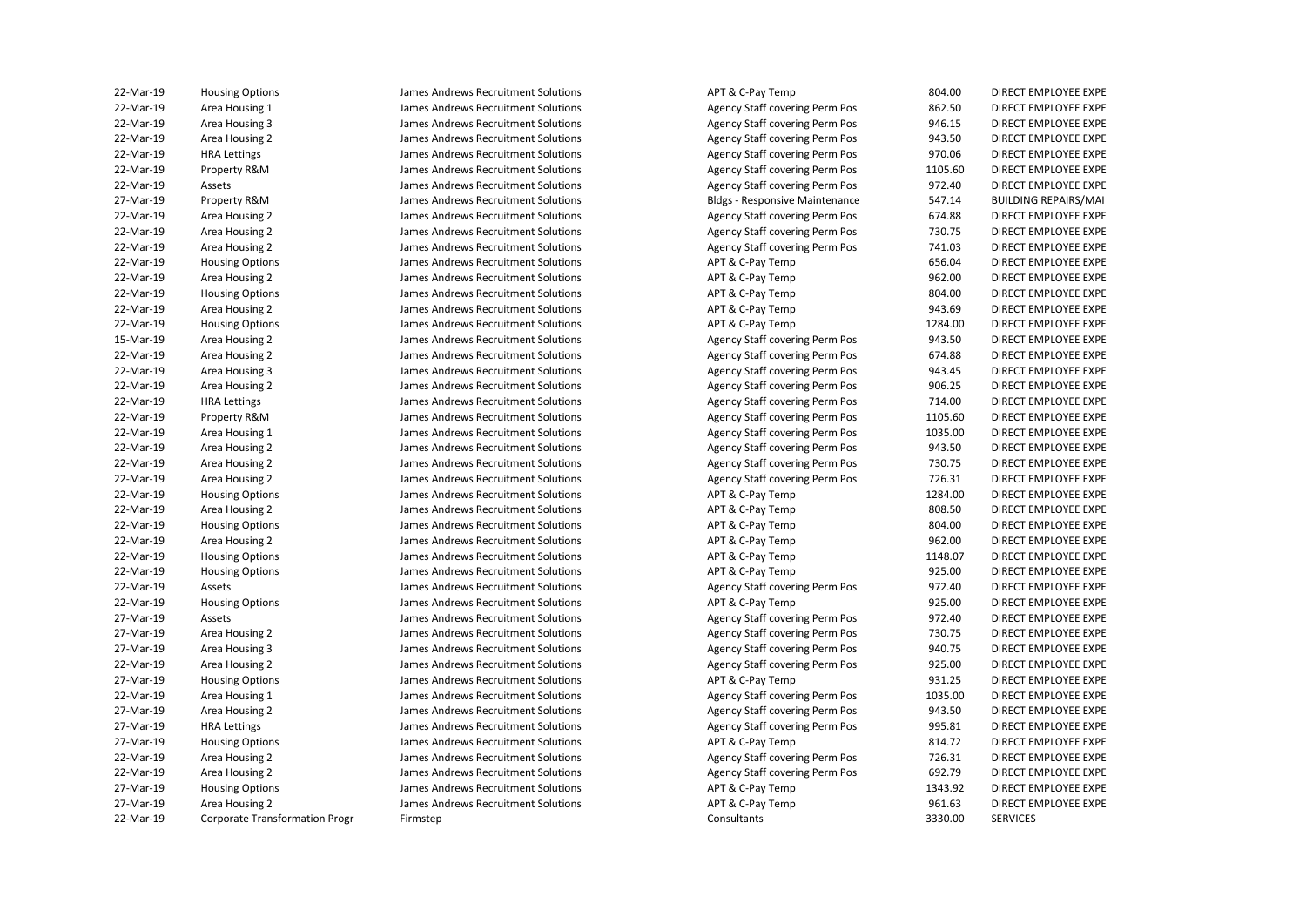| 22-Mar-19 | <b>Housing Options</b>                | James Andrews Recruitment Solutions | APT & C-Pay Temp                      | 804.00  | DIRECT EMPLOYEE EXPE        |
|-----------|---------------------------------------|-------------------------------------|---------------------------------------|---------|-----------------------------|
| 22-Mar-19 | Area Housing 1                        | James Andrews Recruitment Solutions | Agency Staff covering Perm Pos        | 862.50  | DIRECT EMPLOYEE EXPE        |
| 22-Mar-19 | Area Housing 3                        | James Andrews Recruitment Solutions | Agency Staff covering Perm Pos        | 946.15  | DIRECT EMPLOYEE EXPE        |
| 22-Mar-19 | Area Housing 2                        | James Andrews Recruitment Solutions | Agency Staff covering Perm Pos        | 943.50  | DIRECT EMPLOYEE EXPE        |
| 22-Mar-19 | <b>HRA Lettings</b>                   | James Andrews Recruitment Solutions | Agency Staff covering Perm Pos        | 970.06  | DIRECT EMPLOYEE EXPE        |
| 22-Mar-19 |                                       | James Andrews Recruitment Solutions |                                       | 1105.60 | DIRECT EMPLOYEE EXPE        |
|           | Property R&M                          |                                     | Agency Staff covering Perm Pos        |         |                             |
| 22-Mar-19 | Assets                                | James Andrews Recruitment Solutions | Agency Staff covering Perm Pos        | 972.40  | DIRECT EMPLOYEE EXPE        |
| 27-Mar-19 | Property R&M                          | James Andrews Recruitment Solutions | <b>Bldgs - Responsive Maintenance</b> | 547.14  | <b>BUILDING REPAIRS/MAI</b> |
| 22-Mar-19 | Area Housing 2                        | James Andrews Recruitment Solutions | Agency Staff covering Perm Pos        | 674.88  | DIRECT EMPLOYEE EXPE        |
| 22-Mar-19 | Area Housing 2                        | James Andrews Recruitment Solutions | Agency Staff covering Perm Pos        | 730.75  | DIRECT EMPLOYEE EXPE        |
| 22-Mar-19 | Area Housing 2                        | James Andrews Recruitment Solutions | Agency Staff covering Perm Pos        | 741.03  | DIRECT EMPLOYEE EXPE        |
| 22-Mar-19 | <b>Housing Options</b>                | James Andrews Recruitment Solutions | APT & C-Pay Temp                      | 656.04  | DIRECT EMPLOYEE EXPE        |
| 22-Mar-19 | Area Housing 2                        | James Andrews Recruitment Solutions | APT & C-Pay Temp                      | 962.00  | DIRECT EMPLOYEE EXPE        |
| 22-Mar-19 | <b>Housing Options</b>                | James Andrews Recruitment Solutions | APT & C-Pay Temp                      | 804.00  | DIRECT EMPLOYEE EXPE        |
| 22-Mar-19 | Area Housing 2                        | James Andrews Recruitment Solutions | APT & C-Pay Temp                      | 943.69  | DIRECT EMPLOYEE EXPE        |
| 22-Mar-19 | <b>Housing Options</b>                | James Andrews Recruitment Solutions | APT & C-Pay Temp                      | 1284.00 | DIRECT EMPLOYEE EXPE        |
| 15-Mar-19 | Area Housing 2                        | James Andrews Recruitment Solutions | Agency Staff covering Perm Pos        | 943.50  | DIRECT EMPLOYEE EXPE        |
| 22-Mar-19 | Area Housing 2                        | James Andrews Recruitment Solutions | Agency Staff covering Perm Pos        | 674.88  | DIRECT EMPLOYEE EXPE        |
| 22-Mar-19 | Area Housing 3                        | James Andrews Recruitment Solutions | Agency Staff covering Perm Pos        | 943.45  | DIRECT EMPLOYEE EXPE        |
| 22-Mar-19 | Area Housing 2                        | James Andrews Recruitment Solutions | Agency Staff covering Perm Pos        | 906.25  | DIRECT EMPLOYEE EXPE        |
| 22-Mar-19 | <b>HRA Lettings</b>                   | James Andrews Recruitment Solutions | Agency Staff covering Perm Pos        | 714.00  | DIRECT EMPLOYEE EXPE        |
| 22-Mar-19 | Property R&M                          | James Andrews Recruitment Solutions | Agency Staff covering Perm Pos        | 1105.60 | DIRECT EMPLOYEE EXPE        |
| 22-Mar-19 | Area Housing 1                        | James Andrews Recruitment Solutions | Agency Staff covering Perm Pos        | 1035.00 | DIRECT EMPLOYEE EXPE        |
| 22-Mar-19 | Area Housing 2                        | James Andrews Recruitment Solutions | Agency Staff covering Perm Pos        | 943.50  | DIRECT EMPLOYEE EXPE        |
| 22-Mar-19 | Area Housing 2                        | James Andrews Recruitment Solutions | Agency Staff covering Perm Pos        | 730.75  | DIRECT EMPLOYEE EXPE        |
| 22-Mar-19 | Area Housing 2                        | James Andrews Recruitment Solutions | Agency Staff covering Perm Pos        | 726.31  | DIRECT EMPLOYEE EXPE        |
| 22-Mar-19 | <b>Housing Options</b>                | James Andrews Recruitment Solutions | APT & C-Pay Temp                      | 1284.00 | DIRECT EMPLOYEE EXPE        |
| 22-Mar-19 | Area Housing 2                        | James Andrews Recruitment Solutions | APT & C-Pay Temp                      | 808.50  | DIRECT EMPLOYEE EXPE        |
| 22-Mar-19 | <b>Housing Options</b>                | James Andrews Recruitment Solutions | APT & C-Pay Temp                      | 804.00  | DIRECT EMPLOYEE EXPE        |
| 22-Mar-19 | Area Housing 2                        | James Andrews Recruitment Solutions | APT & C-Pay Temp                      | 962.00  | DIRECT EMPLOYEE EXPE        |
|           |                                       |                                     |                                       | 1148.07 |                             |
| 22-Mar-19 | <b>Housing Options</b>                | James Andrews Recruitment Solutions | APT & C-Pay Temp                      |         | DIRECT EMPLOYEE EXPE        |
| 22-Mar-19 | <b>Housing Options</b>                | James Andrews Recruitment Solutions | APT & C-Pay Temp                      | 925.00  | DIRECT EMPLOYEE EXPE        |
| 22-Mar-19 | Assets                                | James Andrews Recruitment Solutions | Agency Staff covering Perm Pos        | 972.40  | DIRECT EMPLOYEE EXPE        |
| 22-Mar-19 | <b>Housing Options</b>                | James Andrews Recruitment Solutions | APT & C-Pay Temp                      | 925.00  | DIRECT EMPLOYEE EXPE        |
| 27-Mar-19 | Assets                                | James Andrews Recruitment Solutions | Agency Staff covering Perm Pos        | 972.40  | DIRECT EMPLOYEE EXPE        |
| 27-Mar-19 | Area Housing 2                        | James Andrews Recruitment Solutions | Agency Staff covering Perm Pos        | 730.75  | DIRECT EMPLOYEE EXPE        |
| 27-Mar-19 | Area Housing 3                        | James Andrews Recruitment Solutions | Agency Staff covering Perm Pos        | 940.75  | DIRECT EMPLOYEE EXPE        |
| 22-Mar-19 | Area Housing 2                        | James Andrews Recruitment Solutions | Agency Staff covering Perm Pos        | 925.00  | DIRECT EMPLOYEE EXPE        |
| 27-Mar-19 | <b>Housing Options</b>                | James Andrews Recruitment Solutions | APT & C-Pay Temp                      | 931.25  | DIRECT EMPLOYEE EXPE        |
| 22-Mar-19 | Area Housing 1                        | James Andrews Recruitment Solutions | Agency Staff covering Perm Pos        | 1035.00 | DIRECT EMPLOYEE EXPE        |
| 27-Mar-19 | Area Housing 2                        | James Andrews Recruitment Solutions | Agency Staff covering Perm Pos        | 943.50  | DIRECT EMPLOYEE EXPE        |
| 27-Mar-19 | <b>HRA Lettings</b>                   | James Andrews Recruitment Solutions | Agency Staff covering Perm Pos        | 995.81  | DIRECT EMPLOYEE EXPE        |
| 27-Mar-19 | <b>Housing Options</b>                | James Andrews Recruitment Solutions | APT & C-Pay Temp                      | 814.72  | DIRECT EMPLOYEE EXPE        |
| 22-Mar-19 | Area Housing 2                        | James Andrews Recruitment Solutions | Agency Staff covering Perm Pos        | 726.31  | DIRECT EMPLOYEE EXPE        |
| 22-Mar-19 | Area Housing 2                        | James Andrews Recruitment Solutions | Agency Staff covering Perm Pos        | 692.79  | DIRECT EMPLOYEE EXPE        |
| 27-Mar-19 | <b>Housing Options</b>                | James Andrews Recruitment Solutions | APT & C-Pay Temp                      | 1343.92 | DIRECT EMPLOYEE EXPE        |
| 27-Mar-19 | Area Housing 2                        | James Andrews Recruitment Solutions | APT & C-Pay Temp                      | 961.63  | DIRECT EMPLOYEE EXPE        |
| 22-Mar-19 | <b>Corporate Transformation Progr</b> | Firmstep                            | Consultants                           | 3330.00 | <b>SERVICES</b>             |
|           |                                       |                                     |                                       |         |                             |

| 00.40 | DIRECT EMPLOYEE EXP                        |
|-------|--------------------------------------------|
| 52.50 | DIRECT EMPLOYEE EXPI                       |
| 46.15 | DIRECT EMPLOYEE EXP                        |
| 43.50 | DIRECT EMPLOYEE EXP                        |
| 70.06 | DIRECT EMPLOYEE EXPI                       |
| 05.60 | DIRECT EMPLOYEE EXPI                       |
| 72.40 | <b>DIRECT EMPLOYEE EXPI</b>                |
| 47.14 | <b>BUILDING REPAIRS/MA</b>                 |
| 74.88 | DIRECT EMPLOYEE EXPI                       |
| 30.75 | DIRECT EMPLOYEE EXPI                       |
| 41.03 | DIRECT EMPLOYEE EXP                        |
| 56.04 | <b>DIRECT EMPLOYEE EXPI</b>                |
| 52.00 | DIRECT EMPLOYEE EXPI                       |
|       |                                            |
| 00.40 | DIRECT EMPLOYEE EXP                        |
| 43.69 | DIRECT EMPLOYEE EXPI                       |
| 84.00 | DIRECT EMPLOYEE EXPI                       |
| 43.50 | DIRECT EMPLOYEE EXPI                       |
| 74.88 | DIRECT EMPLOYEE EXPI                       |
| 43.45 | DIRECT EMPLOYEE EXPI                       |
| 06.25 | DIRECT EMPLOYEE EXPI                       |
| 14.00 | DIRECT EMPLOYEE EXPI                       |
| 05.60 | DIRECT EMPLOYEE EXPI                       |
| 35.00 | DIRECT EMPLOYEE EXPI                       |
| 43.50 | DIRECT EMPLOYEE EXPI                       |
| 30.75 | DIRECT EMPLOYEE EXPI                       |
| 26.31 | DIRECT EMPLOYEE EXP                        |
| 84.00 | DIRECT EMPLOYEE EXPI                       |
| 08.50 | DIRECT EMPLOYEE EXPI                       |
| 00.40 | DIRECT EMPLOYEE EXPI                       |
| 52.00 | DIRECT EMPLOYEE EXPI                       |
| 48.07 | <b>DIRECT EMPLOYEE EXPI</b>                |
| 25.00 | DIRECT EMPLOYEE EXPI                       |
| 72.40 | DIRECT EMPLOYEE EXPI                       |
| 25.00 | DIRECT EMPLOYEE EXPI                       |
| 72.40 | DIRECT EMPLOYEE EXPI                       |
| 30.75 | DIRECT EMPLOYEE EXPI                       |
| 40.75 | DIRECT EMPLOYEE EXPI                       |
| 25.00 | DIRECT EMPLOYEE EXPI                       |
| 31.25 | DIRECT EMPLOYEE EXPI                       |
| 35.00 | DIRECT EMPLOYEE EXPI                       |
| 43.50 | DIRECT EMPLOYEE EXPI                       |
| 95.81 | DIRECT EMPLOYEE EXPI                       |
| 14.72 | DIRECT EMPLOYEE EXPI                       |
| 26.31 | DIRECT EMPLOYEE EXPI                       |
| 92.79 | DIRECT EMPLOYEE EXPI                       |
| 43.92 | DIRECT EMPLOYEE EXPI                       |
| 51.63 | DIRECT EMPLOYEE EXP<br>DIRECT EMPLOYEE EXP |
|       |                                            |
| 30.00 | <b>SERVICES</b>                            |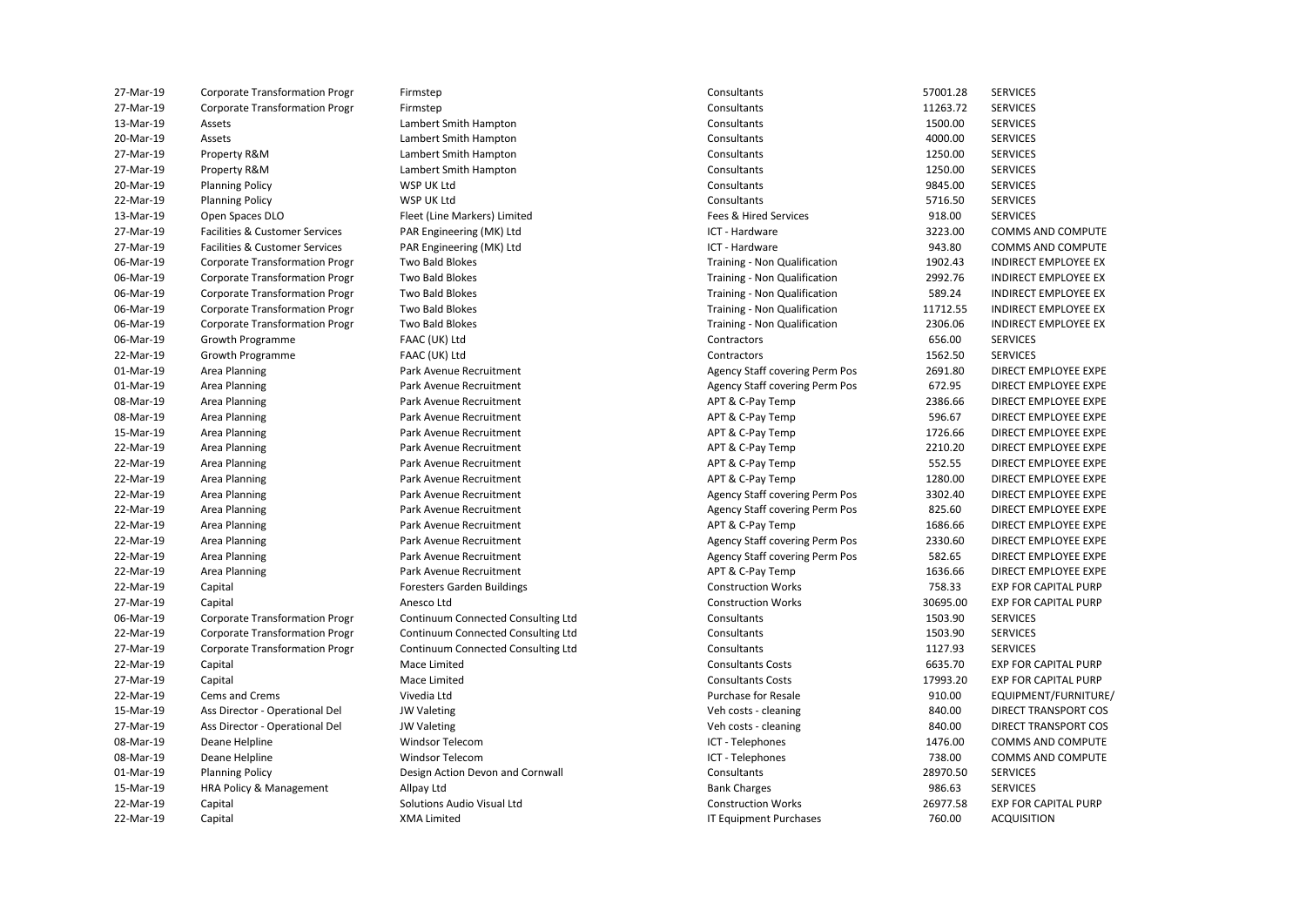| 27-Mar-19 | <b>Corporate Transformation Progr</b> | Firmstep                           | Consultants                           | 57001.28 | <b>SERVICES</b>             |
|-----------|---------------------------------------|------------------------------------|---------------------------------------|----------|-----------------------------|
| 27-Mar-19 | <b>Corporate Transformation Progr</b> | Firmstep                           | Consultants                           | 11263.72 | <b>SERVICES</b>             |
| 13-Mar-19 | Assets                                | Lambert Smith Hampton              | Consultants                           | 1500.00  | <b>SERVICES</b>             |
| 20-Mar-19 | Assets                                | Lambert Smith Hampton              | Consultants                           | 4000.00  | <b>SERVICES</b>             |
| 27-Mar-19 | Property R&M                          | Lambert Smith Hampton              | Consultants                           | 1250.00  | <b>SERVICES</b>             |
| 27-Mar-19 | Property R&M                          | Lambert Smith Hampton              | Consultants                           | 1250.00  | <b>SERVICES</b>             |
| 20-Mar-19 | <b>Planning Policy</b>                | WSP UK Ltd                         | Consultants                           | 9845.00  | <b>SERVICES</b>             |
| 22-Mar-19 | <b>Planning Policy</b>                | WSP UK Ltd                         | Consultants                           | 5716.50  | <b>SERVICES</b>             |
| 13-Mar-19 | Open Spaces DLO                       | Fleet (Line Markers) Limited       | Fees & Hired Services                 | 918.00   | <b>SERVICES</b>             |
| 27-Mar-19 | Facilities & Customer Services        | PAR Engineering (MK) Ltd           | ICT - Hardware                        | 3223.00  | COMMS AND COMPUTE           |
| 27-Mar-19 | Facilities & Customer Services        | PAR Engineering (MK) Ltd           | ICT - Hardware                        | 943.80   | COMMS AND COMPUTE           |
| 06-Mar-19 | <b>Corporate Transformation Progr</b> | Two Bald Blokes                    | Training - Non Qualification          | 1902.43  | <b>INDIRECT EMPLOYEE EX</b> |
| 06-Mar-19 | <b>Corporate Transformation Progr</b> | Two Bald Blokes                    | Training - Non Qualification          | 2992.76  | <b>INDIRECT EMPLOYEE EX</b> |
| 06-Mar-19 | <b>Corporate Transformation Progr</b> | Two Bald Blokes                    | Training - Non Qualification          | 589.24   | <b>INDIRECT EMPLOYEE EX</b> |
| 06-Mar-19 | <b>Corporate Transformation Progr</b> | Two Bald Blokes                    | Training - Non Qualification          | 11712.55 | <b>INDIRECT EMPLOYEE EX</b> |
| 06-Mar-19 | <b>Corporate Transformation Progr</b> | Two Bald Blokes                    | Training - Non Qualification          | 2306.06  | <b>INDIRECT EMPLOYEE EX</b> |
| 06-Mar-19 | Growth Programme                      | FAAC (UK) Ltd                      | Contractors                           | 656.00   | <b>SERVICES</b>             |
| 22-Mar-19 | <b>Growth Programme</b>               |                                    | Contractors                           | 1562.50  | <b>SERVICES</b>             |
|           |                                       | FAAC (UK) Ltd                      |                                       |          |                             |
| 01-Mar-19 | Area Planning                         | Park Avenue Recruitment            | <b>Agency Staff covering Perm Pos</b> | 2691.80  | DIRECT EMPLOYEE EXPE        |
| 01-Mar-19 | Area Planning                         | Park Avenue Recruitment            | <b>Agency Staff covering Perm Pos</b> | 672.95   | DIRECT EMPLOYEE EXPE        |
| 08-Mar-19 | Area Planning                         | Park Avenue Recruitment            | APT & C-Pay Temp                      | 2386.66  | DIRECT EMPLOYEE EXPE        |
| 08-Mar-19 | Area Planning                         | Park Avenue Recruitment            | APT & C-Pay Temp                      | 596.67   | DIRECT EMPLOYEE EXPE        |
| 15-Mar-19 | Area Planning                         | Park Avenue Recruitment            | APT & C-Pay Temp                      | 1726.66  | DIRECT EMPLOYEE EXPE        |
| 22-Mar-19 | Area Planning                         | Park Avenue Recruitment            | APT & C-Pay Temp                      | 2210.20  | DIRECT EMPLOYEE EXPE        |
| 22-Mar-19 | Area Planning                         | Park Avenue Recruitment            | APT & C-Pay Temp                      | 552.55   | DIRECT EMPLOYEE EXPE        |
| 22-Mar-19 | Area Planning                         | Park Avenue Recruitment            | APT & C-Pay Temp                      | 1280.00  | DIRECT EMPLOYEE EXPE        |
| 22-Mar-19 | Area Planning                         | Park Avenue Recruitment            | Agency Staff covering Perm Pos        | 3302.40  | DIRECT EMPLOYEE EXPE        |
| 22-Mar-19 | Area Planning                         | Park Avenue Recruitment            | Agency Staff covering Perm Pos        | 825.60   | DIRECT EMPLOYEE EXPE        |
| 22-Mar-19 | Area Planning                         | Park Avenue Recruitment            | APT & C-Pay Temp                      | 1686.66  | DIRECT EMPLOYEE EXPE        |
| 22-Mar-19 | Area Planning                         | Park Avenue Recruitment            | <b>Agency Staff covering Perm Pos</b> | 2330.60  | DIRECT EMPLOYEE EXPE        |
| 22-Mar-19 | Area Planning                         | Park Avenue Recruitment            | <b>Agency Staff covering Perm Pos</b> | 582.65   | DIRECT EMPLOYEE EXPE        |
| 22-Mar-19 | Area Planning                         | Park Avenue Recruitment            | APT & C-Pay Temp                      | 1636.66  | DIRECT EMPLOYEE EXPE        |
| 22-Mar-19 | Capital                               | <b>Foresters Garden Buildings</b>  | <b>Construction Works</b>             | 758.33   | <b>EXP FOR CAPITAL PURP</b> |
| 27-Mar-19 | Capital                               | Anesco Ltd                         | <b>Construction Works</b>             | 30695.00 | <b>EXP FOR CAPITAL PURP</b> |
| 06-Mar-19 | <b>Corporate Transformation Progr</b> | Continuum Connected Consulting Ltd | Consultants                           | 1503.90  | <b>SERVICES</b>             |
| 22-Mar-19 | <b>Corporate Transformation Progr</b> | Continuum Connected Consulting Ltd | Consultants                           | 1503.90  | <b>SERVICES</b>             |
| 27-Mar-19 | <b>Corporate Transformation Progr</b> | Continuum Connected Consulting Ltd | Consultants                           | 1127.93  | <b>SERVICES</b>             |
| 22-Mar-19 | Capital                               | Mace Limited                       | <b>Consultants Costs</b>              | 6635.70  | <b>EXP FOR CAPITAL PURP</b> |
| 27-Mar-19 | Capital                               | Mace Limited                       | <b>Consultants Costs</b>              | 17993.20 | <b>EXP FOR CAPITAL PURP</b> |
| 22-Mar-19 | Cems and Crems                        | Vivedia Ltd                        | Purchase for Resale                   | 910.00   | EQUIPMENT/FURNITURE/        |
| 15-Mar-19 | Ass Director - Operational Del        | <b>JW Valeting</b>                 | Veh costs - cleaning                  | 840.00   | DIRECT TRANSPORT COS        |
| 27-Mar-19 | Ass Director - Operational Del        | <b>JW Valeting</b>                 | Veh costs - cleaning                  | 840.00   | DIRECT TRANSPORT COS        |
|           |                                       | Windsor Telecom                    |                                       | 1476.00  | COMMS AND COMPUTE           |
| 08-Mar-19 | Deane Helpline                        |                                    | ICT - Telephones                      |          | COMMS AND COMPUTE           |
| 08-Mar-19 | Deane Helpline                        | <b>Windsor Telecom</b>             | ICT - Telephones                      | 738.00   |                             |
| 01-Mar-19 | <b>Planning Policy</b>                | Design Action Devon and Cornwall   | Consultants                           | 28970.50 | <b>SERVICES</b>             |
| 15-Mar-19 | HRA Policy & Management               | Allpay Ltd                         | <b>Bank Charges</b>                   | 986.63   | <b>SERVICES</b>             |
| 22-Mar-19 | Capital                               | Solutions Audio Visual Ltd         | <b>Construction Works</b>             | 26977.58 | <b>EXP FOR CAPITAL PURP</b> |
| 22-Mar-19 | Capital                               | <b>XMA Limited</b>                 | <b>IT Equipment Purchases</b>         | 760.00   | <b>ACQUISITION</b>          |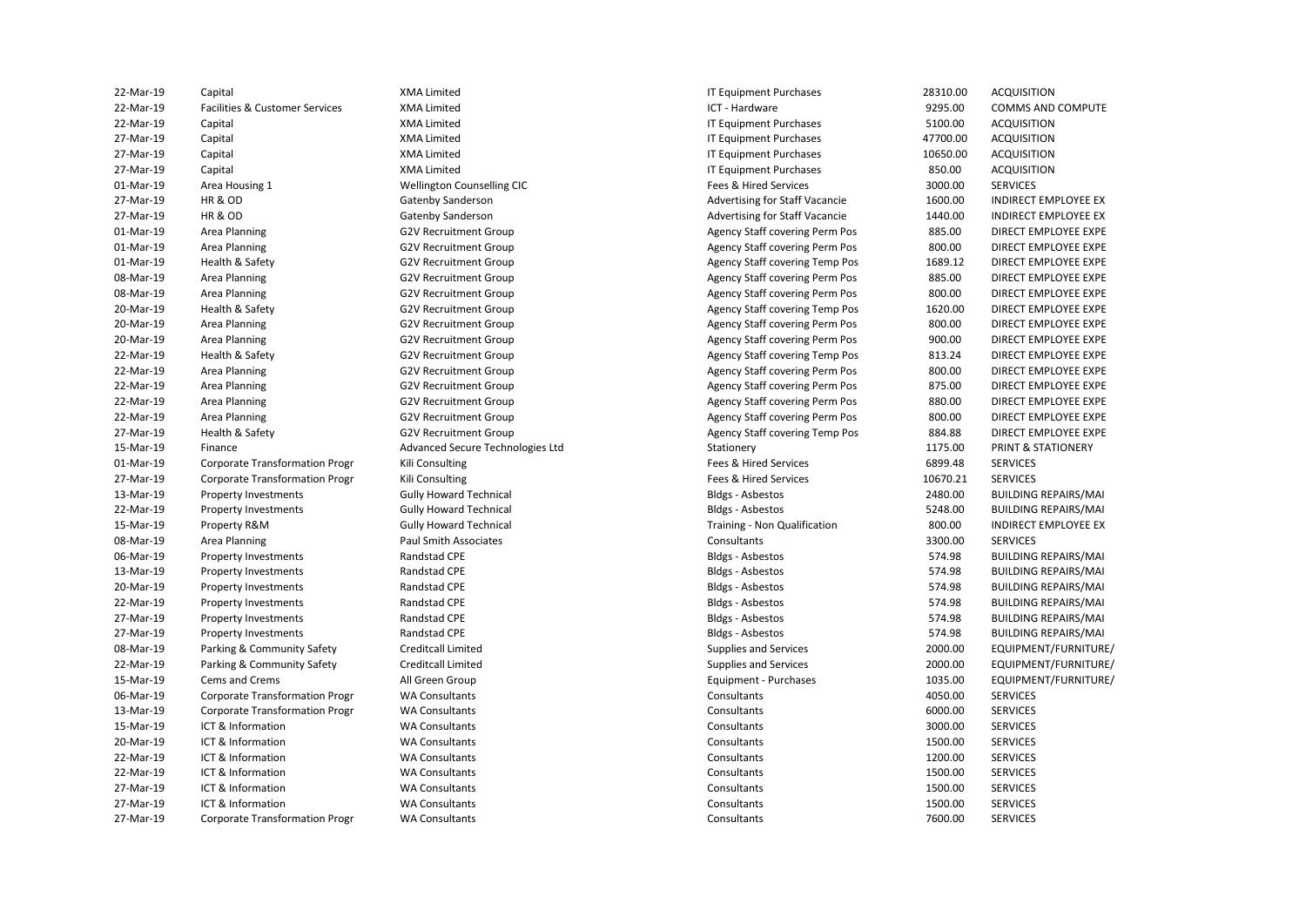| 22-Mar-19 | Capital                               | <b>XMA Limited</b>               | IT Equipment Purchases                | 28310.00 | ACQUISITION                   |
|-----------|---------------------------------------|----------------------------------|---------------------------------------|----------|-------------------------------|
| 22-Mar-19 | Facilities & Customer Services        | <b>XMA Limited</b>               | ICT - Hardware                        | 9295.00  | <b>COMMS AND COMPUTE</b>      |
| 22-Mar-19 | Capital                               | <b>XMA Limited</b>               | IT Equipment Purchases                | 5100.00  | <b>ACQUISITION</b>            |
| 27-Mar-19 | Capital                               | <b>XMA Limited</b>               | IT Equipment Purchases                | 47700.00 | <b>ACQUISITION</b>            |
| 27-Mar-19 | Capital                               | <b>XMA Limited</b>               | IT Equipment Purchases                | 10650.00 | <b>ACQUISITION</b>            |
| 27-Mar-19 | Capital                               | <b>XMA Limited</b>               | IT Equipment Purchases                | 850.00   | <b>ACQUISITION</b>            |
| 01-Mar-19 | Area Housing 1                        | Wellington Counselling CIC       | Fees & Hired Services                 | 3000.00  | <b>SERVICES</b>               |
| 27-Mar-19 | <b>HR &amp; OD</b>                    | <b>Gatenby Sanderson</b>         | Advertising for Staff Vacancie        | 1600.00  | <b>INDIRECT EMPLOYEE EX</b>   |
| 27-Mar-19 | <b>HR &amp; OD</b>                    | Gatenby Sanderson                | Advertising for Staff Vacancie        | 1440.00  | <b>INDIRECT EMPLOYEE EX</b>   |
| 01-Mar-19 | Area Planning                         | <b>G2V Recruitment Group</b>     | Agency Staff covering Perm Pos        | 885.00   | DIRECT EMPLOYEE EXPE          |
| 01-Mar-19 | Area Planning                         | <b>G2V Recruitment Group</b>     | Agency Staff covering Perm Pos        | 800.00   | DIRECT EMPLOYEE EXPE          |
| 01-Mar-19 | Health & Safety                       | <b>G2V Recruitment Group</b>     | Agency Staff covering Temp Pos        | 1689.12  | DIRECT EMPLOYEE EXPE          |
| 08-Mar-19 | Area Planning                         | <b>G2V Recruitment Group</b>     | Agency Staff covering Perm Pos        | 885.00   | DIRECT EMPLOYEE EXPE          |
| 08-Mar-19 | Area Planning                         | G2V Recruitment Group            | Agency Staff covering Perm Pos        | 800.00   | DIRECT EMPLOYEE EXPE          |
| 20-Mar-19 | Health & Safety                       | <b>G2V Recruitment Group</b>     | <b>Agency Staff covering Temp Pos</b> | 1620.00  | DIRECT EMPLOYEE EXPE          |
| 20-Mar-19 | Area Planning                         | <b>G2V Recruitment Group</b>     | Agency Staff covering Perm Pos        | 800.00   | DIRECT EMPLOYEE EXPE          |
| 20-Mar-19 | Area Planning                         | <b>G2V Recruitment Group</b>     | Agency Staff covering Perm Pos        | 900.00   | DIRECT EMPLOYEE EXPE          |
| 22-Mar-19 | Health & Safety                       | G2V Recruitment Group            | Agency Staff covering Temp Pos        | 813.24   | DIRECT EMPLOYEE EXPE          |
| 22-Mar-19 | Area Planning                         | <b>G2V Recruitment Group</b>     | Agency Staff covering Perm Pos        | 800.00   | DIRECT EMPLOYEE EXPE          |
| 22-Mar-19 | Area Planning                         | <b>G2V Recruitment Group</b>     | Agency Staff covering Perm Pos        | 875.00   | DIRECT EMPLOYEE EXPE          |
| 22-Mar-19 | Area Planning                         | <b>G2V Recruitment Group</b>     | Agency Staff covering Perm Pos        | 880.00   | DIRECT EMPLOYEE EXPE          |
| 22-Mar-19 | Area Planning                         | <b>G2V Recruitment Group</b>     | Agency Staff covering Perm Pos        | 800.00   | DIRECT EMPLOYEE EXPE          |
| 27-Mar-19 | Health & Safety                       | <b>G2V Recruitment Group</b>     | <b>Agency Staff covering Temp Pos</b> | 884.88   | DIRECT EMPLOYEE EXPE          |
| 15-Mar-19 | Finance                               | Advanced Secure Technologies Ltd | Stationery                            | 1175.00  | <b>PRINT &amp; STATIONERY</b> |
| 01-Mar-19 | <b>Corporate Transformation Progr</b> | Kili Consulting                  | Fees & Hired Services                 | 6899.48  | <b>SERVICES</b>               |
| 27-Mar-19 | <b>Corporate Transformation Progr</b> | Kili Consulting                  | Fees & Hired Services                 | 10670.21 | <b>SERVICES</b>               |
| 13-Mar-19 | <b>Property Investments</b>           | <b>Gully Howard Technical</b>    | <b>Bldgs - Asbestos</b>               | 2480.00  | <b>BUILDING REPAIRS/MAI</b>   |
| 22-Mar-19 | <b>Property Investments</b>           | <b>Gully Howard Technical</b>    | <b>Bldgs - Asbestos</b>               | 5248.00  | <b>BUILDING REPAIRS/MAI</b>   |
| 15-Mar-19 | Property R&M                          | <b>Gully Howard Technical</b>    | Training - Non Qualification          | 800.00   | <b>INDIRECT EMPLOYEE EX</b>   |
| 08-Mar-19 | Area Planning                         | <b>Paul Smith Associates</b>     | Consultants                           | 3300.00  | <b>SERVICES</b>               |
| 06-Mar-19 | <b>Property Investments</b>           | Randstad CPE                     | <b>Bldgs - Asbestos</b>               | 574.98   | <b>BUILDING REPAIRS/MAI</b>   |
| 13-Mar-19 | <b>Property Investments</b>           | <b>Randstad CPE</b>              | <b>Bldgs - Asbestos</b>               | 574.98   | <b>BUILDING REPAIRS/MAI</b>   |
| 20-Mar-19 | Property Investments                  | Randstad CPE                     | <b>Bldgs - Asbestos</b>               | 574.98   | <b>BUILDING REPAIRS/MAI</b>   |
| 22-Mar-19 | Property Investments                  | Randstad CPE                     | <b>Bldgs - Asbestos</b>               | 574.98   | <b>BUILDING REPAIRS/MAI</b>   |
| 27-Mar-19 | Property Investments                  | <b>Randstad CPE</b>              | Bldgs - Asbestos                      | 574.98   | <b>BUILDING REPAIRS/MAI</b>   |
| 27-Mar-19 | <b>Property Investments</b>           | Randstad CPE                     | <b>Bldgs - Asbestos</b>               | 574.98   | <b>BUILDING REPAIRS/MAI</b>   |
| 08-Mar-19 | Parking & Community Safety            | <b>Creditcall Limited</b>        | Supplies and Services                 | 2000.00  | EQUIPMENT/FURNITURE/          |
| 22-Mar-19 | Parking & Community Safety            | <b>Creditcall Limited</b>        | Supplies and Services                 | 2000.00  | EQUIPMENT/FURNITURE/          |
| 15-Mar-19 | Cems and Crems                        | All Green Group                  | Equipment - Purchases                 | 1035.00  | EQUIPMENT/FURNITURE/          |
| 06-Mar-19 | <b>Corporate Transformation Progr</b> | <b>WA Consultants</b>            | Consultants                           | 4050.00  | <b>SERVICES</b>               |
| 13-Mar-19 | <b>Corporate Transformation Progr</b> | <b>WA Consultants</b>            | Consultants                           | 6000.00  | <b>SERVICES</b>               |
| 15-Mar-19 | ICT & Information                     | <b>WA Consultants</b>            | Consultants                           | 3000.00  | <b>SERVICES</b>               |
| 20-Mar-19 | ICT & Information                     | <b>WA Consultants</b>            | Consultants                           | 1500.00  | <b>SERVICES</b>               |
| 22-Mar-19 | ICT & Information                     | <b>WA Consultants</b>            | Consultants                           | 1200.00  | <b>SERVICES</b>               |
| 22-Mar-19 | ICT & Information                     | <b>WA Consultants</b>            | Consultants                           | 1500.00  | <b>SERVICES</b>               |
| 27-Mar-19 | ICT & Information                     | <b>WA Consultants</b>            | Consultants                           | 1500.00  | <b>SERVICES</b>               |
| 27-Mar-19 | ICT & Information                     | <b>WA Consultants</b>            | Consultants                           | 1500.00  | <b>SERVICES</b>               |
| 27-Mar-19 | <b>Corporate Transformation Progr</b> | <b>WA Consultants</b>            | Consultants                           | 7600.00  | <b>SERVICES</b>               |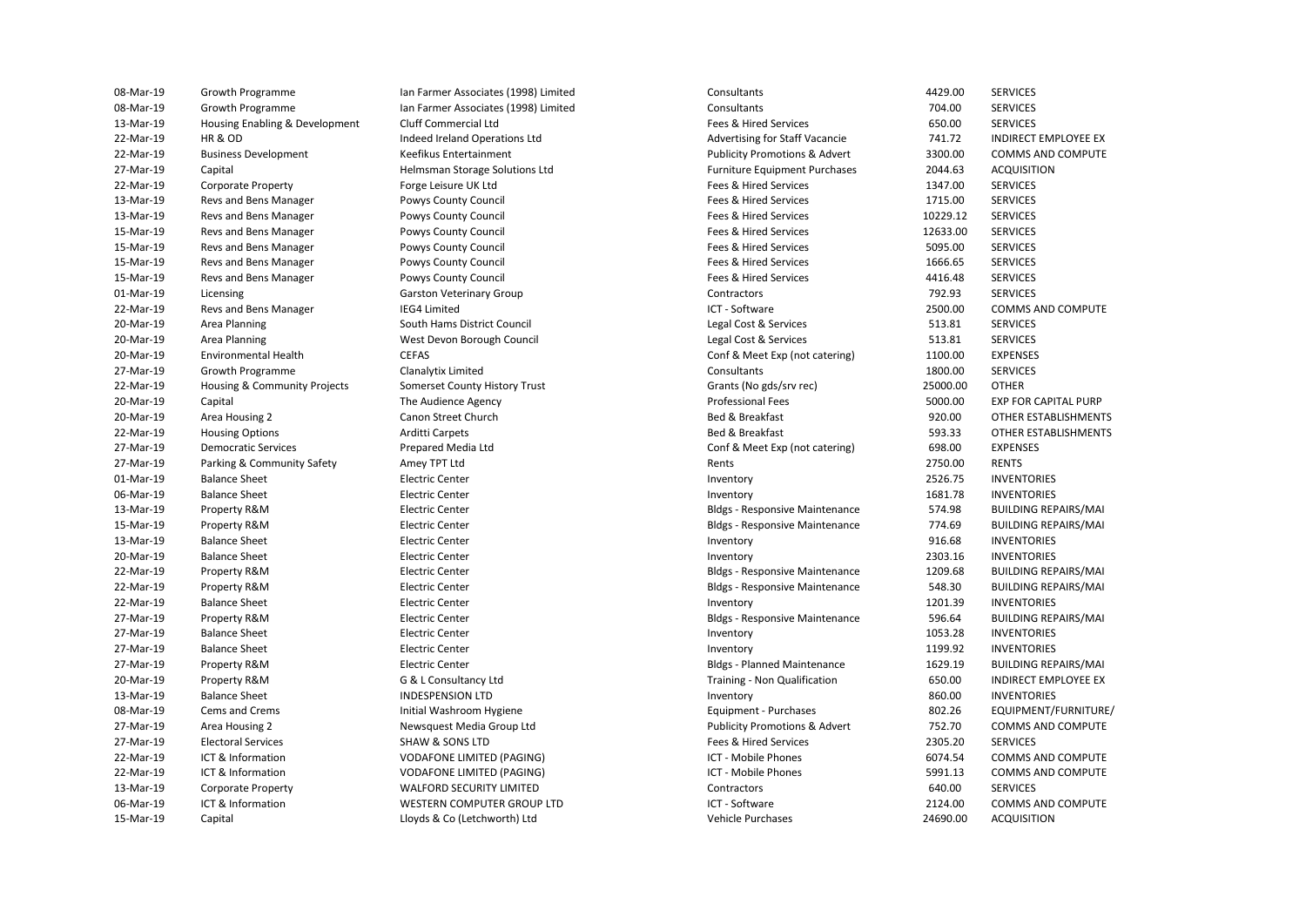| 08-Mar-19 | Growth Programme               | Ian Farmer Associates (1998) Limited | Consultants                              | 4429.00  | <b>SERVICES</b>     |
|-----------|--------------------------------|--------------------------------------|------------------------------------------|----------|---------------------|
| 08-Mar-19 | Growth Programme               | Ian Farmer Associates (1998) Limited | Consultants                              | 704.00   | <b>SERVICES</b>     |
| 13-Mar-19 | Housing Enabling & Development | Cluff Commercial Ltd                 | Fees & Hired Services                    | 650.00   | <b>SERVICES</b>     |
| 22-Mar-19 | HR & OD                        | Indeed Ireland Operations Ltd        | <b>Advertising for Staff Vacancie</b>    | 741.72   | <b>INDIRECT EMI</b> |
| 22-Mar-19 | <b>Business Development</b>    | Keefikus Entertainment               | <b>Publicity Promotions &amp; Advert</b> | 3300.00  | <b>COMMS AND</b>    |
| 27-Mar-19 | Capital                        | Helmsman Storage Solutions Ltd       | <b>Furniture Equipment Purchases</b>     | 2044.63  | <b>ACQUISITION</b>  |
| 22-Mar-19 | <b>Corporate Property</b>      | Forge Leisure UK Ltd                 | Fees & Hired Services                    | 1347.00  | <b>SERVICES</b>     |
| 13-Mar-19 | Revs and Bens Manager          | Powys County Council                 | Fees & Hired Services                    | 1715.00  | <b>SERVICES</b>     |
| 13-Mar-19 | Revs and Bens Manager          | Powys County Council                 | Fees & Hired Services                    | 10229.12 | <b>SERVICES</b>     |
| 15-Mar-19 | Revs and Bens Manager          | Powys County Council                 | Fees & Hired Services                    | 12633.00 | <b>SERVICES</b>     |
| 15-Mar-19 | Revs and Bens Manager          | Powys County Council                 | Fees & Hired Services                    | 5095.00  | <b>SERVICES</b>     |
| 15-Mar-19 | Revs and Bens Manager          | Powys County Council                 | Fees & Hired Services                    | 1666.65  | <b>SERVICES</b>     |
| 15-Mar-19 | Revs and Bens Manager          | Powys County Council                 | Fees & Hired Services                    | 4416.48  | <b>SERVICES</b>     |
| 01-Mar-19 | Licensing                      | <b>Garston Veterinary Group</b>      | Contractors                              | 792.93   | <b>SERVICES</b>     |
| 22-Mar-19 | Revs and Bens Manager          | <b>IEG4 Limited</b>                  | ICT - Software                           | 2500.00  | <b>COMMS AND</b>    |
| 20-Mar-19 | Area Planning                  | South Hams District Council          | Legal Cost & Services                    | 513.81   | <b>SERVICES</b>     |
| 20-Mar-19 | Area Planning                  | West Devon Borough Council           | Legal Cost & Services                    | 513.81   | <b>SERVICES</b>     |
| 20-Mar-19 | <b>Environmental Health</b>    | <b>CEFAS</b>                         | Conf & Meet Exp (not catering)           | 1100.00  | <b>EXPENSES</b>     |
| 27-Mar-19 | Growth Programme               | Clanalytix Limited                   | Consultants                              | 1800.00  | <b>SERVICES</b>     |
| 22-Mar-19 | Housing & Community Projects   | Somerset County History Trust        | Grants (No gds/srv rec)                  | 25000.00 | <b>OTHER</b>        |
| 20-Mar-19 | Capital                        | The Audience Agency                  | <b>Professional Fees</b>                 | 5000.00  | <b>EXP FOR CAPI</b> |
| 20-Mar-19 | Area Housing 2                 | Canon Street Church                  | Bed & Breakfast                          | 920.00   | <b>OTHER ESTAB</b>  |
| 22-Mar-19 | <b>Housing Options</b>         | Arditti Carpets                      | Bed & Breakfast                          | 593.33   | <b>OTHER ESTAB</b>  |
| 27-Mar-19 | <b>Democratic Services</b>     | Prepared Media Ltd                   | Conf & Meet Exp (not catering)           | 698.00   | <b>EXPENSES</b>     |
| 27-Mar-19 | Parking & Community Safety     | Amey TPT Ltd                         | Rents                                    | 2750.00  | <b>RENTS</b>        |
| 01-Mar-19 | <b>Balance Sheet</b>           | <b>Electric Center</b>               | Inventory                                | 2526.75  | <b>INVENTORIES</b>  |
| 06-Mar-19 | <b>Balance Sheet</b>           | <b>Electric Center</b>               | Inventory                                | 1681.78  | <b>INVENTORIES</b>  |
| 13-Mar-19 | Property R&M                   | <b>Electric Center</b>               | <b>Bldgs - Responsive Maintenance</b>    | 574.98   | <b>BUILDING REF</b> |
| 15-Mar-19 | Property R&M                   | <b>Electric Center</b>               | <b>Bldgs - Responsive Maintenance</b>    | 774.69   | <b>BUILDING REF</b> |
| 13-Mar-19 | <b>Balance Sheet</b>           | <b>Electric Center</b>               | Inventory                                | 916.68   | <b>INVENTORIES</b>  |
| 20-Mar-19 | <b>Balance Sheet</b>           | <b>Electric Center</b>               | Inventory                                | 2303.16  | <b>INVENTORIES</b>  |
| 22-Mar-19 | Property R&M                   | <b>Electric Center</b>               | <b>Bldgs - Responsive Maintenance</b>    | 1209.68  | <b>BUILDING REF</b> |
| 22-Mar-19 | Property R&M                   | <b>Electric Center</b>               | <b>Bldgs - Responsive Maintenance</b>    | 548.30   | <b>BUILDING REF</b> |
| 22-Mar-19 | <b>Balance Sheet</b>           | <b>Electric Center</b>               | Inventory                                | 1201.39  | <b>INVENTORIES</b>  |
| 27-Mar-19 | Property R&M                   | <b>Electric Center</b>               | <b>Bldgs - Responsive Maintenance</b>    | 596.64   | <b>BUILDING REF</b> |
| 27-Mar-19 | <b>Balance Sheet</b>           | <b>Electric Center</b>               | Inventory                                | 1053.28  | <b>INVENTORIES</b>  |
| 27-Mar-19 | <b>Balance Sheet</b>           | <b>Electric Center</b>               | Inventory                                | 1199.92  | <b>INVENTORIES</b>  |
| 27-Mar-19 | Property R&M                   | <b>Electric Center</b>               | <b>Bldgs - Planned Maintenance</b>       | 1629.19  | <b>BUILDING REF</b> |
| 20-Mar-19 | Property R&M                   | G & L Consultancy Ltd                | Training - Non Qualification             | 650.00   | <b>INDIRECT EMI</b> |
| 13-Mar-19 | <b>Balance Sheet</b>           | <b>INDESPENSION LTD</b>              | Inventory                                | 860.00   | <b>INVENTORIES</b>  |
| 08-Mar-19 | Cems and Crems                 | Initial Washroom Hygiene             | Equipment - Purchases                    | 802.26   | EQUIPMENT/          |
| 27-Mar-19 | Area Housing 2                 | Newsquest Media Group Ltd            | <b>Publicity Promotions &amp; Advert</b> | 752.70   | <b>COMMS AND</b>    |
| 27-Mar-19 | <b>Electoral Services</b>      | <b>SHAW &amp; SONS LTD</b>           | Fees & Hired Services                    | 2305.20  | <b>SERVICES</b>     |
| 22-Mar-19 | ICT & Information              | VODAFONE LIMITED (PAGING)            | <b>ICT - Mobile Phones</b>               | 6074.54  | <b>COMMS AND</b>    |
| 22-Mar-19 | ICT & Information              | <b>VODAFONE LIMITED (PAGING)</b>     | ICT - Mobile Phones                      | 5991.13  | <b>COMMS AND</b>    |
| 13-Mar-19 | <b>Corporate Property</b>      | <b>WALFORD SECURITY LIMITED</b>      | Contractors                              | 640.00   | <b>SERVICES</b>     |
| 06-Mar-19 | ICT & Information              | WESTERN COMPUTER GROUP LTD           | ICT - Software                           | 2124.00  | <b>COMMS AND</b>    |
| 15-Mar-19 | Capital                        | Lloyds & Co (Letchworth) Ltd         | <b>Vehicle Purchases</b>                 | 24690.00 | <b>ACQUISITION</b>  |
|           |                                |                                      |                                          |          |                     |

Advertising for Staff Vacancie 22-Mar-19 Business Development Keefikus Entertainment Publicity Promotions & Advert 3300.00 COMMS AND COMPUTE 27-Mar-19 Capital Helmsman Storage Solutions Ltd Furniture Equipment Purchases 2044.63 ACQUISITION 22-Mar-19 Housing & Community Projects Somerset County History Trust Grants (No gds/srv rec) 25000.00 OTHER 13-Mar-19 Property R&M Electric Center Bldgs - Responsive Maintenance 574.98 BUILDING REPAIRS/MAI 15-Mar-19 Property R&M Electric Center Bldgs - Responsive Maintenance 774.69 BUILDING REPAIRS/MAI 22-Mar-19 Property R&M Electric Center Bldgs - Responsive Maintenance 1209.68 BUILDING REPAIRS/MAI 22-Mar-19 Property R&M Electric Center Bldgs - Responsive Maintenance 548.30 BUILDING REPAIRS/MAI 27-Mar-19 Property R&M Electric Center Bldgs - Responsive Maintenance 596.64 BUILDING REPAIRS/MAI 27-Mar-19 Property R&M Electric Center Bldgs - Planned Maintenance 1629.19 BUILDING REPAIRS/MAI 08-Mar-19 Cems and Crems **Initial Washroom Hygiene** Equipment - Purchases 602.26 EQUIPMENT/FURNITURE/ **Publicity Promotions & Advert**  22-Mar-19 ICT & Information VODAFONE LIMITED (PAGING) ICT - Mobile Phones 6074.54 COMMS AND COMPUTE 22-Mar-19 ICT & Information VODAFONE LIMITED (PAGING) ICT - Mobile Phones 5991.13 COMMS AND COMPUTE 13-Mar-19 Corporate Property WALFORD SECURITY LIMITED Contractors 640.00 SERVICES 06-Mar-19 ICT & Information WESTERN COMPUTER GROUP LTD ICT - Software ICT - Software 2124.00 COMMS AND COMPUTE Programmer Associates (1998) Limited Consultants Consultants Consultants Consultants Consultants Consultants Consultants Consultants Consultants Consultants Consultants Consultants Consultants Consultants Consultants Consu 13-Mar-19 Housing Enabling & Development Cluff Commercial Ltd Fees & Hired Services 650.00 SERVICES 22-Mar-19 Indeed Ireland Operations Ltd **Advertising for Staff Vacancie 741.72** INDIRECT EMPLOYEE EX 22-Mar-19 Corporate Property Forge Leisure UK Ltd Fees & Hired Services 1347.00 SERVICES 13-Mar-19 Revs and Bens Manager **Reviews Powys County Council Account Account** Fees & Hired Services 1715.00 SERVICES 13-Mar-19 Revs and Bens Manager **Reviews Powys County Council Accompany Council** Fees & Hired Services **10229.12 SERVICES** 15-Mar-19 Revs and Bens Manager Powys County Council Fees & Hired Services 12633.00 SERVICES 15-Mar-19 Revs and Bens Manager **Reviews Powys County Council Account Account** Fees & Hired Services 5095.00 SERVICES 15-Mar-19 Revs and Bens Manager **Reviews Powys County Council Account Account** Fees & Hired Services 1666.65 SERVICES Powys County Council **15-Mar-19 Reverse Access** Fees & Hired Services 4416.48 SERVICES Garston Veterinary Group **Contractors** Contractors **Contractors** 792.93 SERVICES 22-Mar-19 Revs and Bens Manager **IEG4 Limited** IEGG ICT - Software ICT - Software 2500.00 COMMS AND COMPUTE 20-Mar-19 Area Planning Sulth Hams District Council Council Legal Cost & Services 513.81 SERVICES 20-Mar-19 Area Planning 20-Mar-19 Area Planning West Devon Borough Council Council Legal Cost & Services 513.81 SERVICES 20-Mar-19 Conf & Meet Exp (not catering) 21100.00 EXPENSES 27-Mar-19 Growth Programme Clanalytix Limited Consultants 1800.00 SERVICES 20-Mar-19 Capital The Audience Agency Professional Fees 5000.00 EXP FOR CAPITAL PURP 20-Mar-19 Area Housing 2 Canon Street Church Bed & Breakfast Bed & Breakfast 920.00 OTHER ESTABLISHMENTS 22-Mar-19 Housing Options Arditti Carpets Bed & Breakfast 593.33 OTHER ESTABLISHMENTS 27-Mar-19 Democratic Services Prepared Media Ltd Conf & Meet Exp (not catering) 698.00 EXPENSES 27-Mar-19 Parking & Community Safety Amey TPT Ltd **Rents 2750.00 RENTS** Rents 2750.00 RENTS 01-Mar-19 Balance Sheet Electric Center Inventory 2526.75 INVENTORIES 06-Mar-19 Balance Sheet Electric Center Inventory 1681.78 INVENTORIES 13-Mar-19 Balance Sheet Electric Center Inventory 916.68 INVENTORIES 20-Mar-19 Balance Sheet Electric Center Inventory 2303.16 INVENTORIES 22-Mar-19 Balance Sheet Electric Center Inventory 1201.39 INVENTORIES 27-Mar-19 Balance Sheet Electric Center Inventory 1053.28 INVENTORIES 27-Mar-19 Balance Sheet Electric Center Inventory 1199.92 INVENTORIES Training - Non Qualification **650.00** INDIRECT EMPLOYEE EX 13-Mar-19 Balance Sheet INDESPENSION LTD Inventory 860.00 INVENTORIES 27-Mewsquest Media Group Ltd **Publicity Promotions & Advert** 252.70 COMMS AND COMPUTE 27-Mar-19 Electoral Services SHAW & SONS LTD Fees & Hired Services 2305.20 SERVICES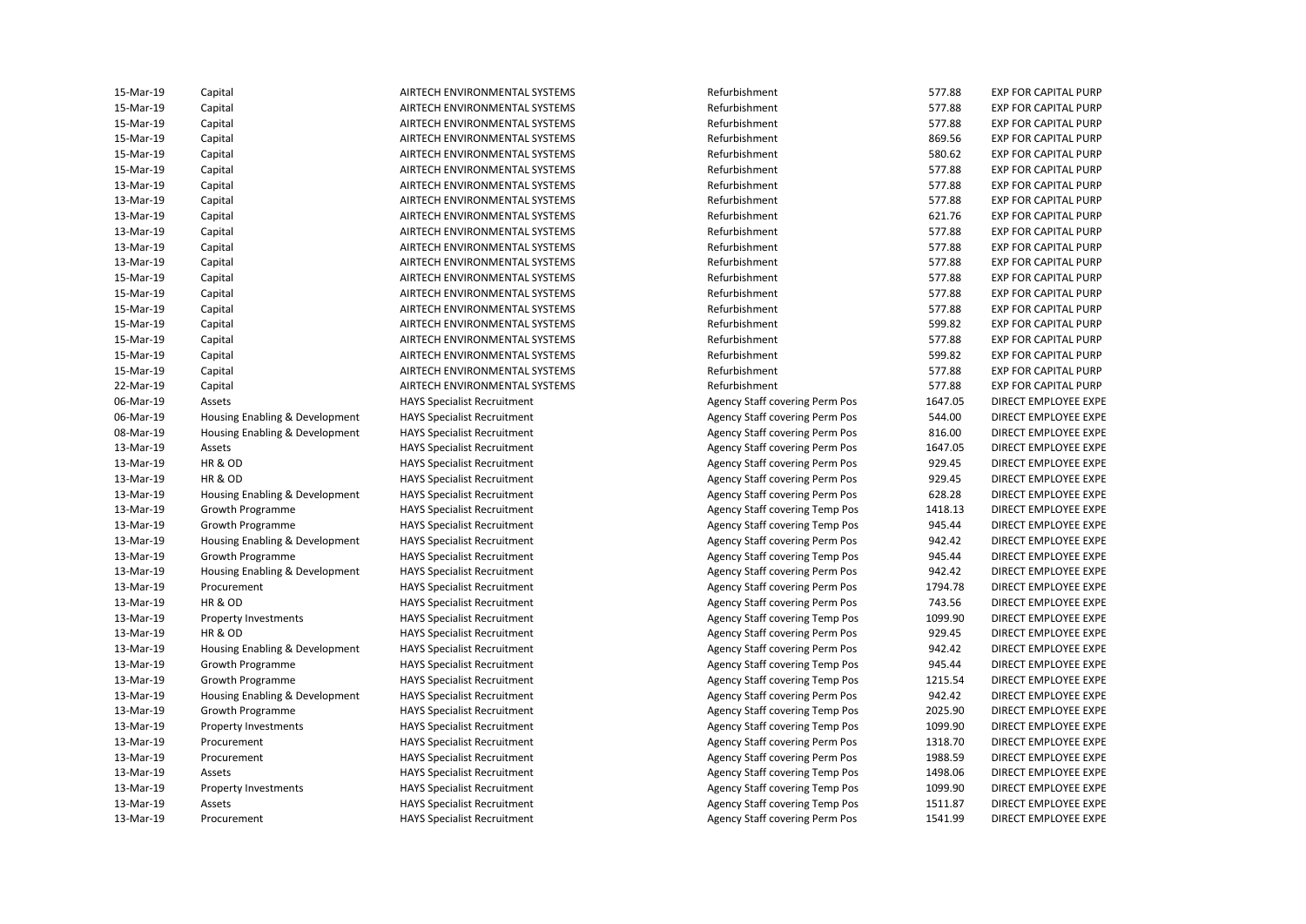| 15-Mar-19 | Capital                        | AIRTECH ENVIRONMENTAL SYSTEMS      | Refurbishment                         | 577.88  | <b>EXP FOR CAPITAL PURP</b> |
|-----------|--------------------------------|------------------------------------|---------------------------------------|---------|-----------------------------|
| 15-Mar-19 | Capital                        | AIRTECH ENVIRONMENTAL SYSTEMS      | Refurbishment                         | 577.88  | <b>EXP FOR CAPITAL PURP</b> |
| 15-Mar-19 | Capital                        | AIRTECH ENVIRONMENTAL SYSTEMS      | Refurbishment                         | 577.88  | <b>EXP FOR CAPITAL PURP</b> |
| 15-Mar-19 | Capital                        | AIRTECH ENVIRONMENTAL SYSTEMS      | Refurbishment                         | 869.56  | <b>EXP FOR CAPITAL PURP</b> |
| 15-Mar-19 | Capital                        | AIRTECH ENVIRONMENTAL SYSTEMS      | Refurbishment                         | 580.62  | <b>EXP FOR CAPITAL PURP</b> |
| 15-Mar-19 | Capital                        | AIRTECH ENVIRONMENTAL SYSTEMS      | Refurbishment                         | 577.88  | <b>EXP FOR CAPITAL PURP</b> |
| 13-Mar-19 | Capital                        | AIRTECH ENVIRONMENTAL SYSTEMS      | Refurbishment                         | 577.88  | <b>EXP FOR CAPITAL PURP</b> |
| 13-Mar-19 | Capital                        | AIRTECH ENVIRONMENTAL SYSTEMS      | Refurbishment                         | 577.88  | <b>EXP FOR CAPITAL PURP</b> |
| 13-Mar-19 | Capital                        | AIRTECH ENVIRONMENTAL SYSTEMS      | Refurbishment                         | 621.76  | <b>EXP FOR CAPITAL PURP</b> |
| 13-Mar-19 | Capital                        | AIRTECH ENVIRONMENTAL SYSTEMS      | Refurbishment                         | 577.88  | <b>EXP FOR CAPITAL PURP</b> |
| 13-Mar-19 | Capital                        | AIRTECH ENVIRONMENTAL SYSTEMS      | Refurbishment                         | 577.88  | <b>EXP FOR CAPITAL PURP</b> |
| 13-Mar-19 | Capital                        | AIRTECH ENVIRONMENTAL SYSTEMS      | Refurbishment                         | 577.88  | <b>EXP FOR CAPITAL PURP</b> |
| 15-Mar-19 | Capital                        | AIRTECH ENVIRONMENTAL SYSTEMS      | Refurbishment                         | 577.88  | <b>EXP FOR CAPITAL PURP</b> |
| 15-Mar-19 | Capital                        | AIRTECH ENVIRONMENTAL SYSTEMS      | Refurbishment                         | 577.88  | <b>EXP FOR CAPITAL PURP</b> |
| 15-Mar-19 | Capital                        | AIRTECH ENVIRONMENTAL SYSTEMS      | Refurbishment                         | 577.88  | <b>EXP FOR CAPITAL PURP</b> |
| 15-Mar-19 | Capital                        | AIRTECH ENVIRONMENTAL SYSTEMS      | Refurbishment                         | 599.82  | <b>EXP FOR CAPITAL PURP</b> |
| 15-Mar-19 | Capital                        | AIRTECH ENVIRONMENTAL SYSTEMS      | Refurbishment                         | 577.88  | <b>EXP FOR CAPITAL PURP</b> |
| 15-Mar-19 | Capital                        | AIRTECH ENVIRONMENTAL SYSTEMS      | Refurbishment                         | 599.82  | <b>EXP FOR CAPITAL PURP</b> |
| 15-Mar-19 | Capital                        | AIRTECH ENVIRONMENTAL SYSTEMS      | Refurbishment                         | 577.88  | <b>EXP FOR CAPITAL PURP</b> |
| 22-Mar-19 | Capital                        | AIRTECH ENVIRONMENTAL SYSTEMS      | Refurbishment                         | 577.88  | <b>EXP FOR CAPITAL PURP</b> |
| 06-Mar-19 | Assets                         | <b>HAYS Specialist Recruitment</b> | Agency Staff covering Perm Pos        | 1647.05 | DIRECT EMPLOYEE EXPE        |
| 06-Mar-19 | Housing Enabling & Development | <b>HAYS Specialist Recruitment</b> | Agency Staff covering Perm Pos        | 544.00  | DIRECT EMPLOYEE EXPE        |
| 08-Mar-19 | Housing Enabling & Development | <b>HAYS Specialist Recruitment</b> | Agency Staff covering Perm Pos        | 816.00  | DIRECT EMPLOYEE EXPE        |
| 13-Mar-19 | Assets                         | <b>HAYS Specialist Recruitment</b> | Agency Staff covering Perm Pos        | 1647.05 | DIRECT EMPLOYEE EXPE        |
| 13-Mar-19 | HR & OD                        | <b>HAYS Specialist Recruitment</b> | Agency Staff covering Perm Pos        | 929.45  | DIRECT EMPLOYEE EXPE        |
| 13-Mar-19 | HR & OD                        | <b>HAYS Specialist Recruitment</b> | Agency Staff covering Perm Pos        | 929.45  | DIRECT EMPLOYEE EXPE        |
| 13-Mar-19 | Housing Enabling & Development | <b>HAYS Specialist Recruitment</b> | Agency Staff covering Perm Pos        | 628.28  | DIRECT EMPLOYEE EXPE        |
| 13-Mar-19 | Growth Programme               | <b>HAYS Specialist Recruitment</b> | Agency Staff covering Temp Pos        | 1418.13 | DIRECT EMPLOYEE EXPE        |
| 13-Mar-19 | Growth Programme               | <b>HAYS Specialist Recruitment</b> | Agency Staff covering Temp Pos        | 945.44  | DIRECT EMPLOYEE EXPE        |
| 13-Mar-19 | Housing Enabling & Development | <b>HAYS Specialist Recruitment</b> | Agency Staff covering Perm Pos        | 942.42  | DIRECT EMPLOYEE EXPE        |
| 13-Mar-19 | Growth Programme               | <b>HAYS Specialist Recruitment</b> | Agency Staff covering Temp Pos        | 945.44  | DIRECT EMPLOYEE EXPE        |
| 13-Mar-19 | Housing Enabling & Development | <b>HAYS Specialist Recruitment</b> | Agency Staff covering Perm Pos        | 942.42  | DIRECT EMPLOYEE EXPE        |
| 13-Mar-19 | Procurement                    | <b>HAYS Specialist Recruitment</b> | Agency Staff covering Perm Pos        | 1794.78 | DIRECT EMPLOYEE EXPE        |
| 13-Mar-19 | <b>HR &amp; OD</b>             | <b>HAYS Specialist Recruitment</b> | Agency Staff covering Perm Pos        | 743.56  | DIRECT EMPLOYEE EXPE        |
| 13-Mar-19 | Property Investments           | <b>HAYS Specialist Recruitment</b> | Agency Staff covering Temp Pos        | 1099.90 | DIRECT EMPLOYEE EXPE        |
| 13-Mar-19 | HR & OD                        | <b>HAYS Specialist Recruitment</b> | Agency Staff covering Perm Pos        | 929.45  | DIRECT EMPLOYEE EXPE        |
| 13-Mar-19 | Housing Enabling & Development | <b>HAYS Specialist Recruitment</b> | Agency Staff covering Perm Pos        | 942.42  | DIRECT EMPLOYEE EXPE        |
| 13-Mar-19 | Growth Programme               | <b>HAYS Specialist Recruitment</b> | Agency Staff covering Temp Pos        | 945.44  | DIRECT EMPLOYEE EXPE        |
| 13-Mar-19 | Growth Programme               | <b>HAYS Specialist Recruitment</b> | <b>Agency Staff covering Temp Pos</b> | 1215.54 | DIRECT EMPLOYEE EXPE        |
| 13-Mar-19 | Housing Enabling & Development | <b>HAYS Specialist Recruitment</b> | Agency Staff covering Perm Pos        | 942.42  | DIRECT EMPLOYEE EXPE        |
| 13-Mar-19 | Growth Programme               | <b>HAYS Specialist Recruitment</b> | <b>Agency Staff covering Temp Pos</b> | 2025.90 | DIRECT EMPLOYEE EXPE        |
| 13-Mar-19 | Property Investments           | <b>HAYS Specialist Recruitment</b> | Agency Staff covering Temp Pos        | 1099.90 | DIRECT EMPLOYEE EXPE        |
| 13-Mar-19 | Procurement                    | <b>HAYS Specialist Recruitment</b> | Agency Staff covering Perm Pos        | 1318.70 | DIRECT EMPLOYEE EXPE        |
| 13-Mar-19 | Procurement                    | <b>HAYS Specialist Recruitment</b> | Agency Staff covering Perm Pos        | 1988.59 | DIRECT EMPLOYEE EXPE        |
| 13-Mar-19 | Assets                         | <b>HAYS Specialist Recruitment</b> | Agency Staff covering Temp Pos        | 1498.06 | DIRECT EMPLOYEE EXPE        |
| 13-Mar-19 | <b>Property Investments</b>    | <b>HAYS Specialist Recruitment</b> | Agency Staff covering Temp Pos        | 1099.90 | DIRECT EMPLOYEE EXPE        |
| 13-Mar-19 | Assets                         | <b>HAYS Specialist Recruitment</b> | <b>Agency Staff covering Temp Pos</b> | 1511.87 | DIRECT EMPLOYEE EXPE        |
| 13-Mar-19 | Procurement                    | <b>HAYS Specialist Recruitment</b> | Agency Staff covering Perm Pos        | 1541.99 | DIRECT EMPLOYEE EXPE        |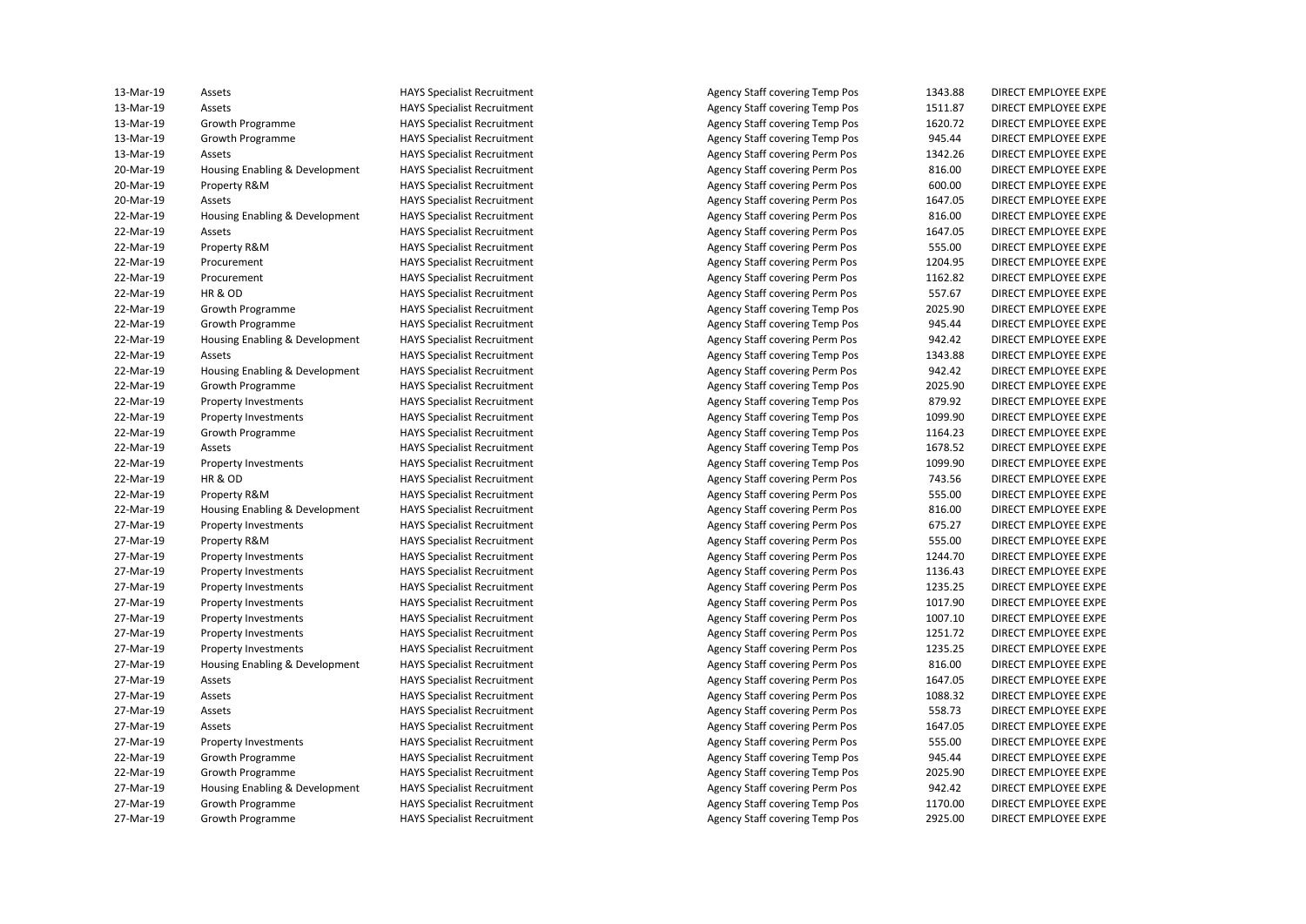| 13-Mar-19 | Assets                         | <b>HAYS Specialist Recruitment</b> | Agency Staff covering Temp Pos        | 1343.88 | DIRECT EMPLOYEE EXPE        |
|-----------|--------------------------------|------------------------------------|---------------------------------------|---------|-----------------------------|
| 13-Mar-19 | Assets                         | <b>HAYS Specialist Recruitment</b> | <b>Agency Staff covering Temp Pos</b> | 1511.87 | DIRECT EMPLOYEE EXPE        |
| 13-Mar-19 | Growth Programme               | <b>HAYS Specialist Recruitment</b> | Agency Staff covering Temp Pos        | 1620.72 | DIRECT EMPLOYEE EXPE        |
| 13-Mar-19 | Growth Programme               | <b>HAYS Specialist Recruitment</b> | <b>Agency Staff covering Temp Pos</b> | 945.44  | DIRECT EMPLOYEE EXPE        |
| 13-Mar-19 | Assets                         | <b>HAYS Specialist Recruitment</b> | Agency Staff covering Perm Pos        | 1342.26 | DIRECT EMPLOYEE EXPE        |
| 20-Mar-19 | Housing Enabling & Development | <b>HAYS Specialist Recruitment</b> | Agency Staff covering Perm Pos        | 816.00  | DIRECT EMPLOYEE EXPE        |
| 20-Mar-19 | Property R&M                   | <b>HAYS Specialist Recruitment</b> | Agency Staff covering Perm Pos        | 600.00  | DIRECT EMPLOYEE EXPE        |
| 20-Mar-19 | Assets                         | <b>HAYS Specialist Recruitment</b> | Agency Staff covering Perm Pos        | 1647.05 | DIRECT EMPLOYEE EXPE        |
| 22-Mar-19 | Housing Enabling & Development | <b>HAYS Specialist Recruitment</b> | Agency Staff covering Perm Pos        | 816.00  | DIRECT EMPLOYEE EXPE        |
| 22-Mar-19 | Assets                         | <b>HAYS Specialist Recruitment</b> | Agency Staff covering Perm Pos        | 1647.05 | DIRECT EMPLOYEE EXPE        |
| 22-Mar-19 | Property R&M                   | <b>HAYS Specialist Recruitment</b> | Agency Staff covering Perm Pos        | 555.00  | DIRECT EMPLOYEE EXPE        |
| 22-Mar-19 | Procurement                    | <b>HAYS Specialist Recruitment</b> | Agency Staff covering Perm Pos        | 1204.95 | DIRECT EMPLOYEE EXPE        |
| 22-Mar-19 | Procurement                    | <b>HAYS Specialist Recruitment</b> | Agency Staff covering Perm Pos        | 1162.82 | DIRECT EMPLOYEE EXPE        |
| 22-Mar-19 | HR & OD                        | <b>HAYS Specialist Recruitment</b> | Agency Staff covering Perm Pos        | 557.67  | DIRECT EMPLOYEE EXPE        |
| 22-Mar-19 | Growth Programme               | <b>HAYS Specialist Recruitment</b> | Agency Staff covering Temp Pos        | 2025.90 | DIRECT EMPLOYEE EXPE        |
| 22-Mar-19 | Growth Programme               | <b>HAYS Specialist Recruitment</b> | Agency Staff covering Temp Pos        | 945.44  | DIRECT EMPLOYEE EXPE        |
| 22-Mar-19 | Housing Enabling & Development | <b>HAYS Specialist Recruitment</b> | Agency Staff covering Perm Pos        | 942.42  | DIRECT EMPLOYEE EXPE        |
| 22-Mar-19 | Assets                         | <b>HAYS Specialist Recruitment</b> | Agency Staff covering Temp Pos        | 1343.88 | DIRECT EMPLOYEE EXPE        |
| 22-Mar-19 | Housing Enabling & Development | <b>HAYS Specialist Recruitment</b> | Agency Staff covering Perm Pos        | 942.42  | DIRECT EMPLOYEE EXPE        |
| 22-Mar-19 | Growth Programme               | <b>HAYS Specialist Recruitment</b> | Agency Staff covering Temp Pos        | 2025.90 | DIRECT EMPLOYEE EXPE        |
| 22-Mar-19 | <b>Property Investments</b>    | <b>HAYS Specialist Recruitment</b> | Agency Staff covering Temp Pos        | 879.92  | DIRECT EMPLOYEE EXPE        |
| 22-Mar-19 | Property Investments           | <b>HAYS Specialist Recruitment</b> | Agency Staff covering Temp Pos        | 1099.90 | DIRECT EMPLOYEE EXPE        |
| 22-Mar-19 | Growth Programme               | <b>HAYS Specialist Recruitment</b> | Agency Staff covering Temp Pos        | 1164.23 | DIRECT EMPLOYEE EXPE        |
| 22-Mar-19 | Assets                         | <b>HAYS Specialist Recruitment</b> | Agency Staff covering Temp Pos        | 1678.52 | DIRECT EMPLOYEE EXPE        |
| 22-Mar-19 | Property Investments           | <b>HAYS Specialist Recruitment</b> | Agency Staff covering Temp Pos        | 1099.90 | DIRECT EMPLOYEE EXPE        |
| 22-Mar-19 | <b>HR &amp; OD</b>             | <b>HAYS Specialist Recruitment</b> | Agency Staff covering Perm Pos        | 743.56  | DIRECT EMPLOYEE EXPE        |
| 22-Mar-19 | Property R&M                   | <b>HAYS Specialist Recruitment</b> | Agency Staff covering Perm Pos        | 555.00  | DIRECT EMPLOYEE EXPE        |
| 22-Mar-19 | Housing Enabling & Development | <b>HAYS Specialist Recruitment</b> | Agency Staff covering Perm Pos        | 816.00  | DIRECT EMPLOYEE EXPE        |
| 27-Mar-19 | <b>Property Investments</b>    | <b>HAYS Specialist Recruitment</b> | Agency Staff covering Perm Pos        | 675.27  | DIRECT EMPLOYEE EXPE        |
| 27-Mar-19 | Property R&M                   | <b>HAYS Specialist Recruitment</b> | Agency Staff covering Perm Pos        | 555.00  | DIRECT EMPLOYEE EXPE        |
| 27-Mar-19 | <b>Property Investments</b>    | <b>HAYS Specialist Recruitment</b> | Agency Staff covering Perm Pos        | 1244.70 | DIRECT EMPLOYEE EXPE        |
| 27-Mar-19 | Property Investments           | <b>HAYS Specialist Recruitment</b> | Agency Staff covering Perm Pos        | 1136.43 | DIRECT EMPLOYEE EXPE        |
| 27-Mar-19 | Property Investments           | <b>HAYS Specialist Recruitment</b> | Agency Staff covering Perm Pos        | 1235.25 | DIRECT EMPLOYEE EXPE        |
| 27-Mar-19 | <b>Property Investments</b>    | <b>HAYS Specialist Recruitment</b> | Agency Staff covering Perm Pos        | 1017.90 | DIRECT EMPLOYEE EXPE        |
| 27-Mar-19 | <b>Property Investments</b>    | <b>HAYS Specialist Recruitment</b> | Agency Staff covering Perm Pos        | 1007.10 | DIRECT EMPLOYEE EXPE        |
| 27-Mar-19 | <b>Property Investments</b>    | <b>HAYS Specialist Recruitment</b> | Agency Staff covering Perm Pos        | 1251.72 | DIRECT EMPLOYEE EXPE        |
| 27-Mar-19 | <b>Property Investments</b>    | <b>HAYS Specialist Recruitment</b> | Agency Staff covering Perm Pos        | 1235.25 | DIRECT EMPLOYEE EXPE        |
| 27-Mar-19 | Housing Enabling & Development | <b>HAYS Specialist Recruitment</b> | Agency Staff covering Perm Pos        | 816.00  | DIRECT EMPLOYEE EXPE        |
| 27-Mar-19 | Assets                         | <b>HAYS Specialist Recruitment</b> | Agency Staff covering Perm Pos        | 1647.05 | DIRECT EMPLOYEE EXPE        |
| 27-Mar-19 | Assets                         | <b>HAYS Specialist Recruitment</b> | Agency Staff covering Perm Pos        | 1088.32 | DIRECT EMPLOYEE EXPE        |
| 27-Mar-19 | Assets                         | <b>HAYS Specialist Recruitment</b> | Agency Staff covering Perm Pos        | 558.73  | DIRECT EMPLOYEE EXPE        |
| 27-Mar-19 | Assets                         | <b>HAYS Specialist Recruitment</b> | Agency Staff covering Perm Pos        | 1647.05 | DIRECT EMPLOYEE EXPE        |
| 27-Mar-19 | <b>Property Investments</b>    | <b>HAYS Specialist Recruitment</b> | Agency Staff covering Perm Pos        | 555.00  | DIRECT EMPLOYEE EXPE        |
| 22-Mar-19 | Growth Programme               | <b>HAYS Specialist Recruitment</b> | Agency Staff covering Temp Pos        | 945.44  | DIRECT EMPLOYEE EXPE        |
| 22-Mar-19 | Growth Programme               | <b>HAYS Specialist Recruitment</b> | Agency Staff covering Temp Pos        | 2025.90 | DIRECT EMPLOYEE EXPE        |
| 27-Mar-19 | Housing Enabling & Development | <b>HAYS Specialist Recruitment</b> | Agency Staff covering Perm Pos        | 942.42  | DIRECT EMPLOYEE EXPE        |
| 27-Mar-19 | Growth Programme               | <b>HAYS Specialist Recruitment</b> | Agency Staff covering Temp Pos        | 1170.00 | DIRECT EMPLOYEE EXPE        |
| 27-Mar-19 | Growth Programme               | <b>HAYS Specialist Recruitment</b> | <b>Agency Staff covering Temp Pos</b> | 2925.00 | <b>DIRECT EMPLOYEE EXPE</b> |
|           |                                |                                    |                                       |         |                             |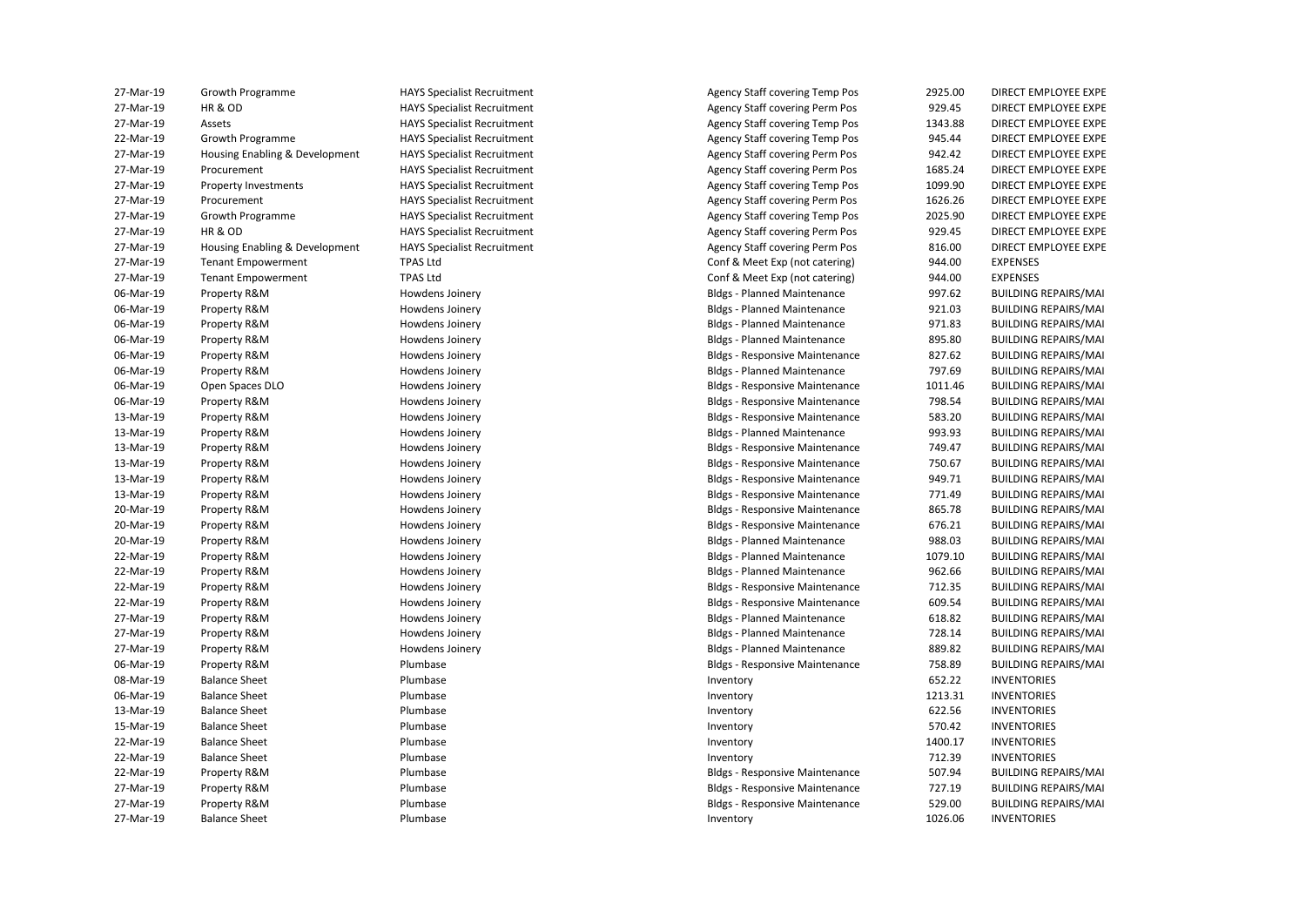| 27-Mar-19              | Growth Programme               | <b>HAYS Specialist Recruitment</b> | Agency Staff covering Temp Pos        | 2925.00          | DIRECT EMPLOYEE EXPE                                       |
|------------------------|--------------------------------|------------------------------------|---------------------------------------|------------------|------------------------------------------------------------|
| 27-Mar-19              | HR & OD                        | <b>HAYS Specialist Recruitment</b> | Agency Staff covering Perm Pos        | 929.45           | DIRECT EMPLOYEE EXPE                                       |
| 27-Mar-19              | Assets                         | <b>HAYS Specialist Recruitment</b> | <b>Agency Staff covering Temp Pos</b> | 1343.88          | DIRECT EMPLOYEE EXPE                                       |
| 22-Mar-19              | Growth Programme               | <b>HAYS Specialist Recruitment</b> | <b>Agency Staff covering Temp Pos</b> | 945.44           | DIRECT EMPLOYEE EXPE                                       |
| 27-Mar-19              | Housing Enabling & Development | <b>HAYS Specialist Recruitment</b> | <b>Agency Staff covering Perm Pos</b> | 942.42           | DIRECT EMPLOYEE EXPE                                       |
| 27-Mar-19              | Procurement                    | <b>HAYS Specialist Recruitment</b> | <b>Agency Staff covering Perm Pos</b> | 1685.24          | DIRECT EMPLOYEE EXPE                                       |
| 27-Mar-19              | <b>Property Investments</b>    | <b>HAYS Specialist Recruitment</b> | <b>Agency Staff covering Temp Pos</b> | 1099.90          | DIRECT EMPLOYEE EXPE                                       |
| 27-Mar-19              | Procurement                    | <b>HAYS Specialist Recruitment</b> | Agency Staff covering Perm Pos        | 1626.26          | DIRECT EMPLOYEE EXPE                                       |
| 27-Mar-19              | Growth Programme               | <b>HAYS Specialist Recruitment</b> | <b>Agency Staff covering Temp Pos</b> | 2025.90          | DIRECT EMPLOYEE EXPE                                       |
| 27-Mar-19              | HR & OD                        | <b>HAYS Specialist Recruitment</b> | Agency Staff covering Perm Pos        | 929.45           | DIRECT EMPLOYEE EXPE                                       |
| 27-Mar-19              | Housing Enabling & Development | <b>HAYS Specialist Recruitment</b> | Agency Staff covering Perm Pos        | 816.00           | DIRECT EMPLOYEE EXPE                                       |
| 27-Mar-19              | <b>Tenant Empowerment</b>      | <b>TPAS Ltd</b>                    | Conf & Meet Exp (not catering)        | 944.00           | <b>EXPENSES</b>                                            |
| 27-Mar-19              | <b>Tenant Empowerment</b>      | <b>TPAS Ltd</b>                    | Conf & Meet Exp (not catering)        | 944.00           | <b>EXPENSES</b>                                            |
| 06-Mar-19              | Property R&M                   | Howdens Joinery                    | <b>Bldgs - Planned Maintenance</b>    | 997.62           | <b>BUILDING REPAIRS/MAI</b>                                |
| 06-Mar-19              | Property R&M                   | Howdens Joinery                    | <b>Bldgs - Planned Maintenance</b>    | 921.03           | <b>BUILDING REPAIRS/MAI</b>                                |
| 06-Mar-19              | Property R&M                   | Howdens Joinery                    | <b>Bldgs - Planned Maintenance</b>    | 971.83           | <b>BUILDING REPAIRS/MAI</b>                                |
| 06-Mar-19              | Property R&M                   | Howdens Joinery                    | <b>Bldgs - Planned Maintenance</b>    | 895.80           | <b>BUILDING REPAIRS/MAI</b>                                |
| 06-Mar-19              | Property R&M                   | Howdens Joinery                    | <b>Bldgs - Responsive Maintenance</b> | 827.62           | BUILDING REPAIRS/MAI                                       |
| 06-Mar-19              | Property R&M                   | Howdens Joinery                    | <b>Bldgs - Planned Maintenance</b>    | 797.69           | <b>BUILDING REPAIRS/MAI</b>                                |
| 06-Mar-19              | Open Spaces DLO                | Howdens Joinery                    | <b>Bldgs - Responsive Maintenance</b> | 1011.46          | <b>BUILDING REPAIRS/MAI</b>                                |
| 06-Mar-19              | Property R&M                   | Howdens Joinery                    | <b>Bldgs - Responsive Maintenance</b> | 798.54           | <b>BUILDING REPAIRS/MAI</b>                                |
| 13-Mar-19              | Property R&M                   | Howdens Joinery                    | <b>Bldgs - Responsive Maintenance</b> | 583.20           | <b>BUILDING REPAIRS/MAI</b>                                |
| 13-Mar-19              | Property R&M                   | Howdens Joinery                    | <b>Bldgs - Planned Maintenance</b>    | 993.93           | <b>BUILDING REPAIRS/MAI</b>                                |
| 13-Mar-19              | Property R&M                   | Howdens Joinery                    | <b>Bldgs - Responsive Maintenance</b> | 749.47           | <b>BUILDING REPAIRS/MAI</b>                                |
| 13-Mar-19              | Property R&M                   | Howdens Joinery                    | <b>Bldgs - Responsive Maintenance</b> | 750.67           | <b>BUILDING REPAIRS/MAI</b>                                |
| 13-Mar-19              | Property R&M                   | Howdens Joinery                    | <b>Bldgs - Responsive Maintenance</b> | 949.71           | <b>BUILDING REPAIRS/MAI</b>                                |
| 13-Mar-19              | Property R&M                   | Howdens Joinery                    | <b>Bldgs - Responsive Maintenance</b> | 771.49           | <b>BUILDING REPAIRS/MAI</b>                                |
| 20-Mar-19              | Property R&M                   | Howdens Joinery                    | <b>Bldgs - Responsive Maintenance</b> | 865.78           | <b>BUILDING REPAIRS/MAI</b>                                |
| 20-Mar-19              | Property R&M                   | Howdens Joinery                    | <b>Bldgs - Responsive Maintenance</b> | 676.21           | <b>BUILDING REPAIRS/MAI</b>                                |
| 20-Mar-19              | Property R&M                   | Howdens Joinery                    | <b>Bldgs - Planned Maintenance</b>    | 988.03           | <b>BUILDING REPAIRS/MAI</b>                                |
| 22-Mar-19              | Property R&M                   | Howdens Joinery                    | <b>Bldgs - Planned Maintenance</b>    | 1079.10          | <b>BUILDING REPAIRS/MAI</b>                                |
| 22-Mar-19              | Property R&M                   | Howdens Joinery                    | <b>Bldgs - Planned Maintenance</b>    | 962.66           | <b>BUILDING REPAIRS/MAI</b>                                |
| 22-Mar-19              | Property R&M                   | Howdens Joinery                    | <b>Bldgs - Responsive Maintenance</b> | 712.35           | <b>BUILDING REPAIRS/MAI</b>                                |
| 22-Mar-19              | Property R&M                   | Howdens Joinery                    | <b>Bldgs - Responsive Maintenance</b> | 609.54           | <b>BUILDING REPAIRS/MAI</b>                                |
| 27-Mar-19              | Property R&M                   | Howdens Joinery                    | <b>Bldgs - Planned Maintenance</b>    | 618.82           | <b>BUILDING REPAIRS/MAI</b>                                |
| 27-Mar-19              | Property R&M                   | Howdens Joinery                    | <b>Bldgs - Planned Maintenance</b>    | 728.14           | <b>BUILDING REPAIRS/MAI</b>                                |
| 27-Mar-19              | Property R&M                   | Howdens Joinery                    | <b>Bldgs - Planned Maintenance</b>    | 889.82           | <b>BUILDING REPAIRS/MAI</b>                                |
| 06-Mar-19              | Property R&M                   | Plumbase                           | <b>Bldgs - Responsive Maintenance</b> | 758.89           | <b>BUILDING REPAIRS/MAI</b>                                |
| 08-Mar-19              | <b>Balance Sheet</b>           | Plumbase                           | Inventory                             | 652.22           | <b>INVENTORIES</b>                                         |
| 06-Mar-19              | <b>Balance Sheet</b>           | Plumbase                           | Inventory                             | 1213.31          | <b>INVENTORIES</b>                                         |
| 13-Mar-19              | <b>Balance Sheet</b>           | Plumbase                           | Inventory                             | 622.56           | <b>INVENTORIES</b>                                         |
| 15-Mar-19              | <b>Balance Sheet</b>           | Plumbase                           | Inventory                             | 570.42           | <b>INVENTORIES</b>                                         |
| 22-Mar-19              | <b>Balance Sheet</b>           | Plumbase                           | Inventory                             | 1400.17          | <b>INVENTORIES</b>                                         |
| 22-Mar-19              | <b>Balance Sheet</b>           | Plumbase                           |                                       | 712.39           | <b>INVENTORIES</b>                                         |
| 22-Mar-19              | Property R&M                   | Plumbase                           | Inventory                             | 507.94           | <b>BUILDING REPAIRS/MAI</b>                                |
|                        |                                |                                    | <b>Bldgs - Responsive Maintenance</b> |                  |                                                            |
| 27-Mar-19<br>27-Mar-19 | Property R&M                   | Plumbase                           | <b>Bldgs - Responsive Maintenance</b> | 727.19<br>529.00 | <b>BUILDING REPAIRS/MAI</b><br><b>BUILDING REPAIRS/MAI</b> |
|                        | Property R&M                   | Plumbase                           | <b>Bldgs - Responsive Maintenance</b> |                  |                                                            |
| 27-Mar-19              | <b>Balance Sheet</b>           | Plumbase                           | Inventory                             | 1026.06          | <b>INVENTORIES</b>                                         |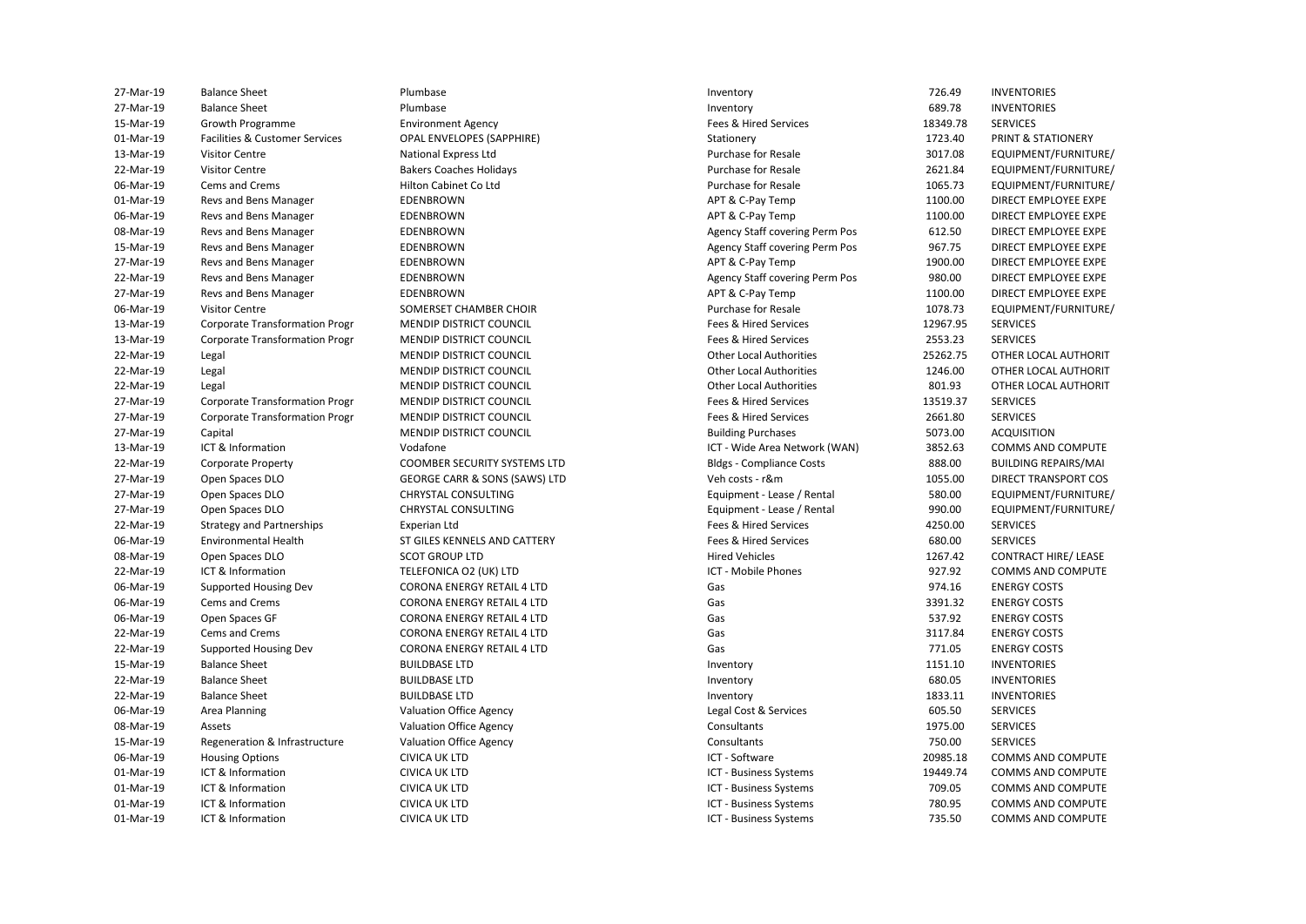| 27-Mar-19 | <b>Balance Sheet</b>                      | Plumbase                          | Inventory                             | 726.49        | <b>INVENTORIES</b>            |
|-----------|-------------------------------------------|-----------------------------------|---------------------------------------|---------------|-------------------------------|
| 27-Mar-19 | <b>Balance Sheet</b>                      | Plumbase                          | Inventory                             | 689.78        | <b>INVENTORIES</b>            |
| 15-Mar-19 | Growth Programme                          | <b>Environment Agency</b>         | Fees & Hired Services                 | 18349.78      | <b>SERVICES</b>               |
| 01-Mar-19 | <b>Facilities &amp; Customer Services</b> | <b>OPAL ENVELOPES (SAPPHIRE)</b>  | Stationery                            | 1723.40       | <b>PRINT &amp; STATIONERY</b> |
| 13-Mar-19 | <b>Visitor Centre</b>                     | <b>National Express Ltd</b>       | Purchase for Resale                   | 3017.08       | EQUIPMENT/FURNITURE/          |
| 22-Mar-19 | <b>Visitor Centre</b>                     | <b>Bakers Coaches Holidays</b>    | Purchase for Resale                   | 2621.84       | EQUIPMENT/FURNITURE/          |
| 06-Mar-19 | Cems and Crems                            | Hilton Cabinet Co Ltd             | <b>Purchase for Resale</b>            | 1065.73       | EQUIPMENT/FURNITURE/          |
| 01-Mar-19 | Revs and Bens Manager                     | EDENBROWN                         | APT & C-Pay Temp                      | 1100.00       | DIRECT EMPLOYEE EXPE          |
| 06-Mar-19 | Revs and Bens Manager                     | EDENBROWN                         | APT & C-Pay Temp                      | 1100.00       | DIRECT EMPLOYEE EXPE          |
| 08-Mar-19 | Revs and Bens Manager                     | EDENBROWN                         | <b>Agency Staff covering Perm Pos</b> | 612.50        | DIRECT EMPLOYEE EXPE          |
| 15-Mar-19 | Revs and Bens Manager                     | EDENBROWN                         | Agency Staff covering Perm Pos        | 967.75        | DIRECT EMPLOYEE EXPE          |
| 27-Mar-19 | Revs and Bens Manager                     | <b>EDENBROWN</b>                  | APT & C-Pay Temp                      | 1900.00       | DIRECT EMPLOYEE EXPE          |
| 22-Mar-19 | Revs and Bens Manager                     | EDENBROWN                         | Agency Staff covering Perm Pos        | 980.00        | DIRECT EMPLOYEE EXPE          |
| 27-Mar-19 | Revs and Bens Manager                     | EDENBROWN                         | APT & C-Pay Temp                      | 1100.00       | DIRECT EMPLOYEE EXPE          |
| 06-Mar-19 | <b>Visitor Centre</b>                     | SOMERSET CHAMBER CHOIR            | Purchase for Resale                   | 1078.73       | EQUIPMENT/FURNITURE/          |
| 13-Mar-19 | <b>Corporate Transformation Progr</b>     | MENDIP DISTRICT COUNCIL           | Fees & Hired Services                 | 12967.95      | <b>SERVICES</b>               |
| 13-Mar-19 | <b>Corporate Transformation Progr</b>     | MENDIP DISTRICT COUNCIL           | Fees & Hired Services                 | 2553.23       | <b>SERVICES</b>               |
| 22-Mar-19 | Legal                                     | MENDIP DISTRICT COUNCIL           | <b>Other Local Authorities</b>        | 25262.75      | OTHER LOCAL AUTHORIT          |
| 22-Mar-19 | Legal                                     | <b>MENDIP DISTRICT COUNCIL</b>    | <b>Other Local Authorities</b>        | 1246.00       | OTHER LOCAL AUTHORIT          |
| 22-Mar-19 | Legal                                     | MENDIP DISTRICT COUNCIL           | <b>Other Local Authorities</b>        | 801.93        | OTHER LOCAL AUTHORIT          |
| 27-Mar-19 | <b>Corporate Transformation Progr</b>     | <b>MENDIP DISTRICT COUNCIL</b>    | Fees & Hired Services                 | 13519.37      | <b>SERVICES</b>               |
| 27-Mar-19 | <b>Corporate Transformation Progr</b>     | <b>MENDIP DISTRICT COUNCIL</b>    | Fees & Hired Services                 | 2661.80       | <b>SERVICES</b>               |
| 27-Mar-19 | Capital                                   | MENDIP DISTRICT COUNCIL           | <b>Building Purchases</b>             | 5073.00       | <b>ACQUISITION</b>            |
| 13-Mar-19 | ICT & Information                         | Vodafone                          | ICT - Wide Area Network (WAN)         | 3852.63       | COMMS AND COMPUTE             |
| 22-Mar-19 | <b>Corporate Property</b>                 | COOMBER SECURITY SYSTEMS LTD      | <b>Bldgs - Compliance Costs</b>       | 888.00        | <b>BUILDING REPAIRS/MAI</b>   |
| 27-Mar-19 | Open Spaces DLO                           | GEORGE CARR & SONS (SAWS) LTD     | Veh costs - r&m                       | 1055.00       | DIRECT TRANSPORT COS          |
| 27-Mar-19 | Open Spaces DLO                           | CHRYSTAL CONSULTING               | Equipment - Lease / Rental            | 580.00        | EQUIPMENT/FURNITURE/          |
| 27-Mar-19 | Open Spaces DLO                           | <b>CHRYSTAL CONSULTING</b>        | Equipment - Lease / Rental            | 990.00        | EQUIPMENT/FURNITURE/          |
| 22-Mar-19 | <b>Strategy and Partnerships</b>          | Experian Ltd                      | Fees & Hired Services                 | 4250.00       | <b>SERVICES</b>               |
| 06-Mar-19 | <b>Environmental Health</b>               | ST GILES KENNELS AND CATTERY      | Fees & Hired Services                 | 680.00        | <b>SERVICES</b>               |
| 08-Mar-19 | Open Spaces DLO                           | <b>SCOT GROUP LTD</b>             | <b>Hired Vehicles</b>                 | 1267.42       | <b>CONTRACT HIRE/ LEASE</b>   |
| 22-Mar-19 | ICT & Information                         | TELEFONICA O2 (UK) LTD            | <b>ICT - Mobile Phones</b>            | 927.92        | COMMS AND COMPUTE             |
| 06-Mar-19 | Supported Housing Dev                     | <b>CORONA ENERGY RETAIL 4 LTD</b> | Gas                                   | 974.16        | <b>ENERGY COSTS</b>           |
| 06-Mar-19 | Cems and Crems                            | <b>CORONA ENERGY RETAIL 4 LTD</b> | Gas                                   | 3391.32       | <b>ENERGY COSTS</b>           |
| 06-Mar-19 | Open Spaces GF                            | <b>CORONA ENERGY RETAIL 4 LTD</b> | Gas                                   | 537.92        | <b>ENERGY COSTS</b>           |
| 22-Mar-19 | Cems and Crems                            | <b>CORONA ENERGY RETAIL 4 LTD</b> | Gas                                   | 3117.84       | <b>ENERGY COSTS</b>           |
| 22-Mar-19 | Supported Housing Dev                     | <b>CORONA ENERGY RETAIL 4 LTD</b> | Gas                                   | 771.05        | <b>ENERGY COSTS</b>           |
| 15-Mar-19 | <b>Balance Sheet</b>                      | <b>BUILDBASE LTD</b>              | Inventory                             | 1151.10       | <b>INVENTORIES</b>            |
| 22-Mar-19 | <b>Balance Sheet</b>                      | <b>BUILDBASE LTD</b>              | Inventory                             | 680.05        | <b>INVENTORIES</b>            |
| 22-Mar-19 | <b>Balance Sheet</b>                      | <b>BUILDBASE LTD</b>              | Inventory                             | 1833.11       | <b>INVENTORIES</b>            |
| 06-Mar-19 | Area Planning                             | <b>Valuation Office Agency</b>    | Legal Cost & Services                 | 605.50        | <b>SERVICES</b>               |
| 08-Mar-19 | Assets                                    | <b>Valuation Office Agency</b>    | Consultants                           | 1975.00       | <b>SERVICES</b>               |
| 15-Mar-19 | Regeneration & Infrastructure             | <b>Valuation Office Agency</b>    | Consultants                           | 750.00        | <b>SERVICES</b>               |
| 06-Mar-19 | <b>Housing Options</b>                    | <b>CIVICA UK LTD</b>              | ICT - Software                        | 20985.18      | COMMS AND COMPUTE             |
| 01-Mar-19 | ICT & Information                         | <b>CIVICA UK LTD</b>              | ICT - Business Systems                | 19449.74      | COMMS AND COMPUTE             |
| 01-Mar-19 | ICT & Information                         | <b>CIVICA UK LTD</b>              | ICT - Business Systems                | 709.05        | <b>COMMS AND COMPUTE</b>      |
| 01-Mar-19 | ICT & Information                         | <b>CIVICA UK LTD</b>              | ICT - Business Systems                | 780.95        | <b>COMMS AND COMPUTE</b>      |
| 01.3121   | ICT 8. Information                        | CIVICA LIV LTD                    | <b>ICT Ducinoss</b> Cystoms           | <b>725 EO</b> | COMMAC AND COMMUTE            |

CIVICA UK ITD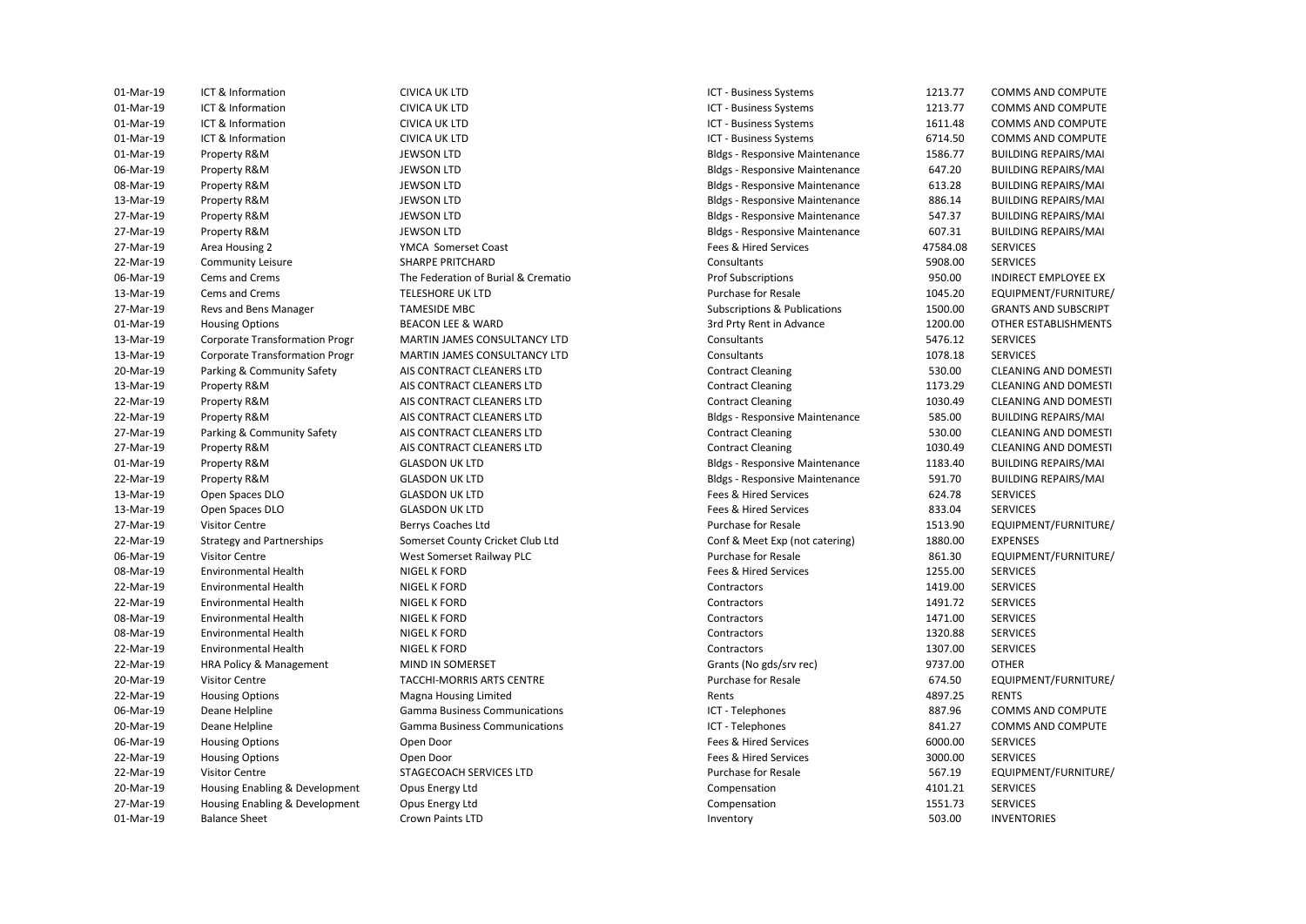01-Mar-19 Property R&M JEWSON LTD Bldgs - Responsive Maintenance 1586.77 BUILDING REPAIRS/MAI 06-Mar-19 Property R&M JEWSON LTD Bldgs - Responsive Maintenance 647.20 BUILDING REPAIRS/MAI 08-Mar-19 Property R&M JEWSON LTD Bldgs - Responsive Maintenance 613.28 BUILDING REPAIRS/MAI 13-Mar-19 Property R&M JEWSON LTD Bldgs - Responsive Maintenance 886.14 BUILDING REPAIRS/MAI 27-Mar-19 Property R&M JEWSON LTD Bldgs - Responsive Maintenance 547.37 BUILDING REPAIRS/MAI 27-Mar-19 Property R&M JEWSON LTD Bldgs - Responsive Maintenance 607.31 BUILDING REPAIRS/MAI 06-Mar-19 Cems and Crems **The Federation of Burial & Crematio** Prof Subscriptions Prof Subscriptions 950.00 INDIRECT EMPLOYEE EX **Revs and Bens Manager**  22-Mar-19 Property R&M AIS CONTRACT CLEANERS LTD Contract Cleaning 1030.49 CLEANING AND DOMESTI 22-Mar-19 HRA Policy & Management MIND IN SOMERSET Grants (No gds/srv rec) 9737.00 OTHER 22-Mar-19 Housing Options Nagna Housing Limited Cases and Rents Rents Agency A897.25 RENTS 20-Mar-19 Housing Enabling & Development Opus Energy Ltd Compensation 4101.21 SERVICES 27-Mar-19 Housing Enabling & Development Opus Energy Ltd Compensation Compensation 1551.73 SERVICES 01-Mar-19 ICT & Information CIVICA UK LTD ICT - Business Systems 1213.77 COMMS AND COMPUTE 01-Mar-19 ICT & Information CIVICA UK LTD ICT - Business Systems 1213.77 COMMS AND COMPUTE 01-Mar-19 ICT & Information CIVICA UK LTD ICT - Business Systems 1611.48 COMMS AND COMPUTE 01-Mar-19 ICT & Information CIVICA UK LTD ICT - Business Systems 6714.50 COMMS AND COMPUTE 27-Mar-19 Area Housing 2 YMCA Somerset Coast Fees & Hired Services 47584.08 SERVICES 22-Mar-19 Community Leisure SHARPE PRITCHARD Consultants 5908.00 SERVICES 13-Mar-19 Cems and Crems **TELESHORE UK LTD** Purchase for Resale Purchase for Resale 1045.20 EQUIPMENT/FURNITURE/ 27-Mar-19 Revs and Bens Manager **Subscriptions and Subscriptions A** Subscriptions & Publications 1500.00 GRANTS AND SUBSCRIPT 01-Mar-19 Housing Options BEACON LEE & WARD 3rd Prty Rent in Advance 1200.00 OTHER ESTABLISHMENTS 13-Mar-19 Corporate Transformation Progr MARTIN JAMES CONSULTANCY LTD Consultants 5476.12 SERVICES 13-Mar-19 Corporate Transformation Progr MARTIN JAMES CONSULTANCY LTD Consultants Consultants 1078.18 SERVICES 20-Mar-19 Parking & Community Safety AIS CONTRACT CLEANERS LTD Contract Cleaning Contract Cleaning 530.00 CLEANING AND DOMESTI<br>13-Mar-19 Property R&M AIS CONTRACT CLEANERS LTD Contract Cleaning Contract Cleaning 1173.29 CL 13-Mar-19 Property R&M **AIS CONTRACT CLEANERS LTD** Contract Cleaning 1173.29 CLEANING AND DOMESTI 22-Mar-19 Property R&M **AIS CONTRACT CLEANERS LTD** Bldgs - Responsive Maintenance 585.00 BUILDING REPAIRS/MAI 27-Mar-19 Parking & Community Safety AIS CONTRACT CLEANERS LTD Contract Cleaning Contract Cleaning and S30.00 CLEANING AND DOMESTI<br>27-Mar-19 Property R&M AIS CONTRACT CLEANERS LTD Contract Cleaning Contract Cleaning 1030.4 27-Mar-19 Property R&M AIS CONTRACT CLEANERS LTD Contract Cleaning 1030.49 CLEANING AND DOMESTI 01-Mar-19 Property R&M GLASDON UK LTD GLASDON UK LTD Bldgs - Responsive Maintenance 1183.40 BUILDING REPAIRS/MAI 22-Mar-19 Property R&M **GLASDON UK LTD** GEASDON UK LTD Bldgs-Responsive Maintenance 591.70 BUILDING REPAIRS/MAI 13-Mar-19 Open Spaces DLO GLASDON UK LTD Fees & Hired Services 624.78 SERVICES 13-Mar-19 Open Spaces DLO GLASDON UK LTD Fees & Hired Services 833.04 SERVICES 27-Mar-19 Visitor Centre Berrys Coaches Ltd Purchase for Resale 1513.90 EQUIPMENT/FURNITURE/ 22-Mar-19 Strategy and Partnerships Somerset County Cricket Club Ltd Conf & Meet Exp (not catering) 1880.00 EXPENSES 06-Mar-19 Visitor Centre 2001 West Somerset Railway PLC Purchase for Resale 861.30 EQUIPMENT/FURNITURE/ 08-Mar-19 Environmental Health NIGEL K FORD Fees & Hired Services 1255.00 SERVICES 22-Mar-19 Environmental Health NIGEL K FORD Contractors 1419.00 SERVICES 22-Mar-19 Environmental Health NIGEL K FORD Contractors 1491.72 SERVICES 08-Mar-19 Environmental Health NIGEL K FORD Contractors Contractors 1471.00 SERVICES 08-Mar-19 Environmental Health NIGEL K FORD Contractors Contractors 1320.88 SERVICES 22-Mar-19 Environmental Health NIGEL K FORD Contractors Contractors 1307.00 SERVICES 20-Mar-19 Visitor Centre TACCHI-MORRIS ARTS CENTRE Purchase for Resale 674.50 EQUIPMENT/FURNITURE/ 06-Mar-19 Deane Helpline Communications Communications Communications ICT - Telephones 887.96 COMMS AND COMPUTE 20-Mar-19 Deane Helpline Gamma Business Communications ICT - Telephones 841.27 COMMS AND COMPUTE 06-Mar-19 Housing Options Open Door Communications of the Services of the Services of the Services of the Services 22-Mar-19 Housing Options Open Door Fees & Hired Services 3000.00 SERVICES 22-Mar-19 Visitor Centre **STAGECOACH SERVICES LTD** Purchase for Resale 567.19 EQUIPMENT/FURNITURE/ 01-Mar-19 Balance Sheet Crown Paints LTD Inventory 503.00 INVENTORIES

CIVICA UK LTD CIVICA UK LTD CIVICA UK ITD **CIVICA UK LTD** YMCA Somerset Coast **BEACON LEE & WARD** AIS CONTRACT CLEANERS LTD AIS CONTRACT CLEANERS LTD AIS CONTRACT CLEANERS LTD AIS CONTRACT CLEANERS LTD AIS CONTRACT CLEANERS LTD **GLASDON UK LTD GLASDON UK LTD GLASDON UK LTD GLASDON UK LTD** Berrys Coaches Ltd **NIGEL K FORD** NIGEL K FORD NIGEL K FORD **NIGEL K FORD** NIGEL K FORD **NIGEL K FORD** 

ICT - Telephones ICT - Telephones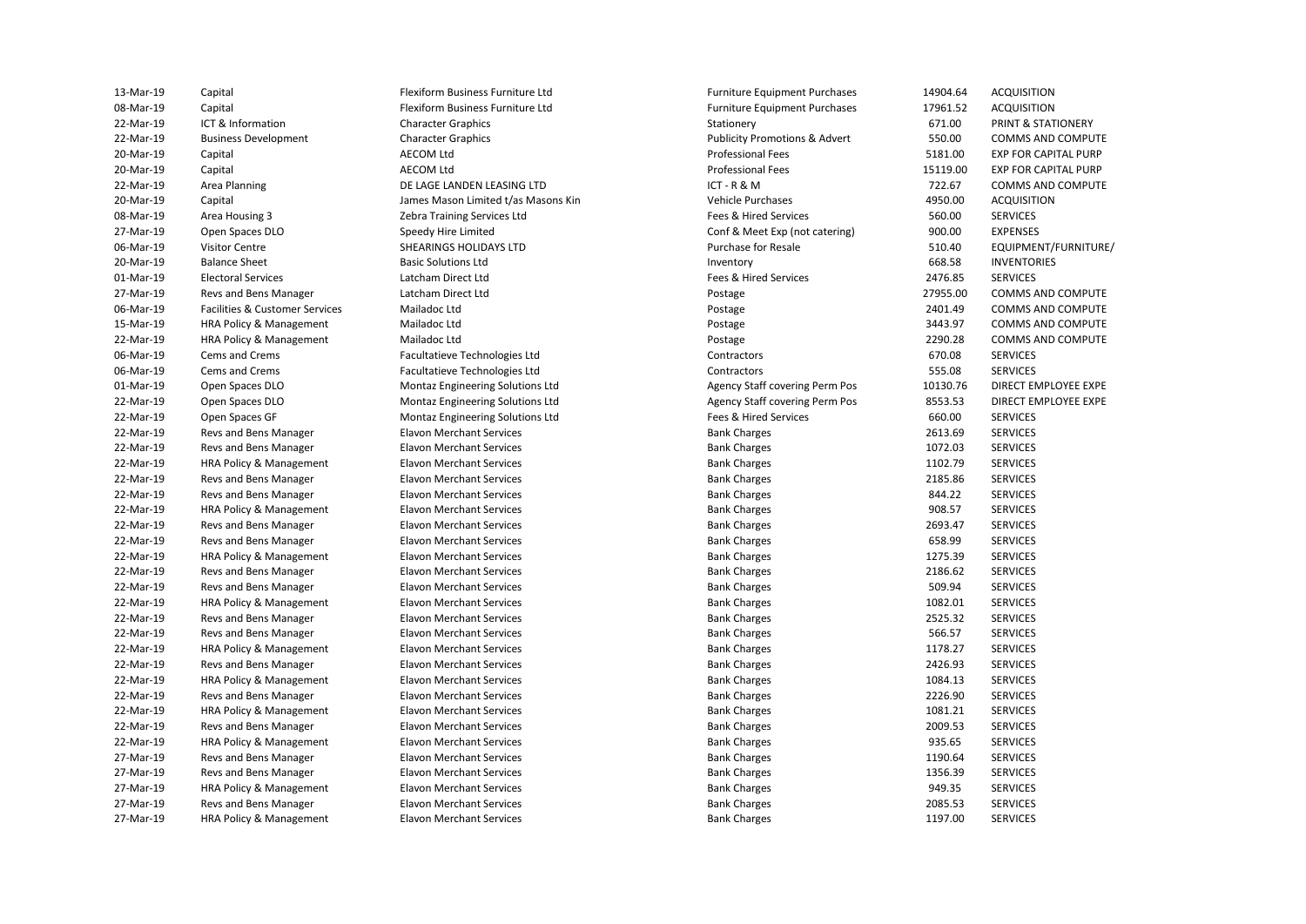**Revs and Bens Manager HRA Policy & Management** Revs and Bens Manager Revs and Bens Manager **Revs and Bens Manager Revs and Bens Manager** Revs and Bens Manager Revs and Bens Manager Revs and Bens Manager **Revs and Bens Manager Revs and Bens Manager HRA Policy & Management** 27-Mar-19 HRA Policy & Management **Elavon Merchant Services** 1297.00 Bank Charges 1197.00 SERVICES

Flexiform Business Furniture Ltd Flexiform Business Furniture Ltd DE LAGE LANDEN LEASING LTD Zebra Training Services Ltd Speedy Hire Limited **Basic Solutions Ltd** 

22-Mar-19 Business Development Character Graphics Character Graphics Publicity Promotions & Advert 550.00 COMMS AND COMPUTE **EXP FOR CAPITAL PURP EXP FOR CAPITAL PURP**  20-Mar-19 Capital James Mason Limited t/as Masons Kin Vehicle Purchases 4950.00 ACQUISITION 15-Mar-19 HRA Policy & Management Mailadoc Ltd Postage 3443.97 COMMS AND COMPUTE 01-Mar-19 Open Spaces DLO Montaz Engineering Solutions Ltd Agency Staff covering Perm Pos 10130.76 DIRECT EMPLOYEE EXPE 22-Mar-19 Open Spaces DLO **Montaz Engineering Solutions Ltd** Agency Staff covering Perm Pos 8553.53 DIRECT EMPLOYEE EXPE 22-Mar-19 Open Spaces GF Nontaz Engineering Solutions Ltd Fees & Hired Services 660.00 SERVICES 22-Mar-19 HRA Policy & Management Elavon Merchant Services entertainment bank Charges and HTMA HTM2.79 SERVICES 22-Mar-19 Revs and Bens Manager **Elavon Merchant Services** Bank Charges Bank Charges 2185.86 SERVICES 22-Mar-19 HRA Policy & Management Elavon Merchant Services entertainment bank Charges Bank Charges and Subsett Bank Charges (SERVICES) 22-Mar-19 Revs and Bens Manager **Elavon Merchant Services** Bank Charges Bank Charges **Bank Charges** 658.99 SERVICES 22-Mar-19 HRA Policy & Management Elavon Merchant Services extending the Bank Charges and Haraces 1275.39 SERVICES 22-Mar-19 Revs and Bens Manager **Elavon Merchant Services** Bank Charges Bank Charges 2186.62 SERVICES 22-Mar-19 Revs and Bens Manager **Elavon Merchant Services** Bank Charges Bank Charges **Bank Charges** 509.94 SERVICES 22-Mar-19 HRA Policy & Management Elavon Merchant Services extending the Bank Charges and HRA Policy & Management Elavon Merchant Services 22-Mar-19 Revs and Bens Manager **Elavon Merchant Services** Bank Charges Bank Charges **Bank Charges** 566.57 SERVICES 22-Mar-19 HRA Policy & Management Elavon Merchant Services extending the Bank Charges and HT8.27 SERVICES 22-Mar-19 HRA Policy & Management Elavon Merchant Services extending the Bank Charges and HRA Policy & Management Elavon Merchant Services 22-Mar-19 Revs and Bens Manager **Elavon Merchant Services** Bank Charges Bank Charges 2226.90 SERVICES 22-Mar-19 HRA Policy & Management Elavon Merchant Services extending the Bank Charges and HRA Policy & Management Elavon Merchant Services 22-Mar-19 HRA Policy & Management Elavon Merchant Services entertainment bank Charges and Bank Charges 935.65 SERVICES 27-Mar-19 Revs and Bens Manager **Elavon Merchant Services** entertainment between the Bank Charges 1190.64 SERVICES 27-Mar-19 HRA Policy & Management Elavon Merchant Services examples and the Bank Charges and HRA Policy & Management 13-Mar-19 Capital Flexiform Business Furniture Ltd Furniture Equipment Purchases 14904.64 ACQUISITION 08-Mar-19 Capital Capital Capital Flexiform Business Furniture Ltd Furniture Equipment Purchases 17961.52 ACQUISITION 22-Mar-19 ICT & Information Character Graphics Stationery 671.00 PRINT & STATIONERY 20-Mar-19 Capital Capital AECOM Ltd AECOM Ltd Capital Accomputational Fees Professional Fees 5181.00 EXP FOR CAPITAL PURP 20-Mar-19 Capital Capital AECOM Ltd AECOM Ltd Capital Accomputational Fees Professional Fees 20-Mar-19 Capital PURP 22-Mar-19 Area Planning **DE LAGE LANDEN LEASING LTD** ICT - R & M 722.67 COMMS AND COMPUTE 08-Mar-19 Area Housing 3 Zebra Training Services Ltd Fees & Hired Services 560.00 SERVICES 27-Mar-19 Open Spaces DLO Speedy Hire Limited Conf & Meet Exp (not catering) 900.00 EXPENSES 06-Mar-19 Visitor Centre SHEARINGS HOLIDAYS LTD Purchase for Resale 510.40 EQUIPMENT/FURNITURE/ 20-Mar-19 Balance Sheet Basic Solutions Ltd Inventory 668.58 INVENTORIES 01-Mar-19 Electoral Services Latcham Direct Ltd Fees & Hired Services 2476.85 SERVICES 27-Mar-19 Revs and Bens Manager Latcham Direct Ltd Postage 27955.00 COMMS AND COMPUTE 06-Mar-19 Facilities & Customer Services Mailadoc Ltd **Postage Provides Committee Committee** 2401.49 COMMS AND COMPUTE<br>15-Mar-19 HRA Policy & Management Mailadoc Ltd Postage Postage Postage 2443.97 COMMS AND COMPUTE 22-Mar-19 HRA Policy & Management Mailadoc Ltd Postage 2290.28 COMMS AND COMPUTE 06-Mar-19 Cems and Crems **Facultatieve Technologies Ltd** Contractors Contractors 670.08 SERVICES 06-Mar-19 Cems and Crems **Facultatieve Technologies Ltd** Contractors Contractors Contractors 555.08 SERVICES SERVICES<br>19 Onen Spaces DLO Contractors Montaz Engineering Solutions Ltd Agency Staff covering Perm Pos 10130.76 22-Mar-19 Revs and Bens Manager **Elavon Merchant Services** Bank Charges Bank Charges 2613.69 SERVICES 22-Mar-19 Revs and Bens Manager **Elavon Merchant Services** Bank Charges Bank Charges 1072.03 SERVICES 22-Mar-19 Revs and Bens Manager **Elavon Merchant Services** Bank Charges Bank Charges **Bank Charges** 844.22 SERVICES 22-Mar-19 Revs and Bens Manager **Elavon Merchant Services** Bank Charges Bank Charges 2693.47 SERVICES 22-Mar-19 Revs and Bens Manager **Elavon Merchant Services** Bank Charges Bank Charges 2525.32 SERVICES 22-Mar-19 Revs and Bens Manager **Elavon Merchant Services** Bank Charges Bank Charges 2426.93 SERVICES 22-Mar-19 Revs and Bens Manager **Elavon Merchant Services** Bank Charges Bank Charges 2009.53 SERVICES 27-Mar-19 Revs and Bens Manager **Elavon Merchant Services** Bank Charges Bank Charges 1356.39 SERVICES 27-Mar-19 Revs and Bens Manager **Elavon Merchant Services** Bank Charges Bank Charges 2085.53 SERVICES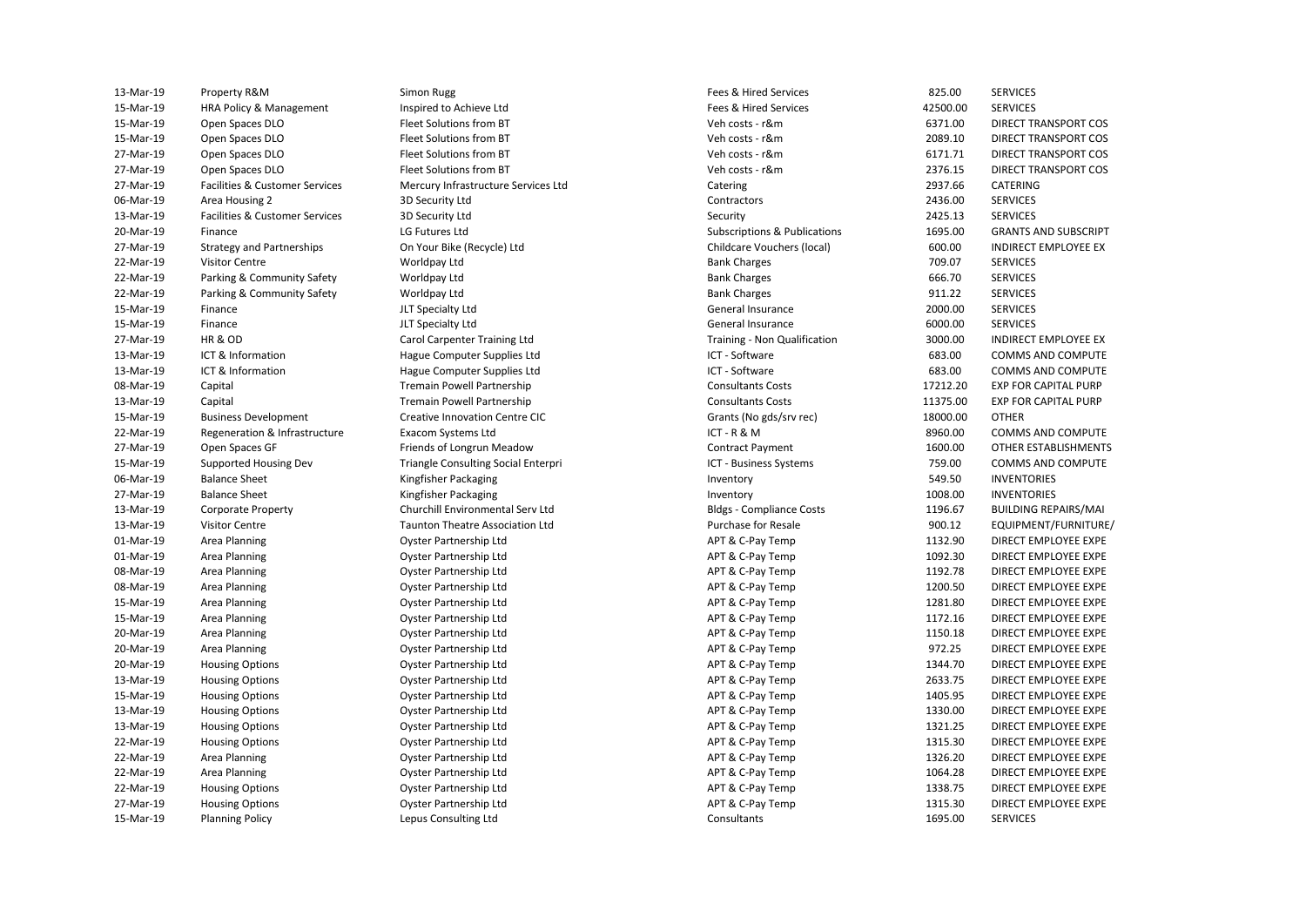| 13-Mar-19 | Property R&M                     | Simon Rugg                                 | Fees & Hired Services           | 825.00   | <b>SERVICES</b>             |
|-----------|----------------------------------|--------------------------------------------|---------------------------------|----------|-----------------------------|
| 15-Mar-19 | HRA Policy & Management          | Inspired to Achieve Ltd                    | Fees & Hired Services           | 42500.00 | <b>SERVICES</b>             |
| 15-Mar-19 | Open Spaces DLO                  | Fleet Solutions from BT                    | Veh costs - r&m                 | 6371.00  | DIRECT TRANSPORT COS        |
| 15-Mar-19 | Open Spaces DLO                  | Fleet Solutions from BT                    | Veh costs - r&m                 | 2089.10  | DIRECT TRANSPORT COS        |
| 27-Mar-19 | Open Spaces DLO                  | Fleet Solutions from BT                    | Veh costs - r&m                 | 6171.71  | DIRECT TRANSPORT COS        |
| 27-Mar-19 | Open Spaces DLO                  | Fleet Solutions from BT                    | Veh costs - r&m                 | 2376.15  | <b>DIRECT TRANSPORT COS</b> |
| 27-Mar-19 | Facilities & Customer Services   | Mercury Infrastructure Services Ltd        | Catering                        | 2937.66  | <b>CATERING</b>             |
| 06-Mar-19 | Area Housing 2                   | 3D Security Ltd                            | Contractors                     | 2436.00  | <b>SERVICES</b>             |
| 13-Mar-19 | Facilities & Customer Services   | 3D Security Ltd                            | Security                        | 2425.13  | <b>SERVICES</b>             |
| 20-Mar-19 | Finance                          | LG Futures Ltd                             | Subscriptions & Publications    | 1695.00  | <b>GRANTS AND SUBSCRIPT</b> |
| 27-Mar-19 | <b>Strategy and Partnerships</b> | On Your Bike (Recycle) Ltd                 | Childcare Vouchers (local)      | 600.00   | <b>INDIRECT EMPLOYEE EX</b> |
| 22-Mar-19 | <b>Visitor Centre</b>            | Worldpay Ltd                               | <b>Bank Charges</b>             | 709.07   | <b>SERVICES</b>             |
| 22-Mar-19 | Parking & Community Safety       | Worldpay Ltd                               | <b>Bank Charges</b>             | 666.70   | <b>SERVICES</b>             |
| 22-Mar-19 | Parking & Community Safety       | Worldpay Ltd                               | <b>Bank Charges</b>             | 911.22   | <b>SERVICES</b>             |
| 15-Mar-19 | Finance                          | JLT Specialty Ltd                          | General Insurance               | 2000.00  | <b>SERVICES</b>             |
| 15-Mar-19 | Finance                          | JLT Specialty Ltd                          | General Insurance               | 6000.00  | <b>SERVICES</b>             |
| 27-Mar-19 | HR&OD                            | Carol Carpenter Training Ltd               | Training - Non Qualification    | 3000.00  | <b>INDIRECT EMPLOYEE EX</b> |
| 13-Mar-19 | ICT & Information                | Hague Computer Supplies Ltd                | ICT - Software                  | 683.00   | COMMS AND COMPUTE           |
| 13-Mar-19 | ICT & Information                | Hague Computer Supplies Ltd                | ICT - Software                  | 683.00   | <b>COMMS AND COMPUTE</b>    |
| 08-Mar-19 | Capital                          | Tremain Powell Partnership                 | <b>Consultants Costs</b>        | 17212.20 | <b>EXP FOR CAPITAL PURP</b> |
| 13-Mar-19 | Capital                          | <b>Tremain Powell Partnership</b>          | <b>Consultants Costs</b>        | 11375.00 | <b>EXP FOR CAPITAL PURP</b> |
| 15-Mar-19 | <b>Business Development</b>      | <b>Creative Innovation Centre CIC</b>      | Grants (No gds/srv rec)         | 18000.00 | <b>OTHER</b>                |
| 22-Mar-19 | Regeneration & Infrastructure    | <b>Exacom Systems Ltd</b>                  | ICT-R&M                         | 8960.00  | <b>COMMS AND COMPUTE</b>    |
| 27-Mar-19 | Open Spaces GF                   | Friends of Longrun Meadow                  | <b>Contract Payment</b>         | 1600.00  | OTHER ESTABLISHMENTS        |
| 15-Mar-19 | Supported Housing Dev            | <b>Triangle Consulting Social Enterpri</b> | ICT - Business Systems          | 759.00   | COMMS AND COMPUTE           |
| 06-Mar-19 | <b>Balance Sheet</b>             | Kingfisher Packaging                       | Inventory                       | 549.50   | <b>INVENTORIES</b>          |
| 27-Mar-19 | <b>Balance Sheet</b>             | Kingfisher Packaging                       | Inventory                       | 1008.00  | <b>INVENTORIES</b>          |
| 13-Mar-19 | <b>Corporate Property</b>        | Churchill Environmental Serv Ltd           | <b>Bldgs - Compliance Costs</b> | 1196.67  | <b>BUILDING REPAIRS/MAI</b> |
| 13-Mar-19 | <b>Visitor Centre</b>            | <b>Taunton Theatre Association Ltd</b>     | <b>Purchase for Resale</b>      | 900.12   | EQUIPMENT/FURNITURE/        |
| 01-Mar-19 | Area Planning                    | Oyster Partnership Ltd                     | APT & C-Pay Temp                | 1132.90  | DIRECT EMPLOYEE EXPE        |
| 01-Mar-19 | Area Planning                    | Oyster Partnership Ltd                     | APT & C-Pay Temp                | 1092.30  | DIRECT EMPLOYEE EXPE        |
| 08-Mar-19 | Area Planning                    | Oyster Partnership Ltd                     | APT & C-Pay Temp                | 1192.78  | DIRECT EMPLOYEE EXPE        |
| 08-Mar-19 | Area Planning                    | Oyster Partnership Ltd                     | APT & C-Pay Temp                | 1200.50  | DIRECT EMPLOYEE EXPE        |
| 15-Mar-19 | Area Planning                    | Oyster Partnership Ltd                     | APT & C-Pay Temp                | 1281.80  | DIRECT EMPLOYEE EXPE        |
| 15-Mar-19 | Area Planning                    | Oyster Partnership Ltd                     | APT & C-Pay Temp                | 1172.16  | DIRECT EMPLOYEE EXPE        |
| 20-Mar-19 | Area Planning                    | Oyster Partnership Ltd                     | APT & C-Pay Temp                | 1150.18  | DIRECT EMPLOYEE EXPE        |
| 20-Mar-19 | Area Planning                    | Oyster Partnership Ltd                     | APT & C-Pay Temp                | 972.25   | DIRECT EMPLOYEE EXPE        |
| 20-Mar-19 | <b>Housing Options</b>           | Oyster Partnership Ltd                     | APT & C-Pay Temp                | 1344.70  | DIRECT EMPLOYEE EXPE        |
| 13-Mar-19 | <b>Housing Options</b>           | Oyster Partnership Ltd                     | APT & C-Pay Temp                | 2633.75  | DIRECT EMPLOYEE EXPE        |
| 15-Mar-19 | <b>Housing Options</b>           | Oyster Partnership Ltd                     | APT & C-Pay Temp                | 1405.95  | DIRECT EMPLOYEE EXPE        |
| 13-Mar-19 | <b>Housing Options</b>           | Oyster Partnership Ltd                     | APT & C-Pay Temp                | 1330.00  | DIRECT EMPLOYEE EXPE        |
| 13-Mar-19 | <b>Housing Options</b>           | Oyster Partnership Ltd                     | APT & C-Pay Temp                | 1321.25  | DIRECT EMPLOYEE EXPE        |
| 22-Mar-19 | <b>Housing Options</b>           | Oyster Partnership Ltd                     | APT & C-Pay Temp                | 1315.30  | DIRECT EMPLOYEE EXPE        |
| 22-Mar-19 | Area Planning                    | Oyster Partnership Ltd                     | APT & C-Pay Temp                | 1326.20  | DIRECT EMPLOYEE EXPE        |
| 22-Mar-19 | Area Planning                    | Oyster Partnership Ltd                     | APT & C-Pay Temp                | 1064.28  | DIRECT EMPLOYEE EXPE        |
| 22-Mar-19 | <b>Housing Options</b>           | Oyster Partnership Ltd                     | APT & C-Pay Temp                | 1338.75  | DIRECT EMPLOYEE EXPE        |
| 27-Mar-19 | <b>Housing Options</b>           | Oyster Partnership Ltd                     | APT & C-Pay Temp                | 1315.30  | DIRECT EMPLOYEE EXPE        |
| 15-Mar-19 | <b>Planning Policy</b>           | Lepus Consulting Ltd                       | Consultants                     | 1695.00  | <b>SERVICES</b>             |
|           |                                  |                                            |                                 |          |                             |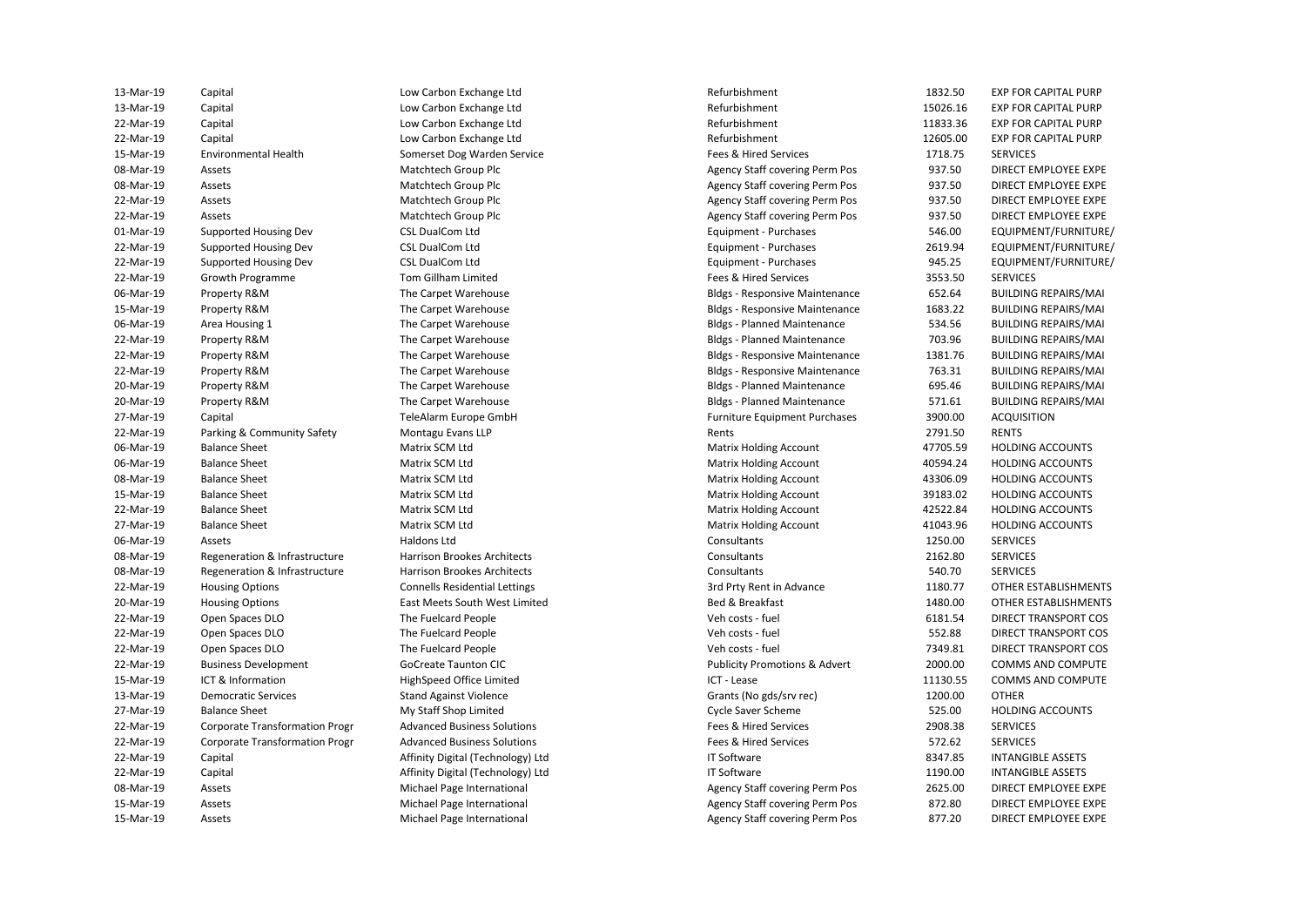| 13-Mar-19 | Capital                               | Low Carbon Exchange Ltd              | Refurbishment                            | 1832.50  | <b>EXP FOR CAPITAL PURP</b> |
|-----------|---------------------------------------|--------------------------------------|------------------------------------------|----------|-----------------------------|
| 13-Mar-19 | Capital                               | Low Carbon Exchange Ltd              | Refurbishment                            | 15026.16 | <b>EXP FOR CAPITAL PURP</b> |
| 22-Mar-19 | Capital                               | Low Carbon Exchange Ltd              | Refurbishment                            | 11833.36 | <b>EXP FOR CAPITAL PURP</b> |
| 22-Mar-19 | Capital                               | Low Carbon Exchange Ltd              | Refurbishment                            | 12605.00 | <b>EXP FOR CAPITAL PURP</b> |
| 15-Mar-19 | <b>Environmental Health</b>           | Somerset Dog Warden Service          | Fees & Hired Services                    | 1718.75  | <b>SERVICES</b>             |
| 08-Mar-19 | Assets                                | Matchtech Group Plc                  | <b>Agency Staff covering Perm Pos</b>    | 937.50   | DIRECT EMPLOYEE EXPE        |
| 08-Mar-19 | Assets                                | Matchtech Group Plc                  | Agency Staff covering Perm Pos           | 937.50   | DIRECT EMPLOYEE EXPE        |
| 22-Mar-19 | Assets                                | Matchtech Group Plc                  | Agency Staff covering Perm Pos           | 937.50   | DIRECT EMPLOYEE EXPE        |
| 22-Mar-19 | Assets                                | Matchtech Group Plc                  | Agency Staff covering Perm Pos           | 937.50   | DIRECT EMPLOYEE EXPE        |
| 01-Mar-19 | Supported Housing Dev                 | <b>CSL DualCom Ltd</b>               | Equipment - Purchases                    | 546.00   | EQUIPMENT/FURNITURE/        |
| 22-Mar-19 | Supported Housing Dev                 | <b>CSL DualCom Ltd</b>               | Equipment - Purchases                    | 2619.94  | EQUIPMENT/FURNITURE/        |
| 22-Mar-19 | Supported Housing Dev                 | <b>CSL DualCom Ltd</b>               | Equipment - Purchases                    | 945.25   | EQUIPMENT/FURNITURE/        |
| 22-Mar-19 | Growth Programme                      | Tom Gillham Limited                  | Fees & Hired Services                    | 3553.50  | <b>SERVICES</b>             |
| 06-Mar-19 | Property R&M                          | The Carpet Warehouse                 | <b>Bldgs - Responsive Maintenance</b>    | 652.64   | <b>BUILDING REPAIRS/MAI</b> |
| 15-Mar-19 | Property R&M                          | The Carpet Warehouse                 | <b>Bldgs - Responsive Maintenance</b>    | 1683.22  | <b>BUILDING REPAIRS/MAI</b> |
| 06-Mar-19 | Area Housing 1                        | The Carpet Warehouse                 | <b>Bldgs - Planned Maintenance</b>       | 534.56   | <b>BUILDING REPAIRS/MAI</b> |
| 22-Mar-19 | Property R&M                          | The Carpet Warehouse                 | <b>Bldgs - Planned Maintenance</b>       | 703.96   | <b>BUILDING REPAIRS/MAI</b> |
| 22-Mar-19 | Property R&M                          | The Carpet Warehouse                 | <b>Bldgs - Responsive Maintenance</b>    | 1381.76  | <b>BUILDING REPAIRS/MAI</b> |
| 22-Mar-19 | Property R&M                          | The Carpet Warehouse                 | <b>Bldgs - Responsive Maintenance</b>    | 763.31   | <b>BUILDING REPAIRS/MAI</b> |
| 20-Mar-19 | Property R&M                          | The Carpet Warehouse                 | <b>Bldgs - Planned Maintenance</b>       | 695.46   | <b>BUILDING REPAIRS/MAI</b> |
| 20-Mar-19 | Property R&M                          | The Carpet Warehouse                 | <b>Bldgs - Planned Maintenance</b>       | 571.61   | <b>BUILDING REPAIRS/MAI</b> |
| 27-Mar-19 | Capital                               | TeleAlarm Europe GmbH                | <b>Furniture Equipment Purchases</b>     | 3900.00  | <b>ACQUISITION</b>          |
| 22-Mar-19 | Parking & Community Safety            | Montagu Evans LLP                    | Rents                                    | 2791.50  | <b>RENTS</b>                |
| 06-Mar-19 | <b>Balance Sheet</b>                  | Matrix SCM Ltd                       | <b>Matrix Holding Account</b>            | 47705.59 | <b>HOLDING ACCOUNTS</b>     |
| 06-Mar-19 | <b>Balance Sheet</b>                  | Matrix SCM Ltd                       | <b>Matrix Holding Account</b>            | 40594.24 | <b>HOLDING ACCOUNTS</b>     |
| 08-Mar-19 | <b>Balance Sheet</b>                  | Matrix SCM Ltd                       | <b>Matrix Holding Account</b>            | 43306.09 | <b>HOLDING ACCOUNTS</b>     |
| 15-Mar-19 | <b>Balance Sheet</b>                  | Matrix SCM Ltd                       | <b>Matrix Holding Account</b>            | 39183.02 | <b>HOLDING ACCOUNTS</b>     |
| 22-Mar-19 | <b>Balance Sheet</b>                  | Matrix SCM Ltd                       | <b>Matrix Holding Account</b>            | 42522.84 | <b>HOLDING ACCOUNTS</b>     |
| 27-Mar-19 | <b>Balance Sheet</b>                  | Matrix SCM Ltd                       | <b>Matrix Holding Account</b>            | 41043.96 | <b>HOLDING ACCOUNTS</b>     |
| 06-Mar-19 | Assets                                | Haldons Ltd                          | Consultants                              | 1250.00  | <b>SERVICES</b>             |
| 08-Mar-19 | Regeneration & Infrastructure         | <b>Harrison Brookes Architects</b>   | Consultants                              | 2162.80  | <b>SERVICES</b>             |
| 08-Mar-19 | Regeneration & Infrastructure         | Harrison Brookes Architects          | Consultants                              | 540.70   | <b>SERVICES</b>             |
| 22-Mar-19 | <b>Housing Options</b>                | <b>Connells Residential Lettings</b> | 3rd Prty Rent in Advance                 | 1180.77  | <b>OTHER ESTABLISHMENTS</b> |
| 20-Mar-19 | <b>Housing Options</b>                | East Meets South West Limited        | Bed & Breakfast                          | 1480.00  | OTHER ESTABLISHMENTS        |
| 22-Mar-19 | Open Spaces DLO                       | The Fuelcard People                  | Veh costs - fuel                         | 6181.54  | DIRECT TRANSPORT COS        |
| 22-Mar-19 | Open Spaces DLO                       | The Fuelcard People                  | Veh costs - fuel                         | 552.88   | DIRECT TRANSPORT COS        |
| 22-Mar-19 | Open Spaces DLO                       | The Fuelcard People                  | Veh costs - fuel                         | 7349.81  | DIRECT TRANSPORT COS        |
| 22-Mar-19 | <b>Business Development</b>           | <b>GoCreate Taunton CIC</b>          | <b>Publicity Promotions &amp; Advert</b> | 2000.00  | COMMS AND COMPUTE           |
| 15-Mar-19 | ICT & Information                     | HighSpeed Office Limited             | ICT - Lease                              | 11130.55 | COMMS AND COMPUTE           |
| 13-Mar-19 | <b>Democratic Services</b>            | <b>Stand Against Violence</b>        | Grants (No gds/srv rec)                  | 1200.00  | <b>OTHER</b>                |
| 27-Mar-19 | <b>Balance Sheet</b>                  | My Staff Shop Limited                | <b>Cycle Saver Scheme</b>                | 525.00   | <b>HOLDING ACCOUNTS</b>     |
| 22-Mar-19 | Corporate Transformation Progr        | <b>Advanced Business Solutions</b>   | Fees & Hired Services                    | 2908.38  | <b>SERVICES</b>             |
| 22-Mar-19 | <b>Corporate Transformation Progr</b> | <b>Advanced Business Solutions</b>   | Fees & Hired Services                    | 572.62   | <b>SERVICES</b>             |
| 22-Mar-19 | Capital                               | Affinity Digital (Technology) Ltd    | <b>IT Software</b>                       | 8347.85  | <b>INTANGIBLE ASSETS</b>    |
| 22-Mar-19 | Capital                               | Affinity Digital (Technology) Ltd    | <b>IT Software</b>                       | 1190.00  | <b>INTANGIBLE ASSETS</b>    |
| 08-Mar-19 | Assets                                | Michael Page International           | <b>Agency Staff covering Perm Pos</b>    | 2625.00  | DIRECT EMPLOYEE EXPE        |
| 15-Mar-19 | Assets                                | Michael Page International           | Agency Staff covering Perm Pos           | 872.80   | DIRECT EMPLOYEE EXPE        |
| 15-Mar-19 | Assets                                | <b>Michael Page International</b>    | <b>Agency Staff covering Perm Pos</b>    | 877.20   | DIRECT EMPLOYEE EXPE        |
|           |                                       |                                      |                                          |          |                             |